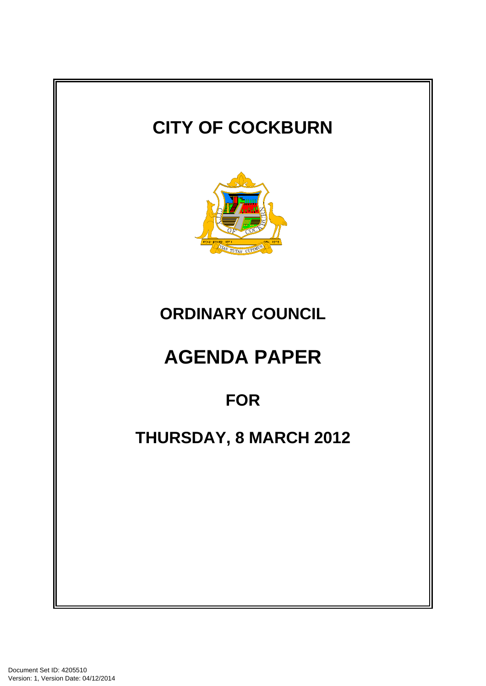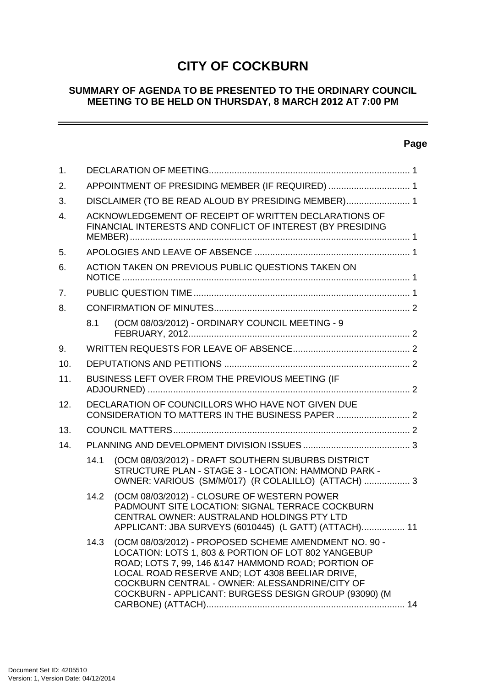# **CITY OF COCKBURN**

## **SUMMARY OF AGENDA TO BE PRESENTED TO THE ORDINARY COUNCIL MEETING TO BE HELD ON THURSDAY, 8 MARCH 2012 AT 7:00 PM**

# **Page**

 $\overline{\phantom{a}}$ 

| $\mathbf{1}$ . |                                                     |                                                                                                                                                                                                                                                                                                                                    |  |
|----------------|-----------------------------------------------------|------------------------------------------------------------------------------------------------------------------------------------------------------------------------------------------------------------------------------------------------------------------------------------------------------------------------------------|--|
| 2.             | APPOINTMENT OF PRESIDING MEMBER (IF REQUIRED)  1    |                                                                                                                                                                                                                                                                                                                                    |  |
| 3.             | DISCLAIMER (TO BE READ ALOUD BY PRESIDING MEMBER) 1 |                                                                                                                                                                                                                                                                                                                                    |  |
| 4.             |                                                     | ACKNOWLEDGEMENT OF RECEIPT OF WRITTEN DECLARATIONS OF<br>FINANCIAL INTERESTS AND CONFLICT OF INTEREST (BY PRESIDING                                                                                                                                                                                                                |  |
| 5.             |                                                     |                                                                                                                                                                                                                                                                                                                                    |  |
| 6.             |                                                     | ACTION TAKEN ON PREVIOUS PUBLIC QUESTIONS TAKEN ON                                                                                                                                                                                                                                                                                 |  |
| 7.             |                                                     |                                                                                                                                                                                                                                                                                                                                    |  |
| 8.             |                                                     |                                                                                                                                                                                                                                                                                                                                    |  |
|                | 8.1                                                 | (OCM 08/03/2012) - ORDINARY COUNCIL MEETING - 9                                                                                                                                                                                                                                                                                    |  |
| 9.             |                                                     |                                                                                                                                                                                                                                                                                                                                    |  |
| 10.            |                                                     |                                                                                                                                                                                                                                                                                                                                    |  |
| 11.            | BUSINESS LEFT OVER FROM THE PREVIOUS MEETING (IF    |                                                                                                                                                                                                                                                                                                                                    |  |
| 12.            | DECLARATION OF COUNCILLORS WHO HAVE NOT GIVEN DUE   |                                                                                                                                                                                                                                                                                                                                    |  |
| 13.            |                                                     |                                                                                                                                                                                                                                                                                                                                    |  |
| 14.            |                                                     |                                                                                                                                                                                                                                                                                                                                    |  |
|                | 14.1                                                | (OCM 08/03/2012) - DRAFT SOUTHERN SUBURBS DISTRICT<br>STRUCTURE PLAN - STAGE 3 - LOCATION: HAMMOND PARK -<br>OWNER: VARIOUS (SM/M/017) (R COLALILLO) (ATTACH)  3                                                                                                                                                                   |  |
|                | 14.2                                                | (OCM 08/03/2012) - CLOSURE OF WESTERN POWER<br>PADMOUNT SITE LOCATION: SIGNAL TERRACE COCKBURN<br>CENTRAL OWNER: AUSTRALAND HOLDINGS PTY LTD<br>APPLICANT: JBA SURVEYS (6010445) (L GATT) (ATTACH) 11                                                                                                                              |  |
|                | 14.3                                                | (OCM 08/03/2012) - PROPOSED SCHEME AMENDMENT NO. 90 -<br>LOCATION: LOTS 1, 803 & PORTION OF LOT 802 YANGEBUP<br>ROAD; LOTS 7, 99, 146 & 147 HAMMOND ROAD; PORTION OF<br>LOCAL ROAD RESERVE AND; LOT 4308 BEELIAR DRIVE,<br>COCKBURN CENTRAL - OWNER: ALESSANDRINE/CITY OF<br>COCKBURN - APPLICANT: BURGESS DESIGN GROUP (93090) (M |  |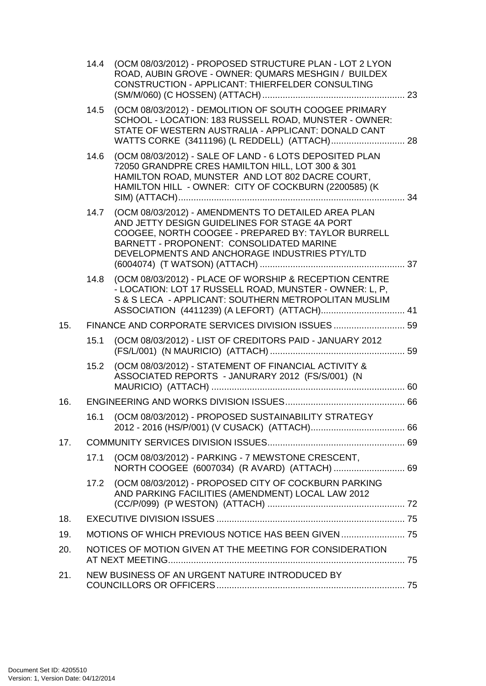|     | 14.4 | (OCM 08/03/2012) - PROPOSED STRUCTURE PLAN - LOT 2 LYON<br>ROAD, AUBIN GROVE - OWNER: QUMARS MESHGIN / BUILDEX<br>CONSTRUCTION - APPLICANT: THIERFELDER CONSULTING                                                                                      |  |
|-----|------|---------------------------------------------------------------------------------------------------------------------------------------------------------------------------------------------------------------------------------------------------------|--|
|     | 14.5 | (OCM 08/03/2012) - DEMOLITION OF SOUTH COOGEE PRIMARY<br>SCHOOL - LOCATION: 183 RUSSELL ROAD, MUNSTER - OWNER:<br>STATE OF WESTERN AUSTRALIA - APPLICANT: DONALD CANT                                                                                   |  |
|     | 14.6 | (OCM 08/03/2012) - SALE OF LAND - 6 LOTS DEPOSITED PLAN<br>72050 GRANDPRE CRES HAMILTON HILL, LOT 300 & 301<br>HAMILTON ROAD, MUNSTER AND LOT 802 DACRE COURT,<br>HAMILTON HILL - OWNER: CITY OF COCKBURN (2200585) (K                                  |  |
|     | 14.7 | (OCM 08/03/2012) - AMENDMENTS TO DETAILED AREA PLAN<br>AND JETTY DESIGN GUIDELINES FOR STAGE 4A PORT<br>COOGEE, NORTH COOGEE - PREPARED BY: TAYLOR BURRELL<br>BARNETT - PROPONENT: CONSOLIDATED MARINE<br>DEVELOPMENTS AND ANCHORAGE INDUSTRIES PTY/LTD |  |
|     | 14.8 | (OCM 08/03/2012) - PLACE OF WORSHIP & RECEPTION CENTRE<br>- LOCATION: LOT 17 RUSSELL ROAD, MUNSTER - OWNER: L, P,<br>S & S LECA - APPLICANT: SOUTHERN METROPOLITAN MUSLIM                                                                               |  |
| 15. |      | FINANCE AND CORPORATE SERVICES DIVISION ISSUES  59                                                                                                                                                                                                      |  |
|     | 15.1 | (OCM 08/03/2012) - LIST OF CREDITORS PAID - JANUARY 2012                                                                                                                                                                                                |  |
|     | 15.2 | (OCM 08/03/2012) - STATEMENT OF FINANCIAL ACTIVITY &<br>ASSOCIATED REPORTS - JANURARY 2012 (FS/S/001) (N                                                                                                                                                |  |
| 16. |      |                                                                                                                                                                                                                                                         |  |
|     | 16.1 | (OCM 08/03/2012) - PROPOSED SUSTAINABILITY STRATEGY                                                                                                                                                                                                     |  |
| 17. |      |                                                                                                                                                                                                                                                         |  |
|     | 17.1 | (OCM 08/03/2012) - PARKING - 7 MEWSTONE CRESCENT,                                                                                                                                                                                                       |  |
|     | 17.2 | (OCM 08/03/2012) - PROPOSED CITY OF COCKBURN PARKING<br>AND PARKING FACILITIES (AMENDMENT) LOCAL LAW 2012                                                                                                                                               |  |
| 18. |      |                                                                                                                                                                                                                                                         |  |
| 19. |      | MOTIONS OF WHICH PREVIOUS NOTICE HAS BEEN GIVEN  75                                                                                                                                                                                                     |  |
| 20. |      | NOTICES OF MOTION GIVEN AT THE MEETING FOR CONSIDERATION                                                                                                                                                                                                |  |
| 21. |      | NEW BUSINESS OF AN URGENT NATURE INTRODUCED BY                                                                                                                                                                                                          |  |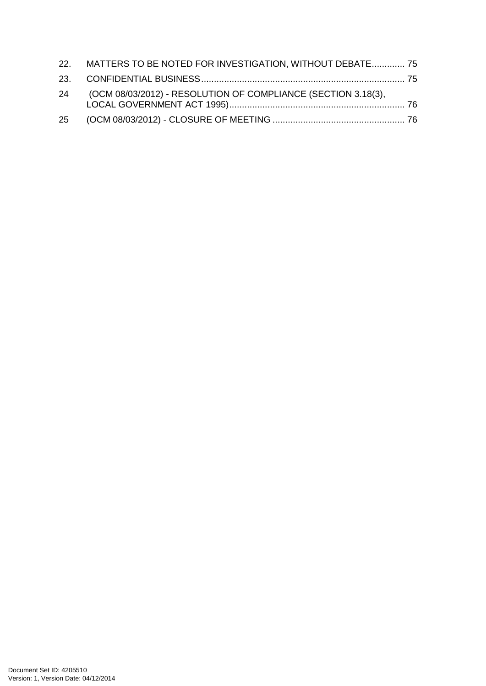| 22. MATTERS TO BE NOTED FOR INVESTIGATION, WITHOUT DEBATE 75     |  |
|------------------------------------------------------------------|--|
|                                                                  |  |
| 24 (OCM 08/03/2012) - RESOLUTION OF COMPLIANCE (SECTION 3.18(3), |  |
|                                                                  |  |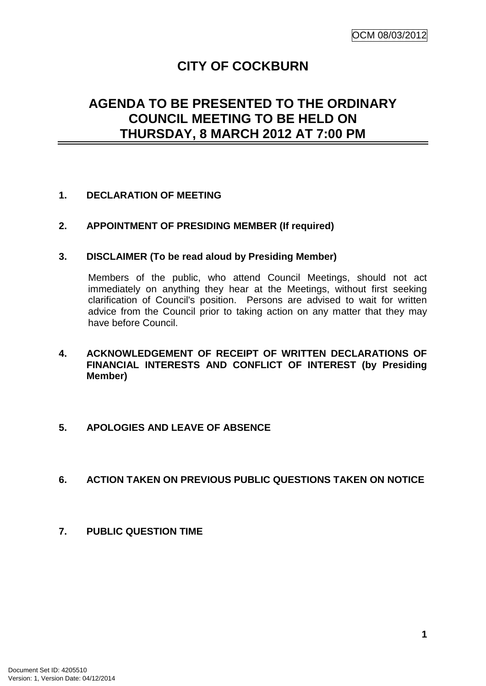# **CITY OF COCKBURN**

# **AGENDA TO BE PRESENTED TO THE ORDINARY COUNCIL MEETING TO BE HELD ON THURSDAY, 8 MARCH 2012 AT 7:00 PM**

# **1. DECLARATION OF MEETING**

# **2. APPOINTMENT OF PRESIDING MEMBER (If required)**

#### **3. DISCLAIMER (To be read aloud by Presiding Member)**

Members of the public, who attend Council Meetings, should not act immediately on anything they hear at the Meetings, without first seeking clarification of Council's position. Persons are advised to wait for written advice from the Council prior to taking action on any matter that they may have before Council.

# **4. ACKNOWLEDGEMENT OF RECEIPT OF WRITTEN DECLARATIONS OF FINANCIAL INTERESTS AND CONFLICT OF INTEREST (by Presiding Member)**

#### **5. APOLOGIES AND LEAVE OF ABSENCE**

#### **6. ACTION TAKEN ON PREVIOUS PUBLIC QUESTIONS TAKEN ON NOTICE**

**7. PUBLIC QUESTION TIME**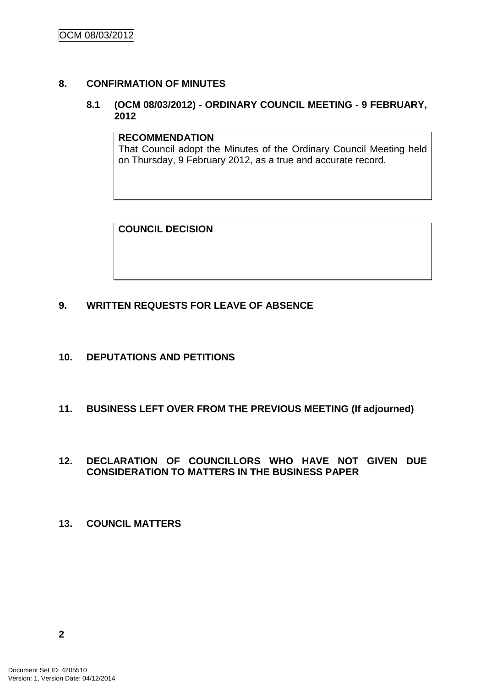# **8. CONFIRMATION OF MINUTES**

# **8.1 (OCM 08/03/2012) - ORDINARY COUNCIL MEETING - 9 FEBRUARY, 2012**

#### **RECOMMENDATION**

That Council adopt the Minutes of the Ordinary Council Meeting held on Thursday, 9 February 2012, as a true and accurate record.

**COUNCIL DECISION**

# **9. WRITTEN REQUESTS FOR LEAVE OF ABSENCE**

- **10. DEPUTATIONS AND PETITIONS**
- **11. BUSINESS LEFT OVER FROM THE PREVIOUS MEETING (If adjourned)**

#### **12. DECLARATION OF COUNCILLORS WHO HAVE NOT GIVEN DUE CONSIDERATION TO MATTERS IN THE BUSINESS PAPER**

**13. COUNCIL MATTERS**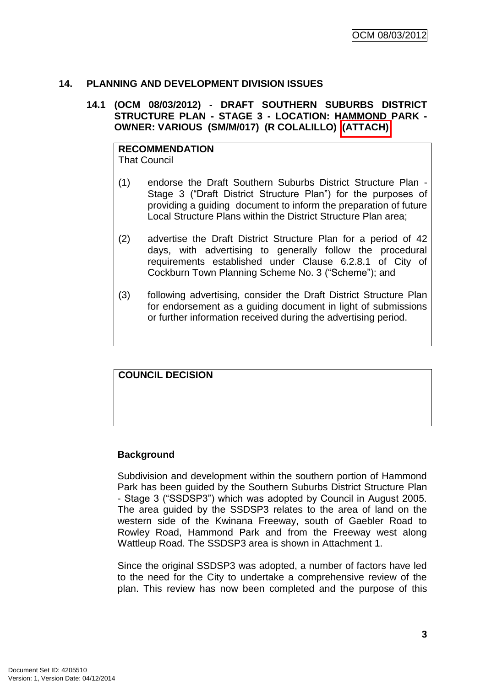# **14. PLANNING AND DEVELOPMENT DIVISION ISSUES**

### **14.1 (OCM 08/03/2012) - DRAFT SOUTHERN SUBURBS DISTRICT STRUCTURE PLAN - STAGE 3 - LOCATION: HAMMOND PARK - OWNER: VARIOUS (SM/M/017) (R COLALILLO) (ATTACH)**

**RECOMMENDATION** That Council

- (1) endorse the Draft Southern Suburbs District Structure Plan Stage 3 ("Draft District Structure Plan") for the purposes of providing a guiding document to inform the preparation of future Local Structure Plans within the District Structure Plan area;
- (2) advertise the Draft District Structure Plan for a period of 42 days, with advertising to generally follow the procedural requirements established under Clause 6.2.8.1 of City of Cockburn Town Planning Scheme No. 3 ("Scheme"); and
- (3) following advertising, consider the Draft District Structure Plan for endorsement as a guiding document in light of submissions or further information received during the advertising period.

#### **COUNCIL DECISION**

#### **Background**

Subdivision and development within the southern portion of Hammond Park has been guided by the Southern Suburbs District Structure Plan - Stage 3 ("SSDSP3") which was adopted by Council in August 2005. The area guided by the SSDSP3 relates to the area of land on the western side of the Kwinana Freeway, south of Gaebler Road to Rowley Road, Hammond Park and from the Freeway west along Wattleup Road. The SSDSP3 area is shown in Attachment 1.

Since the original SSDSP3 was adopted, a number of factors have led to the need for the City to undertake a comprehensive review of the plan. This review has now been completed and the purpose of this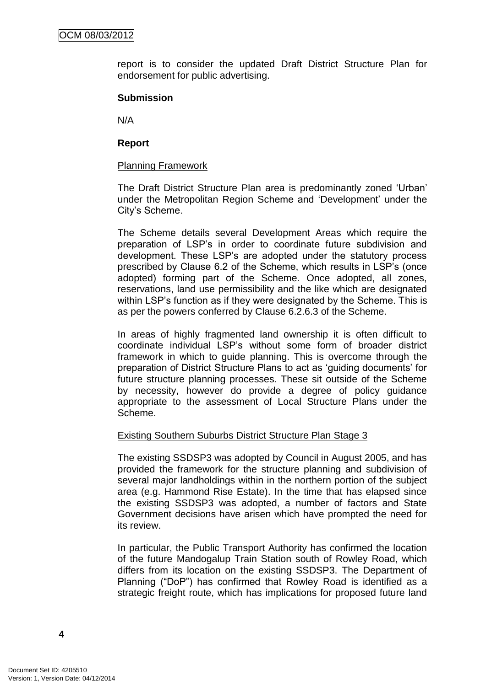report is to consider the updated Draft District Structure Plan for endorsement for public advertising.

#### **Submission**

N/A

## **Report**

## Planning Framework

The Draft District Structure Plan area is predominantly zoned "Urban" under the Metropolitan Region Scheme and "Development" under the City"s Scheme.

The Scheme details several Development Areas which require the preparation of LSP"s in order to coordinate future subdivision and development. These LSP"s are adopted under the statutory process prescribed by Clause 6.2 of the Scheme, which results in LSP"s (once adopted) forming part of the Scheme. Once adopted, all zones, reservations, land use permissibility and the like which are designated within LSP's function as if they were designated by the Scheme. This is as per the powers conferred by Clause 6.2.6.3 of the Scheme.

In areas of highly fragmented land ownership it is often difficult to coordinate individual LSP"s without some form of broader district framework in which to guide planning. This is overcome through the preparation of District Structure Plans to act as "guiding documents" for future structure planning processes. These sit outside of the Scheme by necessity, however do provide a degree of policy guidance appropriate to the assessment of Local Structure Plans under the Scheme.

#### Existing Southern Suburbs District Structure Plan Stage 3

The existing SSDSP3 was adopted by Council in August 2005, and has provided the framework for the structure planning and subdivision of several major landholdings within in the northern portion of the subject area (e.g. Hammond Rise Estate). In the time that has elapsed since the existing SSDSP3 was adopted, a number of factors and State Government decisions have arisen which have prompted the need for its review.

In particular, the Public Transport Authority has confirmed the location of the future Mandogalup Train Station south of Rowley Road, which differs from its location on the existing SSDSP3. The Department of Planning ("DoP") has confirmed that Rowley Road is identified as a strategic freight route, which has implications for proposed future land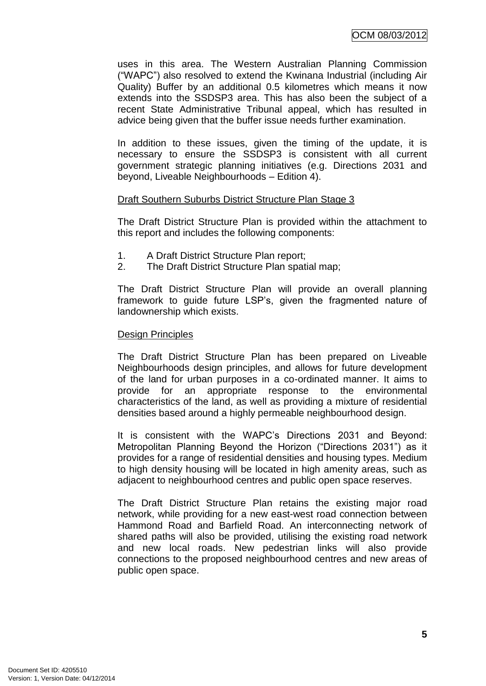uses in this area. The Western Australian Planning Commission ("WAPC") also resolved to extend the Kwinana Industrial (including Air Quality) Buffer by an additional 0.5 kilometres which means it now extends into the SSDSP3 area. This has also been the subject of a recent State Administrative Tribunal appeal, which has resulted in advice being given that the buffer issue needs further examination.

In addition to these issues, given the timing of the update, it is necessary to ensure the SSDSP3 is consistent with all current government strategic planning initiatives (e.g. Directions 2031 and beyond, Liveable Neighbourhoods – Edition 4).

# Draft Southern Suburbs District Structure Plan Stage 3

The Draft District Structure Plan is provided within the attachment to this report and includes the following components:

- 1. A Draft District Structure Plan report;
- 2. The Draft District Structure Plan spatial map;

The Draft District Structure Plan will provide an overall planning framework to guide future LSP"s, given the fragmented nature of landownership which exists.

#### Design Principles

The Draft District Structure Plan has been prepared on Liveable Neighbourhoods design principles, and allows for future development of the land for urban purposes in a co-ordinated manner. It aims to provide for an appropriate response to the environmental characteristics of the land, as well as providing a mixture of residential densities based around a highly permeable neighbourhood design.

It is consistent with the WAPC"s Directions 2031 and Beyond: Metropolitan Planning Beyond the Horizon ("Directions 2031") as it provides for a range of residential densities and housing types. Medium to high density housing will be located in high amenity areas, such as adjacent to neighbourhood centres and public open space reserves.

The Draft District Structure Plan retains the existing major road network, while providing for a new east-west road connection between Hammond Road and Barfield Road. An interconnecting network of shared paths will also be provided, utilising the existing road network and new local roads. New pedestrian links will also provide connections to the proposed neighbourhood centres and new areas of public open space.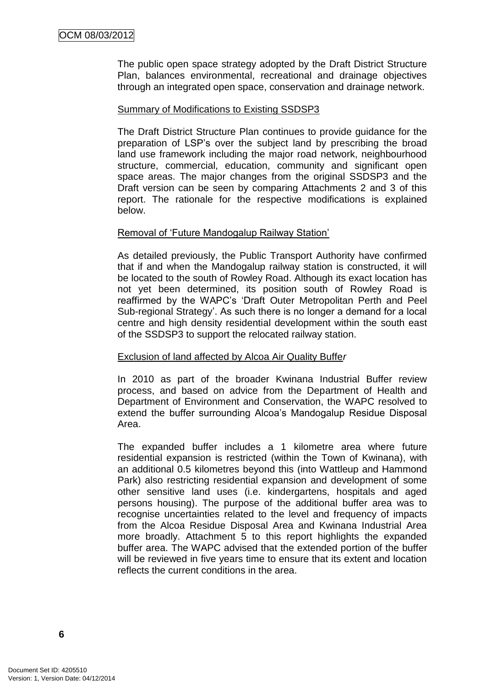The public open space strategy adopted by the Draft District Structure Plan, balances environmental, recreational and drainage objectives through an integrated open space, conservation and drainage network.

## Summary of Modifications to Existing SSDSP3

The Draft District Structure Plan continues to provide guidance for the preparation of LSP"s over the subject land by prescribing the broad land use framework including the major road network, neighbourhood structure, commercial, education, community and significant open space areas. The major changes from the original SSDSP3 and the Draft version can be seen by comparing Attachments 2 and 3 of this report. The rationale for the respective modifications is explained below.

#### Removal of "Future Mandogalup Railway Station"

As detailed previously, the Public Transport Authority have confirmed that if and when the Mandogalup railway station is constructed, it will be located to the south of Rowley Road. Although its exact location has not yet been determined, its position south of Rowley Road is reaffirmed by the WAPC"s "Draft Outer Metropolitan Perth and Peel Sub-regional Strategy'. As such there is no longer a demand for a local centre and high density residential development within the south east of the SSDSP3 to support the relocated railway station.

#### Exclusion of land affected by Alcoa Air Quality Buffe*r*

In 2010 as part of the broader Kwinana Industrial Buffer review process, and based on advice from the Department of Health and Department of Environment and Conservation, the WAPC resolved to extend the buffer surrounding Alcoa's Mandogalup Residue Disposal Area.

The expanded buffer includes a 1 kilometre area where future residential expansion is restricted (within the Town of Kwinana), with an additional 0.5 kilometres beyond this (into Wattleup and Hammond Park) also restricting residential expansion and development of some other sensitive land uses (i.e. kindergartens, hospitals and aged persons housing). The purpose of the additional buffer area was to recognise uncertainties related to the level and frequency of impacts from the Alcoa Residue Disposal Area and Kwinana Industrial Area more broadly. Attachment 5 to this report highlights the expanded buffer area. The WAPC advised that the extended portion of the buffer will be reviewed in five years time to ensure that its extent and location reflects the current conditions in the area.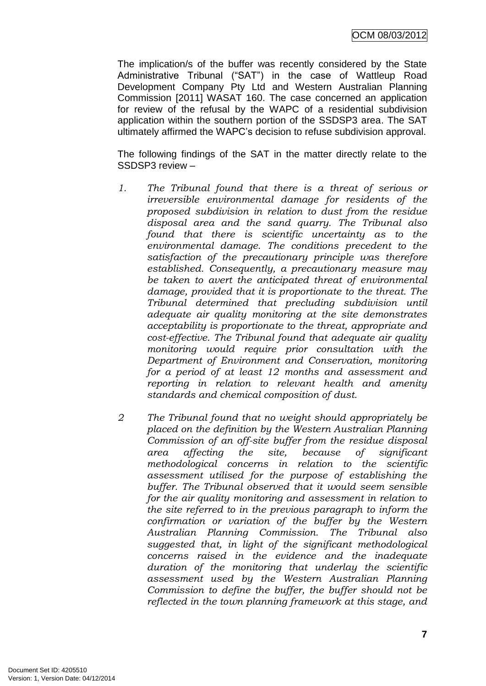OCM 08/03/2012

The implication/s of the buffer was recently considered by the State Administrative Tribunal ("SAT") in the case of Wattleup Road Development Company Pty Ltd and Western Australian Planning Commission [2011] WASAT 160. The case concerned an application for review of the refusal by the WAPC of a residential subdivision application within the southern portion of the SSDSP3 area. The SAT ultimately affirmed the WAPC"s decision to refuse subdivision approval.

The following findings of the SAT in the matter directly relate to the SSDSP3 review –

- *1. The Tribunal found that there is a threat of serious or irreversible environmental damage for residents of the proposed subdivision in relation to dust from the residue disposal area and the sand quarry. The Tribunal also found that there is scientific uncertainty as to the environmental damage. The conditions precedent to the satisfaction of the precautionary principle was therefore established. Consequently, a precautionary measure may be taken to avert the anticipated threat of environmental damage, provided that it is proportionate to the threat. The Tribunal determined that precluding subdivision until adequate air quality monitoring at the site demonstrates acceptability is proportionate to the threat, appropriate and cost-effective. The Tribunal found that adequate air quality monitoring would require prior consultation with the Department of Environment and Conservation, monitoring for a period of at least 12 months and assessment and reporting in relation to relevant health and amenity standards and chemical composition of dust.*
- *2 The Tribunal found that no weight should appropriately be placed on the definition by the Western Australian Planning Commission of an off-site buffer from the residue disposal area affecting the site, because of significant methodological concerns in relation to the scientific assessment utilised for the purpose of establishing the buffer. The Tribunal observed that it would seem sensible for the air quality monitoring and assessment in relation to the site referred to in the previous paragraph to inform the confirmation or variation of the buffer by the Western Australian Planning Commission. The Tribunal also suggested that, in light of the significant methodological concerns raised in the evidence and the inadequate duration of the monitoring that underlay the scientific assessment used by the Western Australian Planning Commission to define the buffer, the buffer should not be reflected in the town planning framework at this stage, and*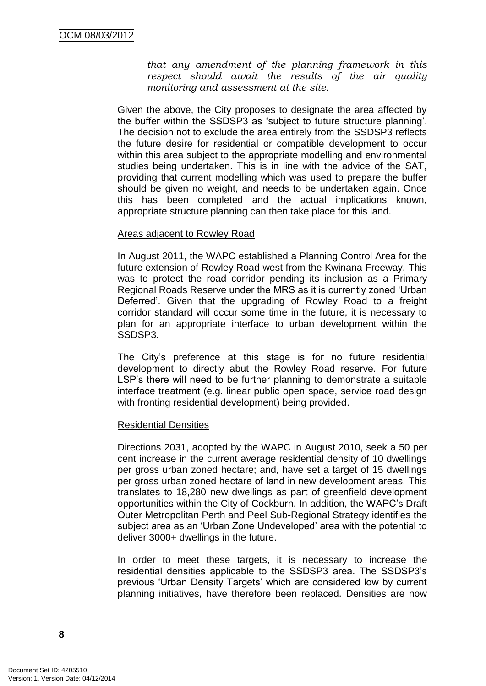*that any amendment of the planning framework in this respect should await the results of the air quality monitoring and assessment at the site.*

Given the above, the City proposes to designate the area affected by the buffer within the SSDSP3 as "subject to future structure planning". The decision not to exclude the area entirely from the SSDSP3 reflects the future desire for residential or compatible development to occur within this area subject to the appropriate modelling and environmental studies being undertaken. This is in line with the advice of the SAT, providing that current modelling which was used to prepare the buffer should be given no weight, and needs to be undertaken again. Once this has been completed and the actual implications known, appropriate structure planning can then take place for this land.

#### Areas adjacent to Rowley Road

In August 2011, the WAPC established a Planning Control Area for the future extension of Rowley Road west from the Kwinana Freeway. This was to protect the road corridor pending its inclusion as a Primary Regional Roads Reserve under the MRS as it is currently zoned "Urban Deferred'. Given that the upgrading of Rowley Road to a freight corridor standard will occur some time in the future, it is necessary to plan for an appropriate interface to urban development within the SSDSP3.

The City's preference at this stage is for no future residential development to directly abut the Rowley Road reserve. For future LSP's there will need to be further planning to demonstrate a suitable interface treatment (e.g. linear public open space, service road design with fronting residential development) being provided.

#### Residential Densities

Directions 2031, adopted by the WAPC in August 2010, seek a 50 per cent increase in the current average residential density of 10 dwellings per gross urban zoned hectare; and, have set a target of 15 dwellings per gross urban zoned hectare of land in new development areas. This translates to 18,280 new dwellings as part of greenfield development opportunities within the City of Cockburn. In addition, the WAPC"s Draft Outer Metropolitan Perth and Peel Sub-Regional Strategy identifies the subject area as an "Urban Zone Undeveloped" area with the potential to deliver 3000+ dwellings in the future.

In order to meet these targets, it is necessary to increase the residential densities applicable to the SSDSP3 area. The SSDSP3"s previous "Urban Density Targets" which are considered low by current planning initiatives, have therefore been replaced. Densities are now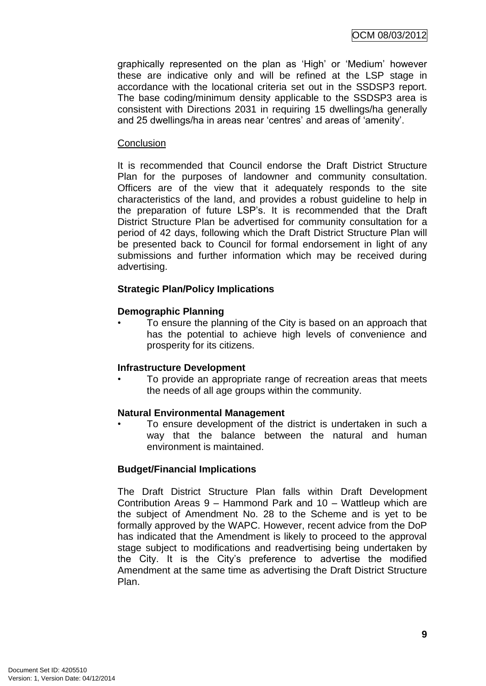graphically represented on the plan as "High" or "Medium" however these are indicative only and will be refined at the LSP stage in accordance with the locational criteria set out in the SSDSP3 report. The base coding/minimum density applicable to the SSDSP3 area is consistent with Directions 2031 in requiring 15 dwellings/ha generally and 25 dwellings/ha in areas near 'centres' and areas of 'amenity'.

#### **Conclusion**

It is recommended that Council endorse the Draft District Structure Plan for the purposes of landowner and community consultation. Officers are of the view that it adequately responds to the site characteristics of the land, and provides a robust guideline to help in the preparation of future LSP"s. It is recommended that the Draft District Structure Plan be advertised for community consultation for a period of 42 days, following which the Draft District Structure Plan will be presented back to Council for formal endorsement in light of any submissions and further information which may be received during advertising.

# **Strategic Plan/Policy Implications**

#### **Demographic Planning**

• To ensure the planning of the City is based on an approach that has the potential to achieve high levels of convenience and prosperity for its citizens.

#### **Infrastructure Development**

• To provide an appropriate range of recreation areas that meets the needs of all age groups within the community.

#### **Natural Environmental Management**

To ensure development of the district is undertaken in such a way that the balance between the natural and human environment is maintained.

#### **Budget/Financial Implications**

The Draft District Structure Plan falls within Draft Development Contribution Areas 9 – Hammond Park and 10 – Wattleup which are the subject of Amendment No. 28 to the Scheme and is yet to be formally approved by the WAPC. However, recent advice from the DoP has indicated that the Amendment is likely to proceed to the approval stage subject to modifications and readvertising being undertaken by the City. It is the City"s preference to advertise the modified Amendment at the same time as advertising the Draft District Structure Plan.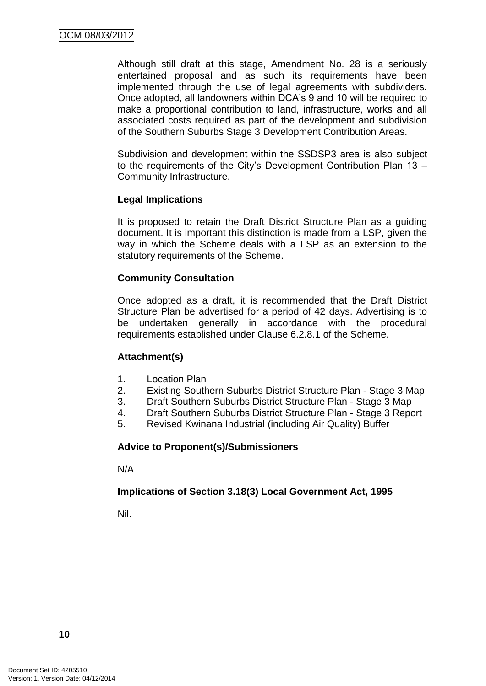Although still draft at this stage, Amendment No. 28 is a seriously entertained proposal and as such its requirements have been implemented through the use of legal agreements with subdividers. Once adopted, all landowners within DCA"s 9 and 10 will be required to make a proportional contribution to land, infrastructure, works and all associated costs required as part of the development and subdivision of the Southern Suburbs Stage 3 Development Contribution Areas.

Subdivision and development within the SSDSP3 area is also subject to the requirements of the City"s Development Contribution Plan 13 – Community Infrastructure.

#### **Legal Implications**

It is proposed to retain the Draft District Structure Plan as a guiding document. It is important this distinction is made from a LSP, given the way in which the Scheme deals with a LSP as an extension to the statutory requirements of the Scheme.

#### **Community Consultation**

Once adopted as a draft, it is recommended that the Draft District Structure Plan be advertised for a period of 42 days. Advertising is to be undertaken generally in accordance with the procedural requirements established under Clause 6.2.8.1 of the Scheme.

#### **Attachment(s)**

- 1. Location Plan
- 2. Existing Southern Suburbs District Structure Plan Stage 3 Map
- 3. Draft Southern Suburbs District Structure Plan Stage 3 Map
- 4. Draft Southern Suburbs District Structure Plan Stage 3 Report
- 5. Revised Kwinana Industrial (including Air Quality) Buffer

#### **Advice to Proponent(s)/Submissioners**

N/A

#### **Implications of Section 3.18(3) Local Government Act, 1995**

Nil.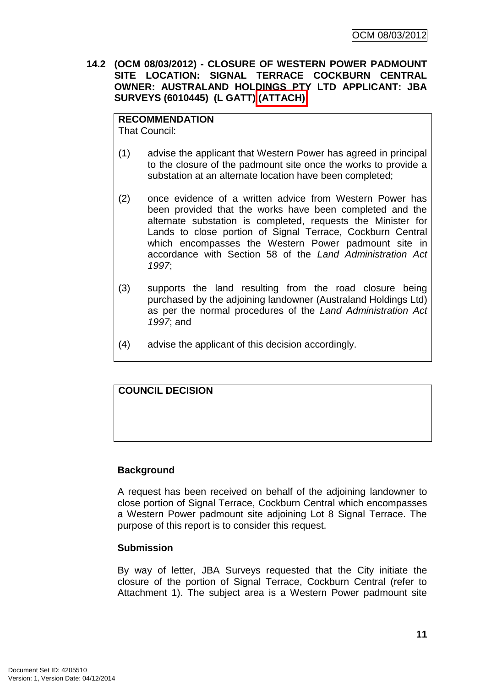**14.2 (OCM 08/03/2012) - CLOSURE OF WESTERN POWER PADMOUNT SITE LOCATION: SIGNAL TERRACE COCKBURN CENTRAL OWNER: AUSTRALAND HOLDINGS PTY LTD APPLICANT: JBA SURVEYS (6010445) (L GATT) (ATTACH)**

## **RECOMMENDATION**

That Council:

- (1) advise the applicant that Western Power has agreed in principal to the closure of the padmount site once the works to provide a substation at an alternate location have been completed;
- (2) once evidence of a written advice from Western Power has been provided that the works have been completed and the alternate substation is completed, requests the Minister for Lands to close portion of Signal Terrace, Cockburn Central which encompasses the Western Power padmount site in accordance with Section 58 of the *Land Administration Act 1997*;
- (3) supports the land resulting from the road closure being purchased by the adjoining landowner (Australand Holdings Ltd) as per the normal procedures of the *Land Administration Act 1997*; and
- (4) advise the applicant of this decision accordingly.

# **COUNCIL DECISION**

# **Background**

A request has been received on behalf of the adjoining landowner to close portion of Signal Terrace, Cockburn Central which encompasses a Western Power padmount site adjoining Lot 8 Signal Terrace. The purpose of this report is to consider this request.

#### **Submission**

By way of letter, JBA Surveys requested that the City initiate the closure of the portion of Signal Terrace, Cockburn Central (refer to Attachment 1). The subject area is a Western Power padmount site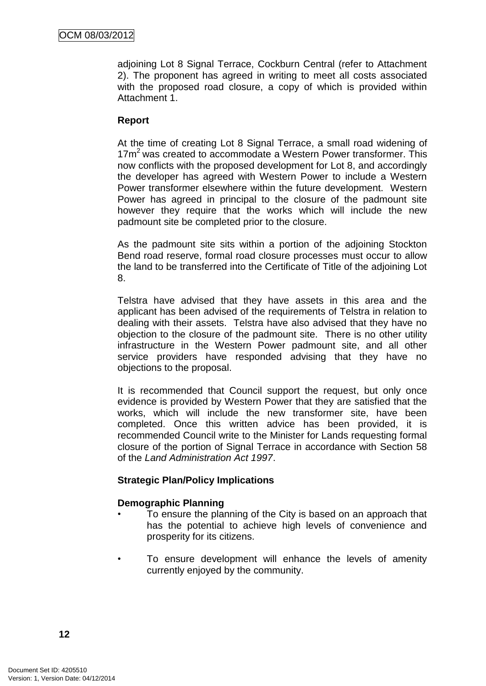adjoining Lot 8 Signal Terrace, Cockburn Central (refer to Attachment 2). The proponent has agreed in writing to meet all costs associated with the proposed road closure, a copy of which is provided within Attachment 1.

# **Report**

At the time of creating Lot 8 Signal Terrace, a small road widening of 17m<sup>2</sup> was created to accommodate a Western Power transformer. This now conflicts with the proposed development for Lot 8, and accordingly the developer has agreed with Western Power to include a Western Power transformer elsewhere within the future development. Western Power has agreed in principal to the closure of the padmount site however they require that the works which will include the new padmount site be completed prior to the closure.

As the padmount site sits within a portion of the adjoining Stockton Bend road reserve, formal road closure processes must occur to allow the land to be transferred into the Certificate of Title of the adjoining Lot 8.

Telstra have advised that they have assets in this area and the applicant has been advised of the requirements of Telstra in relation to dealing with their assets. Telstra have also advised that they have no objection to the closure of the padmount site. There is no other utility infrastructure in the Western Power padmount site, and all other service providers have responded advising that they have no objections to the proposal.

It is recommended that Council support the request, but only once evidence is provided by Western Power that they are satisfied that the works, which will include the new transformer site, have been completed. Once this written advice has been provided, it is recommended Council write to the Minister for Lands requesting formal closure of the portion of Signal Terrace in accordance with Section 58 of the *Land Administration Act 1997*.

#### **Strategic Plan/Policy Implications**

#### **Demographic Planning**

- To ensure the planning of the City is based on an approach that has the potential to achieve high levels of convenience and prosperity for its citizens.
- To ensure development will enhance the levels of amenity currently enjoyed by the community.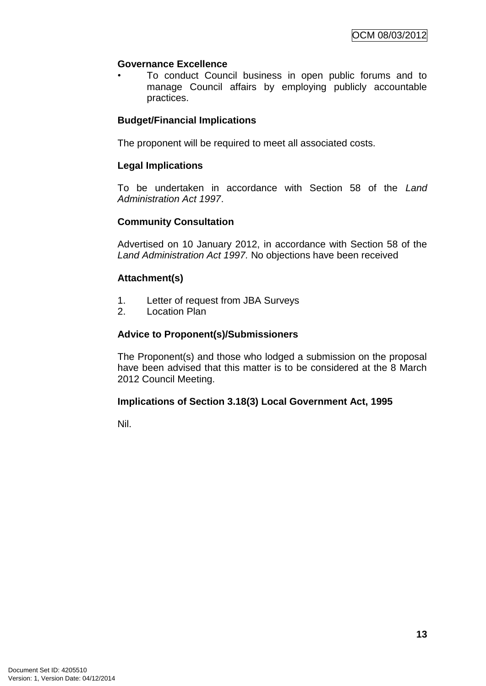# **Governance Excellence**

• To conduct Council business in open public forums and to manage Council affairs by employing publicly accountable practices.

# **Budget/Financial Implications**

The proponent will be required to meet all associated costs.

## **Legal Implications**

To be undertaken in accordance with Section 58 of the *Land Administration Act 1997*.

#### **Community Consultation**

Advertised on 10 January 2012, in accordance with Section 58 of the *Land Administration Act 1997.* No objections have been received

#### **Attachment(s)**

- 1. Letter of request from JBA Surveys
- 2. Location Plan

# **Advice to Proponent(s)/Submissioners**

The Proponent(s) and those who lodged a submission on the proposal have been advised that this matter is to be considered at the 8 March 2012 Council Meeting.

#### **Implications of Section 3.18(3) Local Government Act, 1995**

Nil.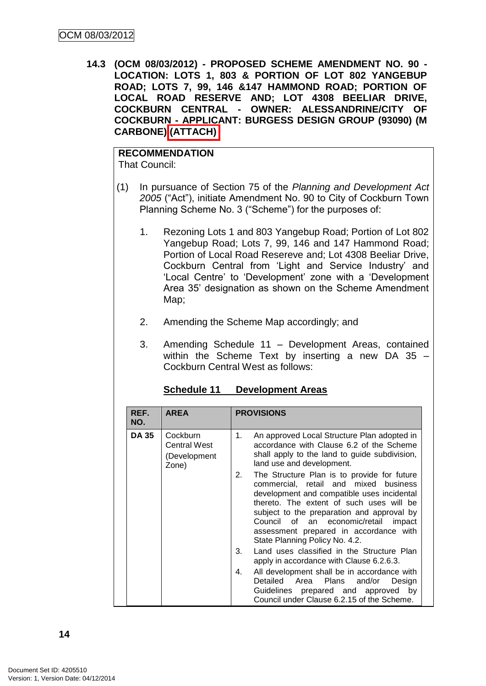**14.3 (OCM 08/03/2012) - PROPOSED SCHEME AMENDMENT NO. 90 - LOCATION: LOTS 1, 803 & PORTION OF LOT 802 YANGEBUP ROAD; LOTS 7, 99, 146 &147 HAMMOND ROAD; PORTION OF LOCAL ROAD RESERVE AND; LOT 4308 BEELIAR DRIVE, COCKBURN CENTRAL - OWNER: ALESSANDRINE/CITY OF COCKBURN - APPLICANT: BURGESS DESIGN GROUP (93090) (M CARBONE) (ATTACH)**

# **RECOMMENDATION**

That Council:

- (1) In pursuance of Section 75 of the *Planning and Development Act 2005* ("Act"), initiate Amendment No. 90 to City of Cockburn Town Planning Scheme No. 3 ("Scheme") for the purposes of:
	- 1. Rezoning Lots 1 and 803 Yangebup Road; Portion of Lot 802 Yangebup Road; Lots 7, 99, 146 and 147 Hammond Road; Portion of Local Road Resereve and; Lot 4308 Beeliar Drive, Cockburn Central from "Light and Service Industry" and 'Local Centre' to 'Development' zone with a 'Development Area 35" designation as shown on the Scheme Amendment Map;
	- 2. Amending the Scheme Map accordingly; and
	- 3. Amending Schedule 11 Development Areas, contained within the Scheme Text by inserting a new DA 35 – Cockburn Central West as follows:

| REF.<br>NO.  | <b>AREA</b>                                              | <b>PROVISIONS</b>                                                                                                                                                                                                                                                                                                                                         |  |
|--------------|----------------------------------------------------------|-----------------------------------------------------------------------------------------------------------------------------------------------------------------------------------------------------------------------------------------------------------------------------------------------------------------------------------------------------------|--|
| <b>DA 35</b> | Cockburn<br><b>Central West</b><br>(Development<br>Zone) | An approved Local Structure Plan adopted in<br>1.<br>accordance with Clause 6.2 of the Scheme<br>shall apply to the land to guide subdivision,<br>land use and development.                                                                                                                                                                               |  |
|              |                                                          | The Structure Plan is to provide for future<br>2.<br>commercial, retail and mixed business<br>development and compatible uses incidental<br>thereto. The extent of such uses will be<br>subject to the preparation and approval by<br>Council of an economic/retail<br>impact<br>assessment prepared in accordance with<br>State Planning Policy No. 4.2. |  |
|              |                                                          | Land uses classified in the Structure Plan<br>3.<br>apply in accordance with Clause 6.2.6.3.                                                                                                                                                                                                                                                              |  |
|              |                                                          | All development shall be in accordance with<br>4.<br>Detailed Area Plans<br>and/or<br>Design<br>Guidelines prepared and approved by<br>Council under Clause 6.2.15 of the Scheme.                                                                                                                                                                         |  |

# **Schedule 11 Development Areas**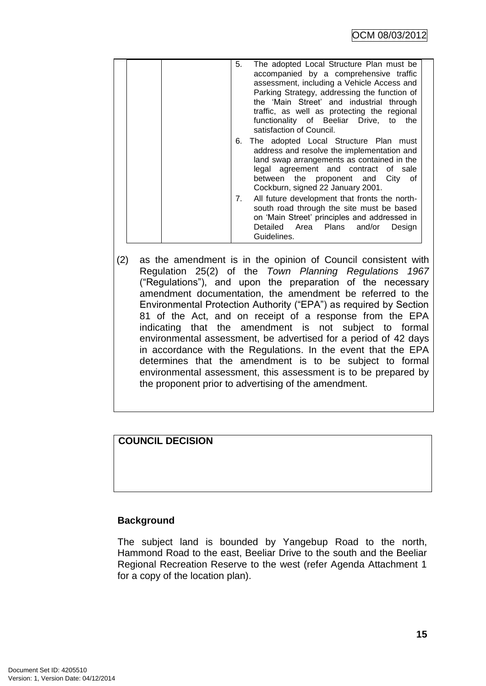| 5.<br>The adopted Local Structure Plan must be<br>accompanied by a comprehensive traffic<br>assessment, including a Vehicle Access and<br>Parking Strategy, addressing the function of<br>the 'Main Street' and industrial through<br>traffic, as well as protecting the regional<br>functionality of Beeliar Drive, to the<br>satisfaction of Council. |
|---------------------------------------------------------------------------------------------------------------------------------------------------------------------------------------------------------------------------------------------------------------------------------------------------------------------------------------------------------|
| 6. The adopted Local Structure Plan must<br>address and resolve the implementation and<br>land swap arrangements as contained in the<br>legal agreement and contract of sale<br>between the proponent and City of<br>Cockburn, signed 22 January 2001.                                                                                                  |
| 7. All future development that fronts the north-<br>south road through the site must be based<br>on 'Main Street' principles and addressed in<br>Detailed Area Plans and/or<br>Design<br>Guidelines.                                                                                                                                                    |

(2) as the amendment is in the opinion of Council consistent with Regulation 25(2) of the *Town Planning Regulations 1967* ("Regulations"), and upon the preparation of the necessary amendment documentation, the amendment be referred to the Environmental Protection Authority ("EPA") as required by Section 81 of the Act, and on receipt of a response from the EPA indicating that the amendment is not subject to formal environmental assessment, be advertised for a period of 42 days in accordance with the Regulations. In the event that the EPA determines that the amendment is to be subject to formal environmental assessment, this assessment is to be prepared by the proponent prior to advertising of the amendment.

# **COUNCIL DECISION**

#### **Background**

The subject land is bounded by Yangebup Road to the north, Hammond Road to the east, Beeliar Drive to the south and the Beeliar Regional Recreation Reserve to the west (refer Agenda Attachment 1 for a copy of the location plan).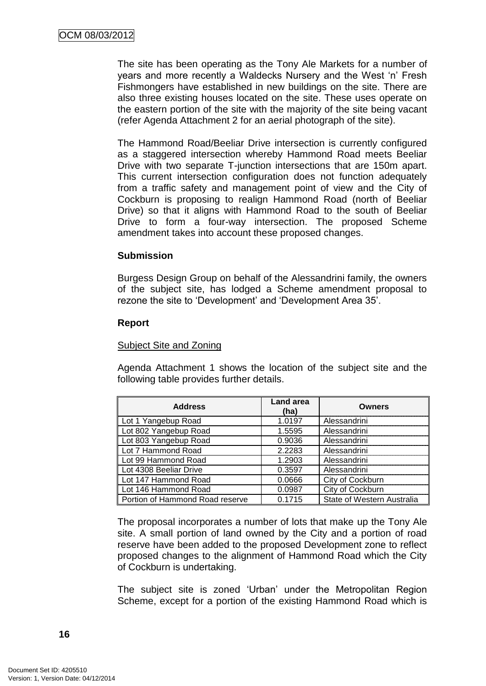The site has been operating as the Tony Ale Markets for a number of years and more recently a Waldecks Nursery and the West "n" Fresh Fishmongers have established in new buildings on the site. There are also three existing houses located on the site. These uses operate on the eastern portion of the site with the majority of the site being vacant (refer Agenda Attachment 2 for an aerial photograph of the site).

The Hammond Road/Beeliar Drive intersection is currently configured as a staggered intersection whereby Hammond Road meets Beeliar Drive with two separate T-junction intersections that are 150m apart. This current intersection configuration does not function adequately from a traffic safety and management point of view and the City of Cockburn is proposing to realign Hammond Road (north of Beeliar Drive) so that it aligns with Hammond Road to the south of Beeliar Drive to form a four-way intersection. The proposed Scheme amendment takes into account these proposed changes.

#### **Submission**

Burgess Design Group on behalf of the Alessandrini family, the owners of the subject site, has lodged a Scheme amendment proposal to rezone the site to "Development" and "Development Area 35".

#### **Report**

#### Subject Site and Zoning

Agenda Attachment 1 shows the location of the subject site and the following table provides further details.

| <b>Address</b>                  | <b>Land area</b><br>(ha) | <b>Owners</b>              |
|---------------------------------|--------------------------|----------------------------|
| Lot 1 Yangebup Road             | 1.0197                   | Alessandrini               |
| Lot 802 Yangebup Road           | 1.5595                   | Alessandrini               |
| Lot 803 Yangebup Road           | 0.9036                   | Alessandrini               |
| Lot 7 Hammond Road              | 2.2283                   | Alessandrini               |
| Lot 99 Hammond Road             | 1.2903                   | Alessandrini               |
| Lot 4308 Beeliar Drive          | 0.3597                   | Alessandrini               |
| Lot 147 Hammond Road            | 0.0666                   | City of Cockburn           |
| Lot 146 Hammond Road            | 0.0987                   | City of Cockburn           |
| Portion of Hammond Road reserve | 0.1715                   | State of Western Australia |

The proposal incorporates a number of lots that make up the Tony Ale site. A small portion of land owned by the City and a portion of road reserve have been added to the proposed Development zone to reflect proposed changes to the alignment of Hammond Road which the City of Cockburn is undertaking.

The subject site is zoned "Urban" under the Metropolitan Region Scheme, except for a portion of the existing Hammond Road which is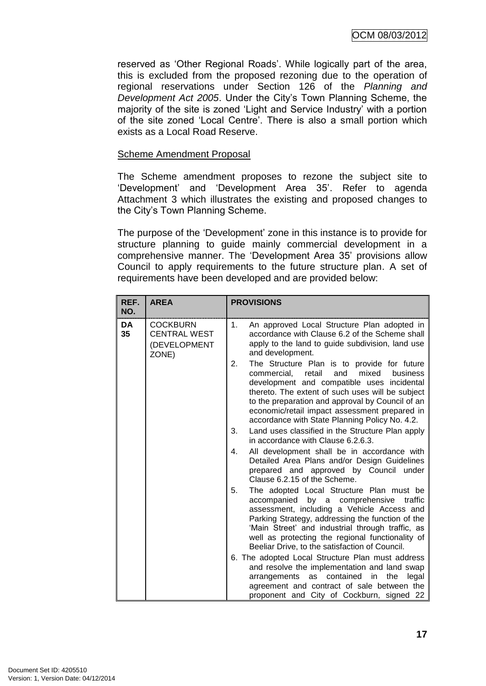reserved as "Other Regional Roads". While logically part of the area, this is excluded from the proposed rezoning due to the operation of regional reservations under Section 126 of the *Planning and Development Act 2005*. Under the City"s Town Planning Scheme, the majority of the site is zoned "Light and Service Industry" with a portion of the site zoned "Local Centre". There is also a small portion which exists as a Local Road Reserve.

#### Scheme Amendment Proposal

The Scheme amendment proposes to rezone the subject site to "Development" and "Development Area 35". Refer to agenda Attachment 3 which illustrates the existing and proposed changes to the City"s Town Planning Scheme.

The purpose of the "Development" zone in this instance is to provide for structure planning to guide mainly commercial development in a comprehensive manner. The "Development Area 35" provisions allow Council to apply requirements to the future structure plan. A set of requirements have been developed and are provided below:

| REF.<br>NO. | <b>AREA</b>                                                     | <b>PROVISIONS</b>                                                                                                                                                                                                                                                                                                                                                                                                                                               |
|-------------|-----------------------------------------------------------------|-----------------------------------------------------------------------------------------------------------------------------------------------------------------------------------------------------------------------------------------------------------------------------------------------------------------------------------------------------------------------------------------------------------------------------------------------------------------|
| DA<br>35    | <b>COCKBURN</b><br><b>CENTRAL WEST</b><br>(DEVELOPMENT<br>ZONE) | An approved Local Structure Plan adopted in<br>1.<br>accordance with Clause 6.2 of the Scheme shall<br>apply to the land to guide subdivision, land use<br>and development.                                                                                                                                                                                                                                                                                     |
|             |                                                                 | 2.<br>The Structure Plan is to provide for future<br>mixed<br>business<br>commercial,<br>retail<br>and<br>development and compatible uses incidental<br>thereto. The extent of such uses will be subject<br>to the preparation and approval by Council of an<br>economic/retail impact assessment prepared in<br>accordance with State Planning Policy No. 4.2.<br>Land uses classified in the Structure Plan apply<br>3.<br>in accordance with Clause 6.2.6.3. |
|             |                                                                 | All development shall be in accordance with<br>4.<br>Detailed Area Plans and/or Design Guidelines<br>prepared and approved by Council under<br>Clause 6.2.15 of the Scheme.                                                                                                                                                                                                                                                                                     |
|             |                                                                 | The adopted Local Structure Plan must be<br>5.<br>accompanied<br>by a<br>comprehensive<br>traffic<br>assessment, including a Vehicle Access and<br>Parking Strategy, addressing the function of the<br>'Main Street' and industrial through traffic, as<br>well as protecting the regional functionality of<br>Beeliar Drive, to the satisfaction of Council.                                                                                                   |
|             |                                                                 | 6. The adopted Local Structure Plan must address<br>and resolve the implementation and land swap<br>arrangements as contained<br>in<br>the<br>legal<br>agreement and contract of sale between the<br>proponent and City of Cockburn, signed 22                                                                                                                                                                                                                  |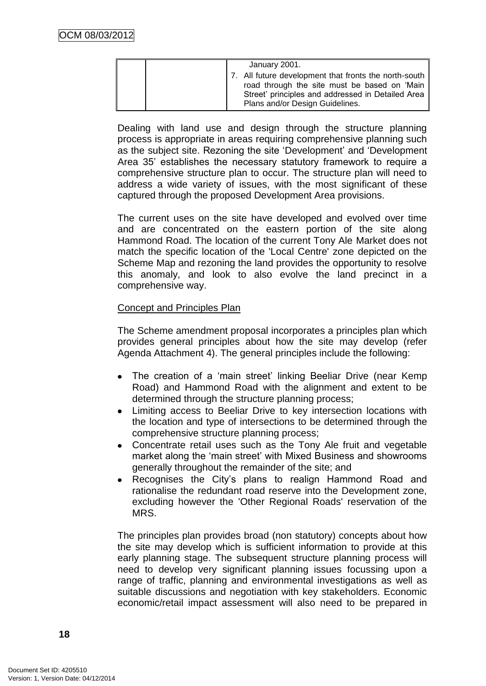| January 2001.                                                                                                                                                                                 |
|-----------------------------------------------------------------------------------------------------------------------------------------------------------------------------------------------|
| 7. All future development that fronts the north-south<br>road through the site must be based on 'Main<br>Street' principles and addressed in Detailed Area<br>Plans and/or Design Guidelines. |

Dealing with land use and design through the structure planning process is appropriate in areas requiring comprehensive planning such as the subject site. Rezoning the site "Development" and "Development Area 35" establishes the necessary statutory framework to require a comprehensive structure plan to occur. The structure plan will need to address a wide variety of issues, with the most significant of these captured through the proposed Development Area provisions.

The current uses on the site have developed and evolved over time and are concentrated on the eastern portion of the site along Hammond Road. The location of the current Tony Ale Market does not match the specific location of the 'Local Centre' zone depicted on the Scheme Map and rezoning the land provides the opportunity to resolve this anomaly, and look to also evolve the land precinct in a comprehensive way.

#### Concept and Principles Plan

The Scheme amendment proposal incorporates a principles plan which provides general principles about how the site may develop (refer Agenda Attachment 4). The general principles include the following:

- The creation of a 'main street' linking Beeliar Drive (near Kemp Road) and Hammond Road with the alignment and extent to be determined through the structure planning process;
- Limiting access to Beeliar Drive to key intersection locations with the location and type of intersections to be determined through the comprehensive structure planning process;
- Concentrate retail uses such as the Tony Ale fruit and vegetable market along the "main street" with Mixed Business and showrooms generally throughout the remainder of the site; and
- Recognises the City"s plans to realign Hammond Road and rationalise the redundant road reserve into the Development zone, excluding however the 'Other Regional Roads' reservation of the MRS.

The principles plan provides broad (non statutory) concepts about how the site may develop which is sufficient information to provide at this early planning stage. The subsequent structure planning process will need to develop very significant planning issues focussing upon a range of traffic, planning and environmental investigations as well as suitable discussions and negotiation with key stakeholders. Economic economic/retail impact assessment will also need to be prepared in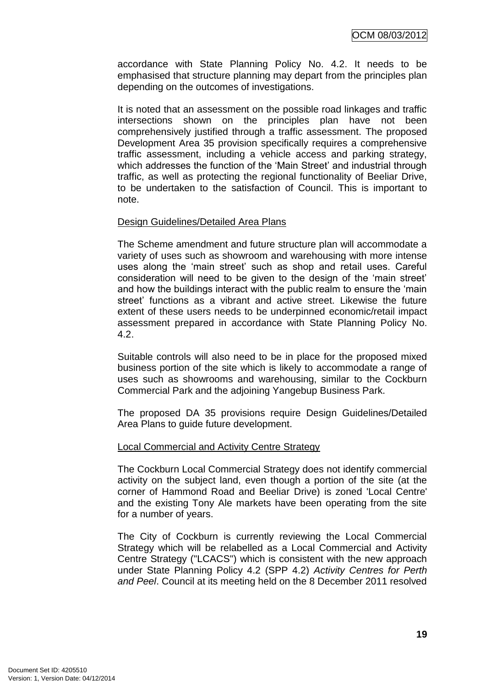accordance with State Planning Policy No. 4.2. It needs to be emphasised that structure planning may depart from the principles plan depending on the outcomes of investigations.

It is noted that an assessment on the possible road linkages and traffic intersections shown on the principles plan have not been comprehensively justified through a traffic assessment. The proposed Development Area 35 provision specifically requires a comprehensive traffic assessment, including a vehicle access and parking strategy, which addresses the function of the 'Main Street' and industrial through traffic, as well as protecting the regional functionality of Beeliar Drive, to be undertaken to the satisfaction of Council. This is important to note.

#### Design Guidelines/Detailed Area Plans

The Scheme amendment and future structure plan will accommodate a variety of uses such as showroom and warehousing with more intense uses along the "main street" such as shop and retail uses. Careful consideration will need to be given to the design of the "main street" and how the buildings interact with the public realm to ensure the "main street' functions as a vibrant and active street. Likewise the future extent of these users needs to be underpinned economic/retail impact assessment prepared in accordance with State Planning Policy No. 4.2.

Suitable controls will also need to be in place for the proposed mixed business portion of the site which is likely to accommodate a range of uses such as showrooms and warehousing, similar to the Cockburn Commercial Park and the adjoining Yangebup Business Park.

The proposed DA 35 provisions require Design Guidelines/Detailed Area Plans to guide future development.

#### Local Commercial and Activity Centre Strategy

The Cockburn Local Commercial Strategy does not identify commercial activity on the subject land, even though a portion of the site (at the corner of Hammond Road and Beeliar Drive) is zoned 'Local Centre' and the existing Tony Ale markets have been operating from the site for a number of years.

The City of Cockburn is currently reviewing the Local Commercial Strategy which will be relabelled as a Local Commercial and Activity Centre Strategy ("LCACS") which is consistent with the new approach under State Planning Policy 4.2 (SPP 4.2) *Activity Centres for Perth and Peel*. Council at its meeting held on the 8 December 2011 resolved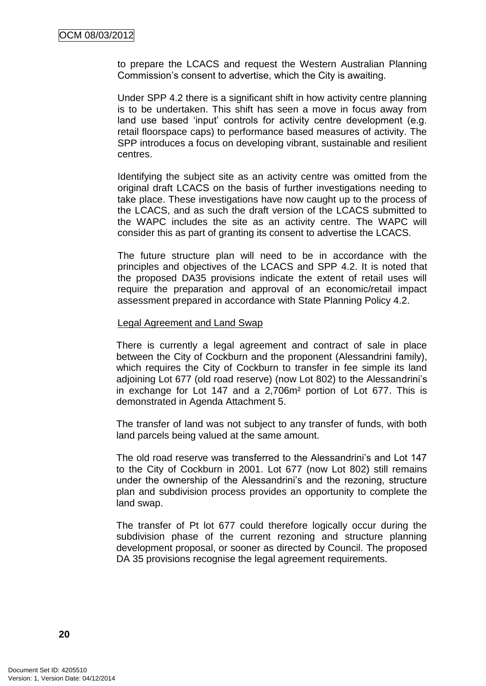to prepare the LCACS and request the Western Australian Planning Commission"s consent to advertise, which the City is awaiting.

Under SPP 4.2 there is a significant shift in how activity centre planning is to be undertaken. This shift has seen a move in focus away from land use based 'input' controls for activity centre development (e.g. retail floorspace caps) to performance based measures of activity. The SPP introduces a focus on developing vibrant, sustainable and resilient centres.

Identifying the subject site as an activity centre was omitted from the original draft LCACS on the basis of further investigations needing to take place. These investigations have now caught up to the process of the LCACS, and as such the draft version of the LCACS submitted to the WAPC includes the site as an activity centre. The WAPC will consider this as part of granting its consent to advertise the LCACS.

The future structure plan will need to be in accordance with the principles and objectives of the LCACS and SPP 4.2. It is noted that the proposed DA35 provisions indicate the extent of retail uses will require the preparation and approval of an economic/retail impact assessment prepared in accordance with State Planning Policy 4.2.

#### Legal Agreement and Land Swap

There is currently a legal agreement and contract of sale in place between the City of Cockburn and the proponent (Alessandrini family), which requires the City of Cockburn to transfer in fee simple its land adjoining Lot 677 (old road reserve) (now Lot 802) to the Alessandrini"s in exchange for Lot 147 and a 2,706m² portion of Lot 677. This is demonstrated in Agenda Attachment 5.

The transfer of land was not subject to any transfer of funds, with both land parcels being valued at the same amount.

The old road reserve was transferred to the Alessandrini"s and Lot 147 to the City of Cockburn in 2001. Lot 677 (now Lot 802) still remains under the ownership of the Alessandrini"s and the rezoning, structure plan and subdivision process provides an opportunity to complete the land swap.

The transfer of Pt lot 677 could therefore logically occur during the subdivision phase of the current rezoning and structure planning development proposal, or sooner as directed by Council. The proposed DA 35 provisions recognise the legal agreement requirements.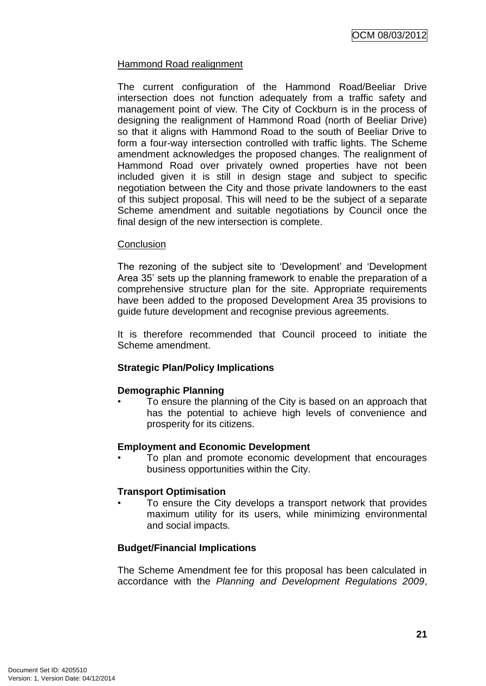# Hammond Road realignment

The current configuration of the Hammond Road/Beeliar Drive intersection does not function adequately from a traffic safety and management point of view. The City of Cockburn is in the process of designing the realignment of Hammond Road (north of Beeliar Drive) so that it aligns with Hammond Road to the south of Beeliar Drive to form a four-way intersection controlled with traffic lights. The Scheme amendment acknowledges the proposed changes. The realignment of Hammond Road over privately owned properties have not been included given it is still in design stage and subject to specific negotiation between the City and those private landowners to the east of this subject proposal. This will need to be the subject of a separate Scheme amendment and suitable negotiations by Council once the final design of the new intersection is complete.

#### **Conclusion**

The rezoning of the subject site to "Development" and "Development Area 35" sets up the planning framework to enable the preparation of a comprehensive structure plan for the site. Appropriate requirements have been added to the proposed Development Area 35 provisions to guide future development and recognise previous agreements.

It is therefore recommended that Council proceed to initiate the Scheme amendment.

# **Strategic Plan/Policy Implications**

#### **Demographic Planning**

• To ensure the planning of the City is based on an approach that has the potential to achieve high levels of convenience and prosperity for its citizens.

#### **Employment and Economic Development**

• To plan and promote economic development that encourages business opportunities within the City.

#### **Transport Optimisation**

To ensure the City develops a transport network that provides maximum utility for its users, while minimizing environmental and social impacts.

#### **Budget/Financial Implications**

The Scheme Amendment fee for this proposal has been calculated in accordance with the *Planning and Development Regulations 2009*,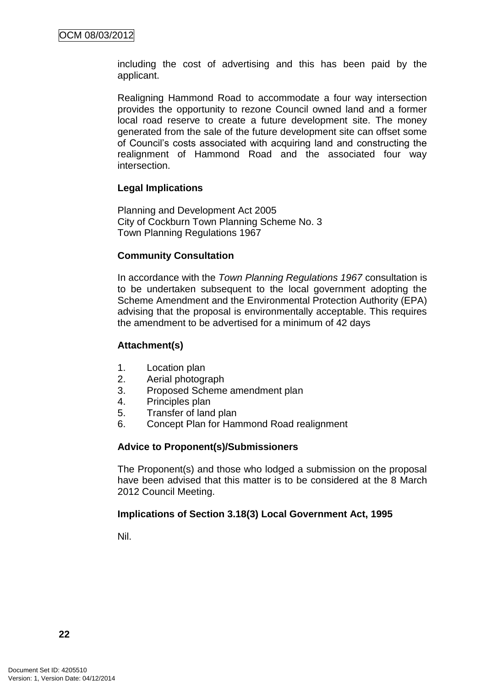including the cost of advertising and this has been paid by the applicant.

Realigning Hammond Road to accommodate a four way intersection provides the opportunity to rezone Council owned land and a former local road reserve to create a future development site. The money generated from the sale of the future development site can offset some of Council"s costs associated with acquiring land and constructing the realignment of Hammond Road and the associated four way intersection.

#### **Legal Implications**

Planning and Development Act 2005 City of Cockburn Town Planning Scheme No. 3 Town Planning Regulations 1967

#### **Community Consultation**

In accordance with the *Town Planning Regulations 1967* consultation is to be undertaken subsequent to the local government adopting the Scheme Amendment and the Environmental Protection Authority (EPA) advising that the proposal is environmentally acceptable. This requires the amendment to be advertised for a minimum of 42 days

#### **Attachment(s)**

- 1. Location plan
- 2. Aerial photograph
- 3. Proposed Scheme amendment plan
- 4. Principles plan
- 5. Transfer of land plan
- 6. Concept Plan for Hammond Road realignment

#### **Advice to Proponent(s)/Submissioners**

The Proponent(s) and those who lodged a submission on the proposal have been advised that this matter is to be considered at the 8 March 2012 Council Meeting.

#### **Implications of Section 3.18(3) Local Government Act, 1995**

Nil.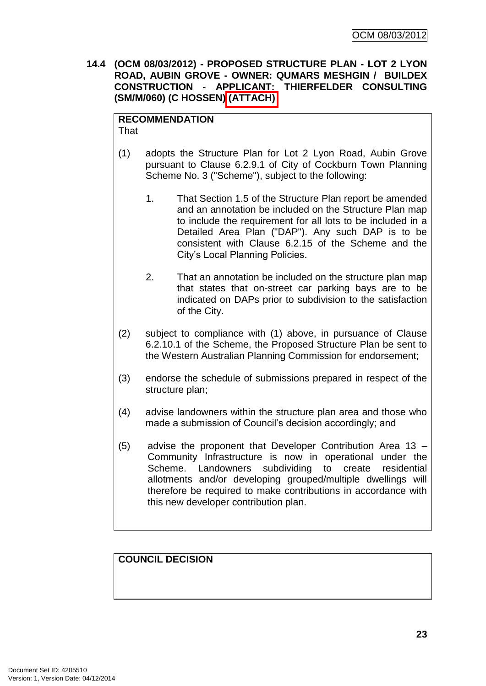**14.4 (OCM 08/03/2012) - PROPOSED STRUCTURE PLAN - LOT 2 LYON ROAD, AUBIN GROVE - OWNER: QUMARS MESHGIN / BUILDEX CONSTRUCTION - APPLICANT: THIERFELDER CONSULTING (SM/M/060) (C HOSSEN) (ATTACH)**

#### **RECOMMENDATION That**

- (1) adopts the Structure Plan for Lot 2 Lyon Road, Aubin Grove pursuant to Clause 6.2.9.1 of City of Cockburn Town Planning Scheme No. 3 ("Scheme"), subject to the following:
	- 1. That Section 1.5 of the Structure Plan report be amended and an annotation be included on the Structure Plan map to include the requirement for all lots to be included in a Detailed Area Plan ("DAP"). Any such DAP is to be consistent with Clause 6.2.15 of the Scheme and the City"s Local Planning Policies.
	- 2. That an annotation be included on the structure plan map that states that on-street car parking bays are to be indicated on DAPs prior to subdivision to the satisfaction of the City.
- (2) subject to compliance with (1) above, in pursuance of Clause 6.2.10.1 of the Scheme, the Proposed Structure Plan be sent to the Western Australian Planning Commission for endorsement;
- (3) endorse the schedule of submissions prepared in respect of the structure plan;
- (4) advise landowners within the structure plan area and those who made a submission of Council"s decision accordingly; and
- (5) advise the proponent that Developer Contribution Area 13 Community Infrastructure is now in operational under the Scheme. Landowners subdividing to create residential allotments and/or developing grouped/multiple dwellings will therefore be required to make contributions in accordance with this new developer contribution plan.

# **COUNCIL DECISION**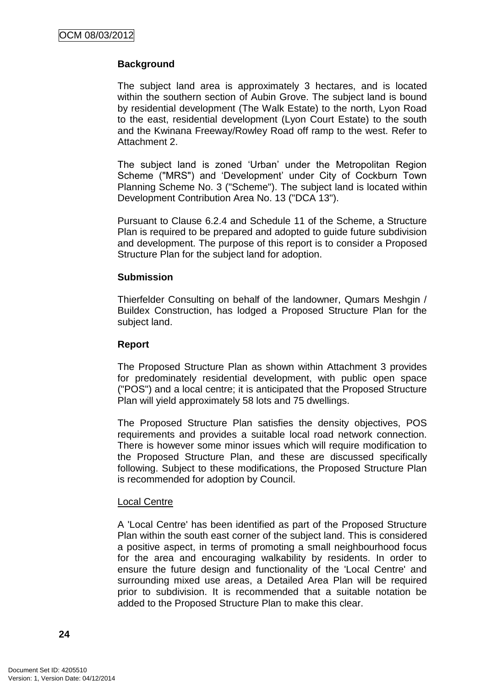# **Background**

The subject land area is approximately 3 hectares, and is located within the southern section of Aubin Grove. The subject land is bound by residential development (The Walk Estate) to the north, Lyon Road to the east, residential development (Lyon Court Estate) to the south and the Kwinana Freeway/Rowley Road off ramp to the west. Refer to Attachment 2.

The subject land is zoned "Urban" under the Metropolitan Region Scheme ("MRS") and "Development" under City of Cockburn Town Planning Scheme No. 3 ("Scheme"). The subject land is located within Development Contribution Area No. 13 ("DCA 13").

Pursuant to Clause 6.2.4 and Schedule 11 of the Scheme, a Structure Plan is required to be prepared and adopted to guide future subdivision and development. The purpose of this report is to consider a Proposed Structure Plan for the subject land for adoption.

#### **Submission**

Thierfelder Consulting on behalf of the landowner, Qumars Meshgin / Buildex Construction, has lodged a Proposed Structure Plan for the subject land.

## **Report**

The Proposed Structure Plan as shown within Attachment 3 provides for predominately residential development, with public open space ("POS") and a local centre; it is anticipated that the Proposed Structure Plan will yield approximately 58 lots and 75 dwellings.

The Proposed Structure Plan satisfies the density objectives, POS requirements and provides a suitable local road network connection. There is however some minor issues which will require modification to the Proposed Structure Plan, and these are discussed specifically following. Subject to these modifications, the Proposed Structure Plan is recommended for adoption by Council.

#### Local Centre

A 'Local Centre' has been identified as part of the Proposed Structure Plan within the south east corner of the subject land. This is considered a positive aspect, in terms of promoting a small neighbourhood focus for the area and encouraging walkability by residents. In order to ensure the future design and functionality of the 'Local Centre' and surrounding mixed use areas, a Detailed Area Plan will be required prior to subdivision. It is recommended that a suitable notation be added to the Proposed Structure Plan to make this clear.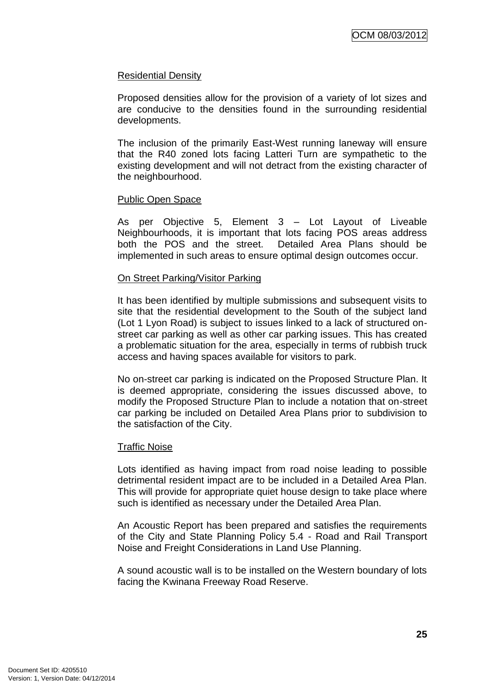#### Residential Density

Proposed densities allow for the provision of a variety of lot sizes and are conducive to the densities found in the surrounding residential developments.

The inclusion of the primarily East-West running laneway will ensure that the R40 zoned lots facing Latteri Turn are sympathetic to the existing development and will not detract from the existing character of the neighbourhood.

#### Public Open Space

As per Objective 5, Element 3 – Lot Layout of Liveable Neighbourhoods, it is important that lots facing POS areas address both the POS and the street. Detailed Area Plans should be implemented in such areas to ensure optimal design outcomes occur.

#### On Street Parking/Visitor Parking

It has been identified by multiple submissions and subsequent visits to site that the residential development to the South of the subject land (Lot 1 Lyon Road) is subject to issues linked to a lack of structured onstreet car parking as well as other car parking issues. This has created a problematic situation for the area, especially in terms of rubbish truck access and having spaces available for visitors to park.

No on-street car parking is indicated on the Proposed Structure Plan. It is deemed appropriate, considering the issues discussed above, to modify the Proposed Structure Plan to include a notation that on-street car parking be included on Detailed Area Plans prior to subdivision to the satisfaction of the City.

#### Traffic Noise

Lots identified as having impact from road noise leading to possible detrimental resident impact are to be included in a Detailed Area Plan. This will provide for appropriate quiet house design to take place where such is identified as necessary under the Detailed Area Plan.

An Acoustic Report has been prepared and satisfies the requirements of the City and State Planning Policy 5.4 - Road and Rail Transport Noise and Freight Considerations in Land Use Planning.

A sound acoustic wall is to be installed on the Western boundary of lots facing the Kwinana Freeway Road Reserve.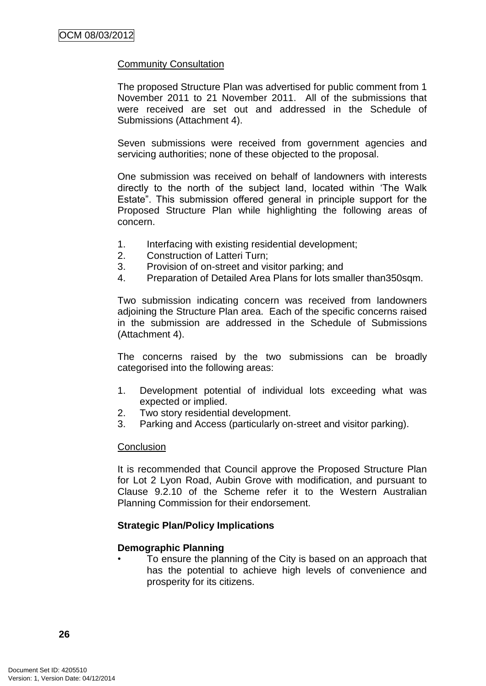# Community Consultation

The proposed Structure Plan was advertised for public comment from 1 November 2011 to 21 November 2011. All of the submissions that were received are set out and addressed in the Schedule of Submissions (Attachment 4).

Seven submissions were received from government agencies and servicing authorities; none of these objected to the proposal.

One submission was received on behalf of landowners with interests directly to the north of the subject land, located within "The Walk Estate". This submission offered general in principle support for the Proposed Structure Plan while highlighting the following areas of concern.

- 1. Interfacing with existing residential development;
- 2. Construction of Latteri Turn;
- 3. Provision of on-street and visitor parking; and
- 4. Preparation of Detailed Area Plans for lots smaller than350sqm.

Two submission indicating concern was received from landowners adjoining the Structure Plan area. Each of the specific concerns raised in the submission are addressed in the Schedule of Submissions (Attachment 4).

The concerns raised by the two submissions can be broadly categorised into the following areas:

- 1. Development potential of individual lots exceeding what was expected or implied.
- 2. Two story residential development.
- 3. Parking and Access (particularly on-street and visitor parking).

#### **Conclusion**

It is recommended that Council approve the Proposed Structure Plan for Lot 2 Lyon Road, Aubin Grove with modification, and pursuant to Clause 9.2.10 of the Scheme refer it to the Western Australian Planning Commission for their endorsement.

#### **Strategic Plan/Policy Implications**

#### **Demographic Planning**

• To ensure the planning of the City is based on an approach that has the potential to achieve high levels of convenience and prosperity for its citizens.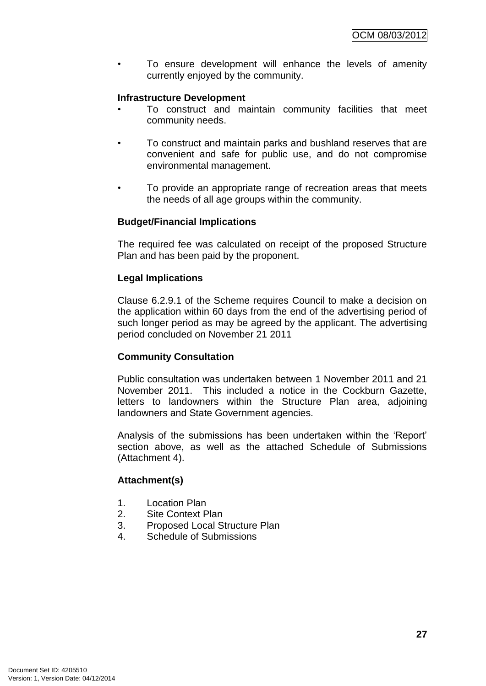To ensure development will enhance the levels of amenity currently enjoyed by the community.

## **Infrastructure Development**

- To construct and maintain community facilities that meet community needs.
- To construct and maintain parks and bushland reserves that are convenient and safe for public use, and do not compromise environmental management.
- To provide an appropriate range of recreation areas that meets the needs of all age groups within the community.

#### **Budget/Financial Implications**

The required fee was calculated on receipt of the proposed Structure Plan and has been paid by the proponent.

#### **Legal Implications**

Clause 6.2.9.1 of the Scheme requires Council to make a decision on the application within 60 days from the end of the advertising period of such longer period as may be agreed by the applicant. The advertising period concluded on November 21 2011

# **Community Consultation**

Public consultation was undertaken between 1 November 2011 and 21 November 2011. This included a notice in the Cockburn Gazette, letters to landowners within the Structure Plan area, adjoining landowners and State Government agencies.

Analysis of the submissions has been undertaken within the "Report" section above, as well as the attached Schedule of Submissions (Attachment 4).

# **Attachment(s)**

- 1. Location Plan
- 2. Site Context Plan
- 3. Proposed Local Structure Plan
- 4. Schedule of Submissions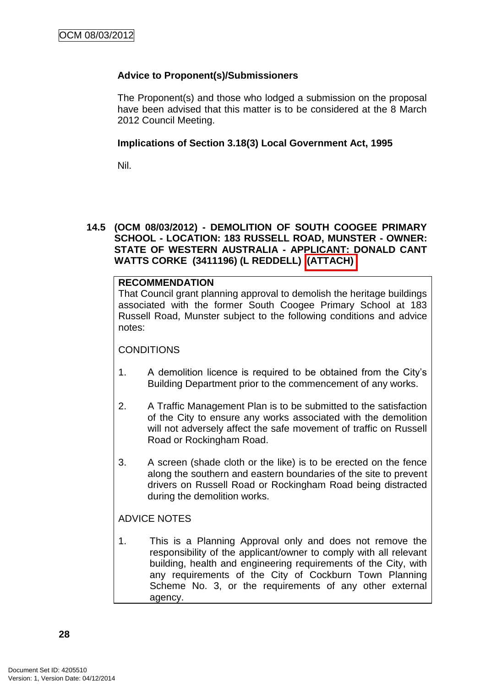# **Advice to Proponent(s)/Submissioners**

The Proponent(s) and those who lodged a submission on the proposal have been advised that this matter is to be considered at the 8 March 2012 Council Meeting.

## **Implications of Section 3.18(3) Local Government Act, 1995**

Nil.

# **14.5 (OCM 08/03/2012) - DEMOLITION OF SOUTH COOGEE PRIMARY SCHOOL - LOCATION: 183 RUSSELL ROAD, MUNSTER - OWNER: STATE OF WESTERN AUSTRALIA - APPLICANT: DONALD CANT WATTS CORKE (3411196) (L REDDELL) (ATTACH)**

# **RECOMMENDATION**

That Council grant planning approval to demolish the heritage buildings associated with the former South Coogee Primary School at 183 Russell Road, Munster subject to the following conditions and advice notes:

#### **CONDITIONS**

- 1. A demolition licence is required to be obtained from the City"s Building Department prior to the commencement of any works.
- 2. A Traffic Management Plan is to be submitted to the satisfaction of the City to ensure any works associated with the demolition will not adversely affect the safe movement of traffic on Russell Road or Rockingham Road.
- 3. A screen (shade cloth or the like) is to be erected on the fence along the southern and eastern boundaries of the site to prevent drivers on Russell Road or Rockingham Road being distracted during the demolition works.

# ADVICE NOTES

1. This is a Planning Approval only and does not remove the responsibility of the applicant/owner to comply with all relevant building, health and engineering requirements of the City, with any requirements of the City of Cockburn Town Planning Scheme No. 3, or the requirements of any other external agency.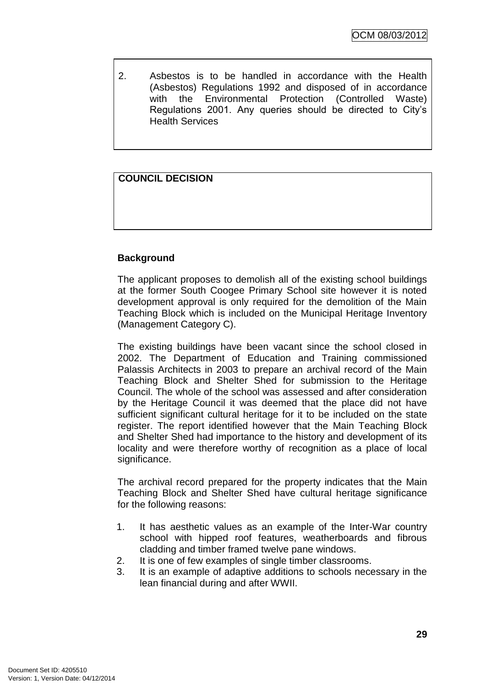2. Asbestos is to be handled in accordance with the Health (Asbestos) Regulations 1992 and disposed of in accordance with the Environmental Protection (Controlled Waste) Regulations 2001. Any queries should be directed to City"s Health Services

# **COUNCIL DECISION**

# **Background**

The applicant proposes to demolish all of the existing school buildings at the former South Coogee Primary School site however it is noted development approval is only required for the demolition of the Main Teaching Block which is included on the Municipal Heritage Inventory (Management Category C).

The existing buildings have been vacant since the school closed in 2002. The Department of Education and Training commissioned Palassis Architects in 2003 to prepare an archival record of the Main Teaching Block and Shelter Shed for submission to the Heritage Council. The whole of the school was assessed and after consideration by the Heritage Council it was deemed that the place did not have sufficient significant cultural heritage for it to be included on the state register. The report identified however that the Main Teaching Block and Shelter Shed had importance to the history and development of its locality and were therefore worthy of recognition as a place of local significance.

The archival record prepared for the property indicates that the Main Teaching Block and Shelter Shed have cultural heritage significance for the following reasons:

- 1. It has aesthetic values as an example of the Inter-War country school with hipped roof features, weatherboards and fibrous cladding and timber framed twelve pane windows.
- 2. It is one of few examples of single timber classrooms.
- 3. It is an example of adaptive additions to schools necessary in the lean financial during and after WWII.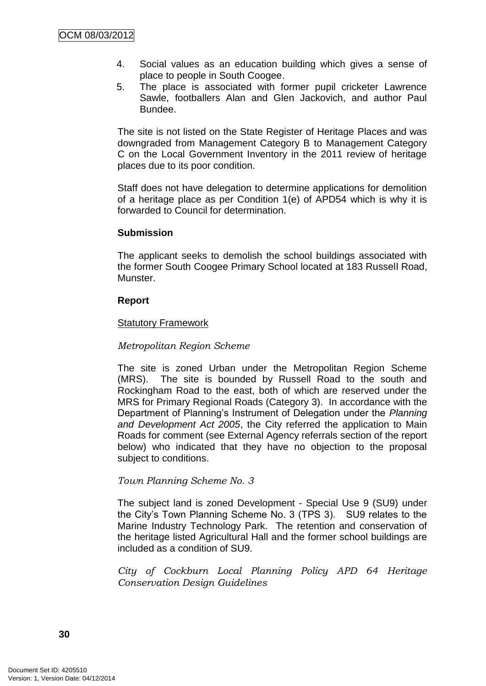- 4. Social values as an education building which gives a sense of place to people in South Coogee.
- 5. The place is associated with former pupil cricketer Lawrence Sawle, footballers Alan and Glen Jackovich, and author Paul Bundee.

The site is not listed on the State Register of Heritage Places and was downgraded from Management Category B to Management Category C on the Local Government Inventory in the 2011 review of heritage places due to its poor condition.

Staff does not have delegation to determine applications for demolition of a heritage place as per Condition 1(e) of APD54 which is why it is forwarded to Council for determination.

#### **Submission**

The applicant seeks to demolish the school buildings associated with the former South Coogee Primary School located at 183 Russell Road, Munster.

# **Report**

# Statutory Framework

## *Metropolitan Region Scheme*

The site is zoned Urban under the Metropolitan Region Scheme (MRS). The site is bounded by Russell Road to the south and Rockingham Road to the east, both of which are reserved under the MRS for Primary Regional Roads (Category 3). In accordance with the Department of Planning"s Instrument of Delegation under the *Planning and Development Act 2005*, the City referred the application to Main Roads for comment (see External Agency referrals section of the report below) who indicated that they have no objection to the proposal subject to conditions.

#### *Town Planning Scheme No. 3*

The subject land is zoned Development - Special Use 9 (SU9) under the City"s Town Planning Scheme No. 3 (TPS 3). SU9 relates to the Marine Industry Technology Park. The retention and conservation of the heritage listed Agricultural Hall and the former school buildings are included as a condition of SU9.

*City of Cockburn Local Planning Policy APD 64 Heritage Conservation Design Guidelines*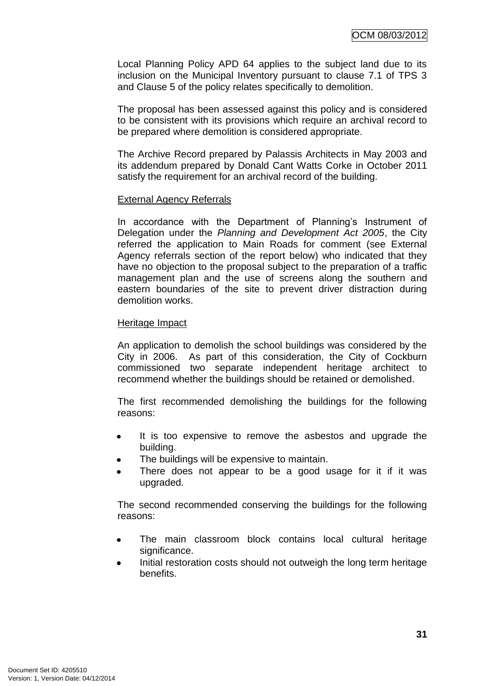Local Planning Policy APD 64 applies to the subject land due to its inclusion on the Municipal Inventory pursuant to clause 7.1 of TPS 3 and Clause 5 of the policy relates specifically to demolition.

The proposal has been assessed against this policy and is considered to be consistent with its provisions which require an archival record to be prepared where demolition is considered appropriate.

The Archive Record prepared by Palassis Architects in May 2003 and its addendum prepared by Donald Cant Watts Corke in October 2011 satisfy the requirement for an archival record of the building.

#### External Agency Referrals

In accordance with the Department of Planning's Instrument of Delegation under the *Planning and Development Act 2005*, the City referred the application to Main Roads for comment (see External Agency referrals section of the report below) who indicated that they have no objection to the proposal subject to the preparation of a traffic management plan and the use of screens along the southern and eastern boundaries of the site to prevent driver distraction during demolition works.

#### Heritage Impact

An application to demolish the school buildings was considered by the City in 2006. As part of this consideration, the City of Cockburn commissioned two separate independent heritage architect to recommend whether the buildings should be retained or demolished.

The first recommended demolishing the buildings for the following reasons:

- It is too expensive to remove the asbestos and upgrade the building.
- The buildings will be expensive to maintain.
- There does not appear to be a good usage for it if it was upgraded.

The second recommended conserving the buildings for the following reasons:

- The main classroom block contains local cultural heritage significance.
- Initial restoration costs should not outweigh the long term heritage benefits.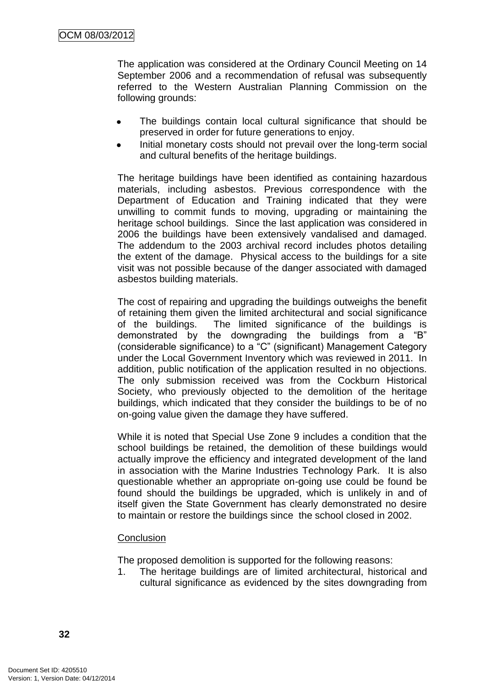The application was considered at the Ordinary Council Meeting on 14 September 2006 and a recommendation of refusal was subsequently referred to the Western Australian Planning Commission on the following grounds:

- The buildings contain local cultural significance that should be preserved in order for future generations to enjoy.
- Initial monetary costs should not prevail over the long-term social and cultural benefits of the heritage buildings.

The heritage buildings have been identified as containing hazardous materials, including asbestos. Previous correspondence with the Department of Education and Training indicated that they were unwilling to commit funds to moving, upgrading or maintaining the heritage school buildings. Since the last application was considered in 2006 the buildings have been extensively vandalised and damaged. The addendum to the 2003 archival record includes photos detailing the extent of the damage. Physical access to the buildings for a site visit was not possible because of the danger associated with damaged asbestos building materials.

The cost of repairing and upgrading the buildings outweighs the benefit of retaining them given the limited architectural and social significance of the buildings. The limited significance of the buildings is demonstrated by the downgrading the buildings from a "B" (considerable significance) to a "C" (significant) Management Category under the Local Government Inventory which was reviewed in 2011. In addition, public notification of the application resulted in no objections. The only submission received was from the Cockburn Historical Society, who previously objected to the demolition of the heritage buildings, which indicated that they consider the buildings to be of no on-going value given the damage they have suffered.

While it is noted that Special Use Zone 9 includes a condition that the school buildings be retained, the demolition of these buildings would actually improve the efficiency and integrated development of the land in association with the Marine Industries Technology Park. It is also questionable whether an appropriate on-going use could be found be found should the buildings be upgraded, which is unlikely in and of itself given the State Government has clearly demonstrated no desire to maintain or restore the buildings since the school closed in 2002.

#### **Conclusion**

The proposed demolition is supported for the following reasons:

1. The heritage buildings are of limited architectural, historical and cultural significance as evidenced by the sites downgrading from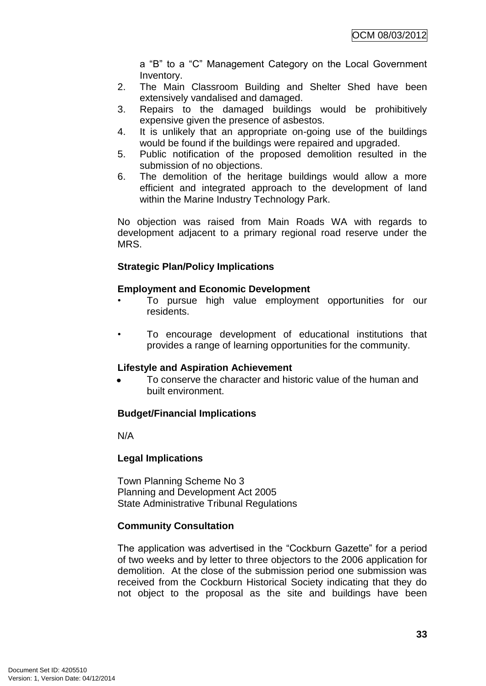a "B" to a "C" Management Category on the Local Government Inventory.

- 2. The Main Classroom Building and Shelter Shed have been extensively vandalised and damaged.
- 3. Repairs to the damaged buildings would be prohibitively expensive given the presence of asbestos.
- 4. It is unlikely that an appropriate on-going use of the buildings would be found if the buildings were repaired and upgraded.
- 5. Public notification of the proposed demolition resulted in the submission of no objections.
- 6. The demolition of the heritage buildings would allow a more efficient and integrated approach to the development of land within the Marine Industry Technology Park.

No objection was raised from Main Roads WA with regards to development adjacent to a primary regional road reserve under the MRS.

# **Strategic Plan/Policy Implications**

# **Employment and Economic Development**

- To pursue high value employment opportunities for our residents.
- To encourage development of educational institutions that provides a range of learning opportunities for the community.

# **Lifestyle and Aspiration Achievement**

To conserve the character and historic value of the human and built environment.

# **Budget/Financial Implications**

N/A

# **Legal Implications**

Town Planning Scheme No 3 Planning and Development Act 2005 State Administrative Tribunal Regulations

# **Community Consultation**

The application was advertised in the "Cockburn Gazette" for a period of two weeks and by letter to three objectors to the 2006 application for demolition. At the close of the submission period one submission was received from the Cockburn Historical Society indicating that they do not object to the proposal as the site and buildings have been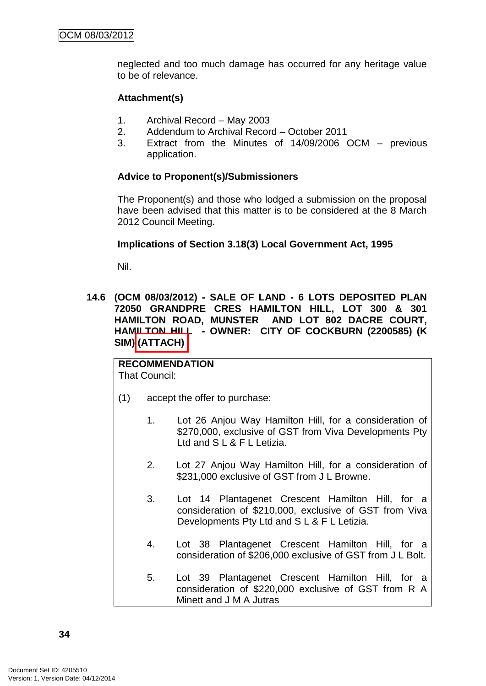neglected and too much damage has occurred for any heritage value to be of relevance.

# **Attachment(s)**

- 1. Archival Record May 2003
- 2. Addendum to Archival Record October 2011
- 3. Extract from the Minutes of 14/09/2006 OCM previous application.

# **Advice to Proponent(s)/Submissioners**

The Proponent(s) and those who lodged a submission on the proposal have been advised that this matter is to be considered at the 8 March 2012 Council Meeting.

#### **Implications of Section 3.18(3) Local Government Act, 1995**

Nil.

**14.6 (OCM 08/03/2012) - SALE OF LAND - 6 LOTS DEPOSITED PLAN 72050 GRANDPRE CRES HAMILTON HILL, LOT 300 & 301 HAMILTON ROAD, MUNSTER AND LOT 802 DACRE COURT, HAMILTON HILL - OWNER: CITY OF COCKBURN (2200585) (K SIM) (ATTACH)**

#### **RECOMMENDATION** That Council:

- (1) accept the offer to purchase:
	- 1. Lot 26 Anjou Way Hamilton Hill, for a consideration of \$270,000, exclusive of GST from Viva Developments Pty Ltd and S L & F L Letizia.
	- 2. Lot 27 Anjou Way Hamilton Hill, for a consideration of \$231,000 exclusive of GST from J L Browne.
	- 3. Lot 14 Plantagenet Crescent Hamilton Hill, for a consideration of \$210,000, exclusive of GST from Viva Developments Pty Ltd and S L & F L Letizia.
	- 4. Lot 38 Plantagenet Crescent Hamilton Hill, for a consideration of \$206,000 exclusive of GST from J L Bolt.
	- 5. Lot 39 Plantagenet Crescent Hamilton Hill, for a consideration of \$220,000 exclusive of GST from R A Minett and J M A Jutras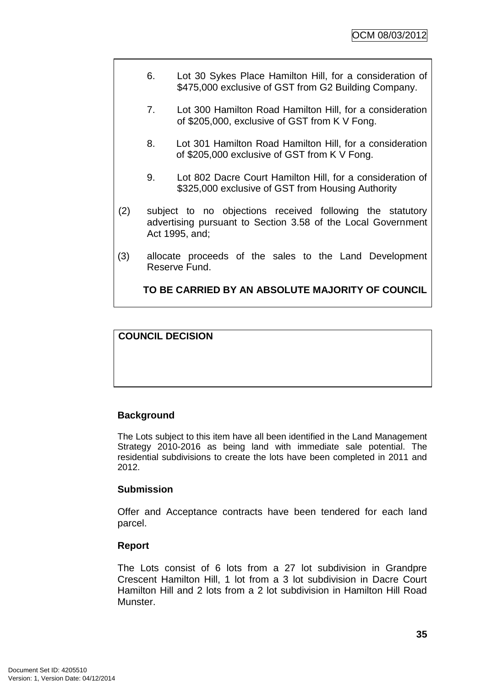- 6. Lot 30 Sykes Place Hamilton Hill, for a consideration of \$475,000 exclusive of GST from G2 Building Company.
- 7. Lot 300 Hamilton Road Hamilton Hill, for a consideration of \$205,000, exclusive of GST from K V Fong.
- 8. Lot 301 Hamilton Road Hamilton Hill, for a consideration of \$205,000 exclusive of GST from K V Fong.
- 9. Lot 802 Dacre Court Hamilton Hill, for a consideration of \$325,000 exclusive of GST from Housing Authority
- (2) subject to no objections received following the statutory advertising pursuant to Section 3.58 of the Local Government Act 1995, and;
- (3) allocate proceeds of the sales to the Land Development Reserve Fund.

**TO BE CARRIED BY AN ABSOLUTE MAJORITY OF COUNCIL**

# **COUNCIL DECISION**

# **Background**

The Lots subject to this item have all been identified in the Land Management Strategy 2010-2016 as being land with immediate sale potential. The residential subdivisions to create the lots have been completed in 2011 and 2012.

# **Submission**

Offer and Acceptance contracts have been tendered for each land parcel.

# **Report**

The Lots consist of 6 lots from a 27 lot subdivision in Grandpre Crescent Hamilton Hill, 1 lot from a 3 lot subdivision in Dacre Court Hamilton Hill and 2 lots from a 2 lot subdivision in Hamilton Hill Road Munster.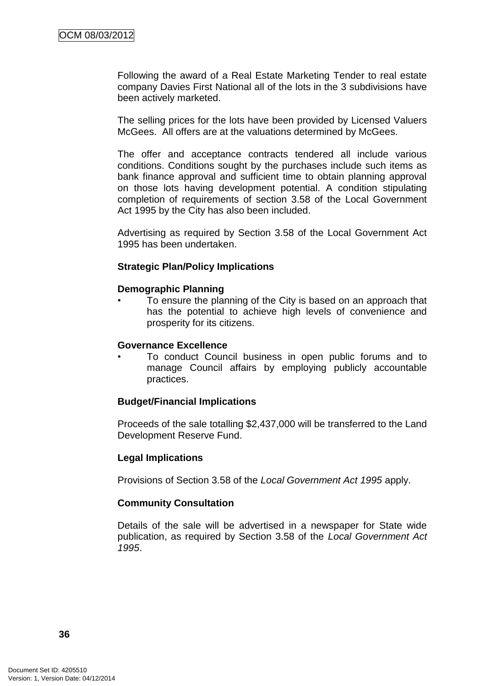Following the award of a Real Estate Marketing Tender to real estate company Davies First National all of the lots in the 3 subdivisions have been actively marketed.

The selling prices for the lots have been provided by Licensed Valuers McGees. All offers are at the valuations determined by McGees.

The offer and acceptance contracts tendered all include various conditions. Conditions sought by the purchases include such items as bank finance approval and sufficient time to obtain planning approval on those lots having development potential. A condition stipulating completion of requirements of section 3.58 of the Local Government Act 1995 by the City has also been included.

Advertising as required by Section 3.58 of the Local Government Act 1995 has been undertaken.

# **Strategic Plan/Policy Implications**

# **Demographic Planning**

• To ensure the planning of the City is based on an approach that has the potential to achieve high levels of convenience and prosperity for its citizens.

#### **Governance Excellence**

• To conduct Council business in open public forums and to manage Council affairs by employing publicly accountable practices.

# **Budget/Financial Implications**

Proceeds of the sale totalling \$2,437,000 will be transferred to the Land Development Reserve Fund.

# **Legal Implications**

Provisions of Section 3.58 of the *Local Government Act 1995* apply.

# **Community Consultation**

Details of the sale will be advertised in a newspaper for State wide publication, as required by Section 3.58 of the *Local Government Act 1995*.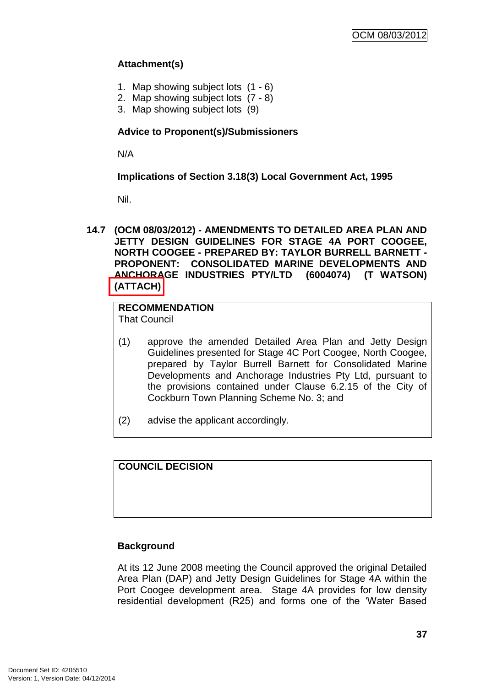# **Attachment(s)**

- 1. Map showing subject lots (1 6)
- 2. Map showing subject lots (7 8)
- 3. Map showing subject lots (9)

# **Advice to Proponent(s)/Submissioners**

N/A

**Implications of Section 3.18(3) Local Government Act, 1995**

Nil.

**14.7 (OCM 08/03/2012) - AMENDMENTS TO DETAILED AREA PLAN AND JETTY DESIGN GUIDELINES FOR STAGE 4A PORT COOGEE, NORTH COOGEE - PREPARED BY: TAYLOR BURRELL BARNETT - PROPONENT: CONSOLIDATED MARINE DEVELOPMENTS AND ANCHORAGE INDUSTRIES PTY/LTD (6004074) (T WATSON) (ATTACH)**

# **RECOMMENDATION**

That Council

- (1) approve the amended Detailed Area Plan and Jetty Design Guidelines presented for Stage 4C Port Coogee, North Coogee, prepared by Taylor Burrell Barnett for Consolidated Marine Developments and Anchorage Industries Pty Ltd, pursuant to the provisions contained under Clause 6.2.15 of the City of Cockburn Town Planning Scheme No. 3; and
- (2) advise the applicant accordingly.

**COUNCIL DECISION**

# **Background**

At its 12 June 2008 meeting the Council approved the original Detailed Area Plan (DAP) and Jetty Design Guidelines for Stage 4A within the Port Coogee development area. Stage 4A provides for low density residential development (R25) and forms one of the "Water Based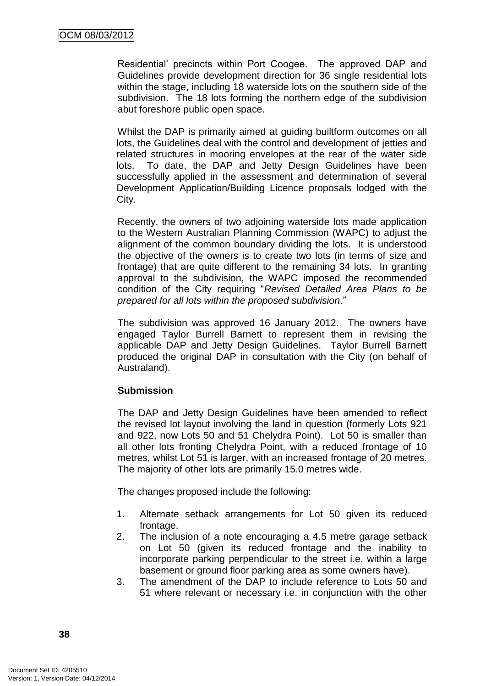Residential" precincts within Port Coogee. The approved DAP and Guidelines provide development direction for 36 single residential lots within the stage, including 18 waterside lots on the southern side of the subdivision. The 18 lots forming the northern edge of the subdivision abut foreshore public open space.

Whilst the DAP is primarily aimed at guiding builtform outcomes on all lots, the Guidelines deal with the control and development of jetties and related structures in mooring envelopes at the rear of the water side lots. To date, the DAP and Jetty Design Guidelines have been successfully applied in the assessment and determination of several Development Application/Building Licence proposals lodged with the City.

Recently, the owners of two adjoining waterside lots made application to the Western Australian Planning Commission (WAPC) to adjust the alignment of the common boundary dividing the lots. It is understood the objective of the owners is to create two lots (in terms of size and frontage) that are quite different to the remaining 34 lots. In granting approval to the subdivision, the WAPC imposed the recommended condition of the City requiring "*Revised Detailed Area Plans to be prepared for all lots within the proposed subdivision*."

The subdivision was approved 16 January 2012. The owners have engaged Taylor Burrell Barnett to represent them in revising the applicable DAP and Jetty Design Guidelines. Taylor Burrell Barnett produced the original DAP in consultation with the City (on behalf of Australand).

# **Submission**

The DAP and Jetty Design Guidelines have been amended to reflect the revised lot layout involving the land in question (formerly Lots 921 and 922, now Lots 50 and 51 Chelydra Point). Lot 50 is smaller than all other lots fronting Chelydra Point, with a reduced frontage of 10 metres, whilst Lot 51 is larger, with an increased frontage of 20 metres. The majority of other lots are primarily 15.0 metres wide.

The changes proposed include the following:

- 1. Alternate setback arrangements for Lot 50 given its reduced frontage.
- 2. The inclusion of a note encouraging a 4.5 metre garage setback on Lot 50 (given its reduced frontage and the inability to incorporate parking perpendicular to the street i.e. within a large basement or ground floor parking area as some owners have).
- 3. The amendment of the DAP to include reference to Lots 50 and 51 where relevant or necessary i.e. in conjunction with the other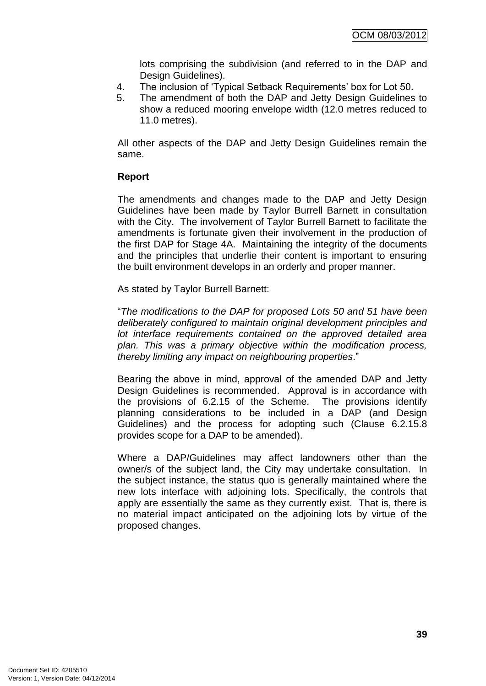lots comprising the subdivision (and referred to in the DAP and Design Guidelines).

- 4. The inclusion of "Typical Setback Requirements" box for Lot 50.
- 5. The amendment of both the DAP and Jetty Design Guidelines to show a reduced mooring envelope width (12.0 metres reduced to 11.0 metres).

All other aspects of the DAP and Jetty Design Guidelines remain the same.

# **Report**

The amendments and changes made to the DAP and Jetty Design Guidelines have been made by Taylor Burrell Barnett in consultation with the City. The involvement of Taylor Burrell Barnett to facilitate the amendments is fortunate given their involvement in the production of the first DAP for Stage 4A. Maintaining the integrity of the documents and the principles that underlie their content is important to ensuring the built environment develops in an orderly and proper manner.

As stated by Taylor Burrell Barnett:

"*The modifications to the DAP for proposed Lots 50 and 51 have been deliberately configured to maintain original development principles and lot interface requirements contained on the approved detailed area plan. This was a primary objective within the modification process, thereby limiting any impact on neighbouring properties*."

Bearing the above in mind, approval of the amended DAP and Jetty Design Guidelines is recommended. Approval is in accordance with the provisions of 6.2.15 of the Scheme. The provisions identify planning considerations to be included in a DAP (and Design Guidelines) and the process for adopting such (Clause 6.2.15.8 provides scope for a DAP to be amended).

Where a DAP/Guidelines may affect landowners other than the owner/s of the subject land, the City may undertake consultation. In the subject instance, the status quo is generally maintained where the new lots interface with adjoining lots. Specifically, the controls that apply are essentially the same as they currently exist. That is, there is no material impact anticipated on the adjoining lots by virtue of the proposed changes.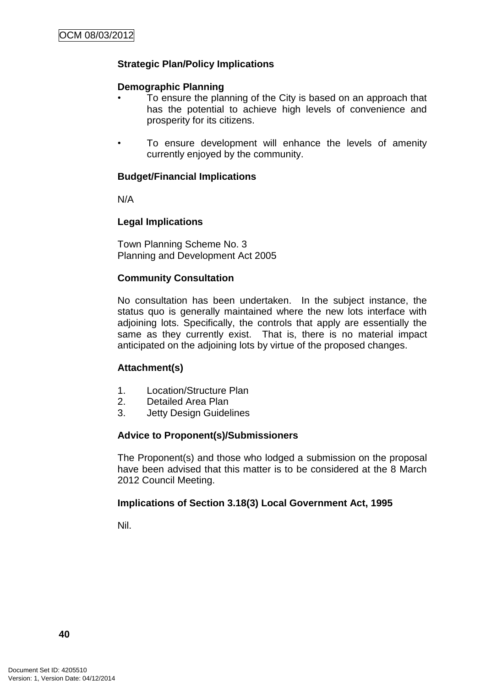# **Strategic Plan/Policy Implications**

## **Demographic Planning**

- To ensure the planning of the City is based on an approach that has the potential to achieve high levels of convenience and prosperity for its citizens.
- To ensure development will enhance the levels of amenity currently enjoyed by the community.

## **Budget/Financial Implications**

N/A

# **Legal Implications**

Town Planning Scheme No. 3 Planning and Development Act 2005

# **Community Consultation**

No consultation has been undertaken. In the subject instance, the status quo is generally maintained where the new lots interface with adjoining lots. Specifically, the controls that apply are essentially the same as they currently exist. That is, there is no material impact anticipated on the adjoining lots by virtue of the proposed changes.

# **Attachment(s)**

- 1. Location/Structure Plan
- 2. Detailed Area Plan
- 3. Jetty Design Guidelines

# **Advice to Proponent(s)/Submissioners**

The Proponent(s) and those who lodged a submission on the proposal have been advised that this matter is to be considered at the 8 March 2012 Council Meeting.

# **Implications of Section 3.18(3) Local Government Act, 1995**

Nil.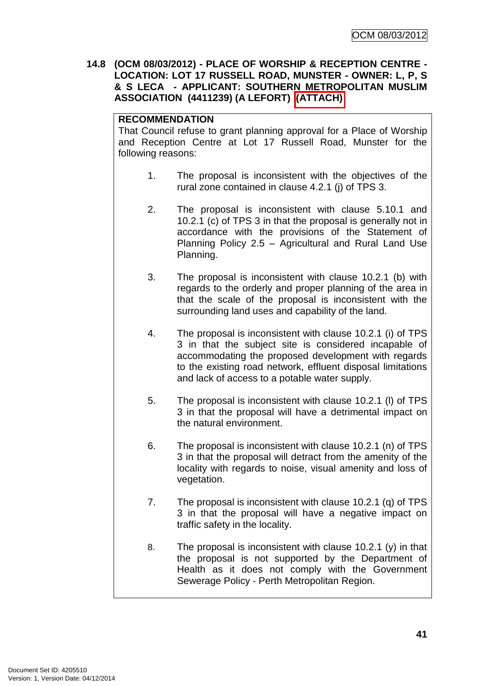**14.8 (OCM 08/03/2012) - PLACE OF WORSHIP & RECEPTION CENTRE - LOCATION: LOT 17 RUSSELL ROAD, MUNSTER - OWNER: L, P, S & S LECA - APPLICANT: SOUTHERN METROPOLITAN MUSLIM ASSOCIATION (4411239) (A LEFORT) (ATTACH)**

# **RECOMMENDATION**

That Council refuse to grant planning approval for a Place of Worship and Reception Centre at Lot 17 Russell Road, Munster for the following reasons:

- 1. The proposal is inconsistent with the objectives of the rural zone contained in clause 4.2.1 (j) of TPS 3.
- 2. The proposal is inconsistent with clause 5.10.1 and 10.2.1 (c) of TPS 3 in that the proposal is generally not in accordance with the provisions of the Statement of Planning Policy 2.5 – Agricultural and Rural Land Use Planning.
- 3. The proposal is inconsistent with clause 10.2.1 (b) with regards to the orderly and proper planning of the area in that the scale of the proposal is inconsistent with the surrounding land uses and capability of the land.
- 4. The proposal is inconsistent with clause 10.2.1 (i) of TPS 3 in that the subject site is considered incapable of accommodating the proposed development with regards to the existing road network, effluent disposal limitations and lack of access to a potable water supply.
- 5. The proposal is inconsistent with clause 10.2.1 (l) of TPS 3 in that the proposal will have a detrimental impact on the natural environment.
- 6. The proposal is inconsistent with clause 10.2.1 (n) of TPS 3 in that the proposal will detract from the amenity of the locality with regards to noise, visual amenity and loss of vegetation.
- 7. The proposal is inconsistent with clause 10.2.1 (q) of TPS 3 in that the proposal will have a negative impact on traffic safety in the locality.
- 8. The proposal is inconsistent with clause 10.2.1 (y) in that the proposal is not supported by the Department of Health as it does not comply with the Government Sewerage Policy - Perth Metropolitan Region.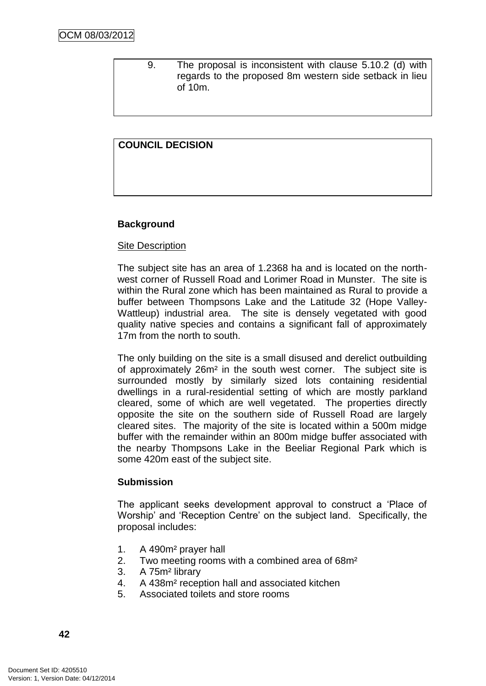9. The proposal is inconsistent with clause 5.10.2 (d) with regards to the proposed 8m western side setback in lieu of 10m.

# **COUNCIL DECISION**

# **Background**

### Site Description

The subject site has an area of 1.2368 ha and is located on the northwest corner of Russell Road and Lorimer Road in Munster. The site is within the Rural zone which has been maintained as Rural to provide a buffer between Thompsons Lake and the Latitude 32 (Hope Valley-Wattleup) industrial area. The site is densely vegetated with good quality native species and contains a significant fall of approximately 17m from the north to south.

The only building on the site is a small disused and derelict outbuilding of approximately 26m² in the south west corner. The subject site is surrounded mostly by similarly sized lots containing residential dwellings in a rural-residential setting of which are mostly parkland cleared, some of which are well vegetated. The properties directly opposite the site on the southern side of Russell Road are largely cleared sites. The majority of the site is located within a 500m midge buffer with the remainder within an 800m midge buffer associated with the nearby Thompsons Lake in the Beeliar Regional Park which is some 420m east of the subject site.

#### **Submission**

The applicant seeks development approval to construct a "Place of Worship" and "Reception Centre" on the subject land. Specifically, the proposal includes:

- 1. A 490m² prayer hall
- 2. Two meeting rooms with a combined area of 68m²
- 3. A 75m² library
- 4. A 438m² reception hall and associated kitchen
- 5. Associated toilets and store rooms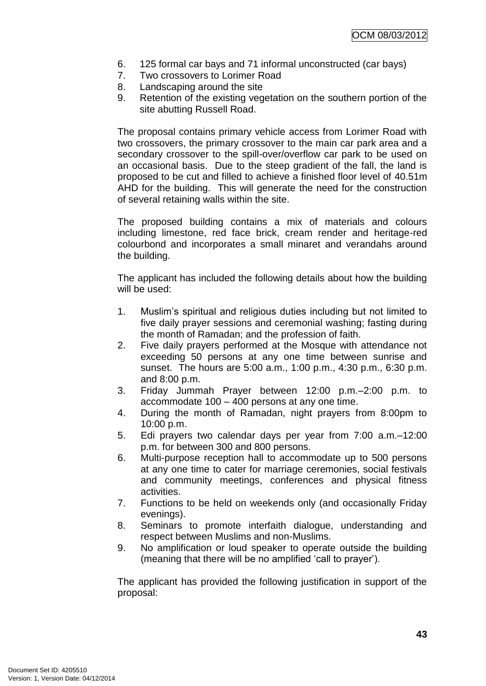- 6. 125 formal car bays and 71 informal unconstructed (car bays)
- 7. Two crossovers to Lorimer Road
- 8. Landscaping around the site
- 9. Retention of the existing vegetation on the southern portion of the site abutting Russell Road.

The proposal contains primary vehicle access from Lorimer Road with two crossovers, the primary crossover to the main car park area and a secondary crossover to the spill-over/overflow car park to be used on an occasional basis. Due to the steep gradient of the fall, the land is proposed to be cut and filled to achieve a finished floor level of 40.51m AHD for the building. This will generate the need for the construction of several retaining walls within the site.

The proposed building contains a mix of materials and colours including limestone, red face brick, cream render and heritage-red colourbond and incorporates a small minaret and verandahs around the building.

The applicant has included the following details about how the building will be used:

- 1. Muslim"s spiritual and religious duties including but not limited to five daily prayer sessions and ceremonial washing; fasting during the month of Ramadan; and the profession of faith.
- 2. Five daily prayers performed at the Mosque with attendance not exceeding 50 persons at any one time between sunrise and sunset. The hours are 5:00 a.m., 1:00 p.m., 4:30 p.m., 6:30 p.m. and 8:00 p.m.
- 3. Friday Jummah Prayer between 12:00 p.m.–2:00 p.m. to accommodate 100 – 400 persons at any one time.
- 4. During the month of Ramadan, night prayers from 8:00pm to 10:00 p.m.
- 5. Edi prayers two calendar days per year from 7:00 a.m.–12:00 p.m. for between 300 and 800 persons.
- 6. Multi-purpose reception hall to accommodate up to 500 persons at any one time to cater for marriage ceremonies, social festivals and community meetings, conferences and physical fitness activities.
- 7. Functions to be held on weekends only (and occasionally Friday evenings).
- 8. Seminars to promote interfaith dialogue, understanding and respect between Muslims and non-Muslims.
- 9. No amplification or loud speaker to operate outside the building (meaning that there will be no amplified "call to prayer").

The applicant has provided the following justification in support of the proposal: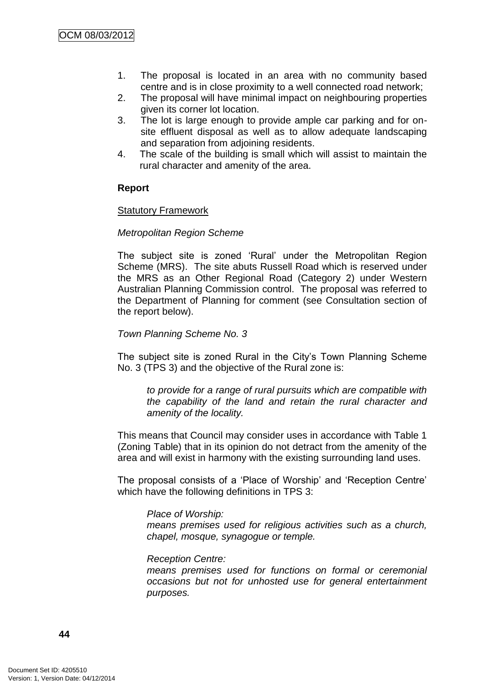- 1. The proposal is located in an area with no community based centre and is in close proximity to a well connected road network;
- 2. The proposal will have minimal impact on neighbouring properties given its corner lot location.
- 3. The lot is large enough to provide ample car parking and for onsite effluent disposal as well as to allow adequate landscaping and separation from adjoining residents.
- 4. The scale of the building is small which will assist to maintain the rural character and amenity of the area.

# **Report**

### Statutory Framework

### *Metropolitan Region Scheme*

The subject site is zoned "Rural" under the Metropolitan Region Scheme (MRS). The site abuts Russell Road which is reserved under the MRS as an Other Regional Road (Category 2) under Western Australian Planning Commission control. The proposal was referred to the Department of Planning for comment (see Consultation section of the report below).

### *Town Planning Scheme No. 3*

The subject site is zoned Rural in the City"s Town Planning Scheme No. 3 (TPS 3) and the objective of the Rural zone is:

*to provide for a range of rural pursuits which are compatible with the capability of the land and retain the rural character and amenity of the locality.*

This means that Council may consider uses in accordance with Table 1 (Zoning Table) that in its opinion do not detract from the amenity of the area and will exist in harmony with the existing surrounding land uses.

The proposal consists of a "Place of Worship" and "Reception Centre" which have the following definitions in TPS 3:

#### *Place of Worship:*

*means premises used for religious activities such as a church, chapel, mosque, synagogue or temple.*

#### *Reception Centre:*

*means premises used for functions on formal or ceremonial occasions but not for unhosted use for general entertainment purposes.*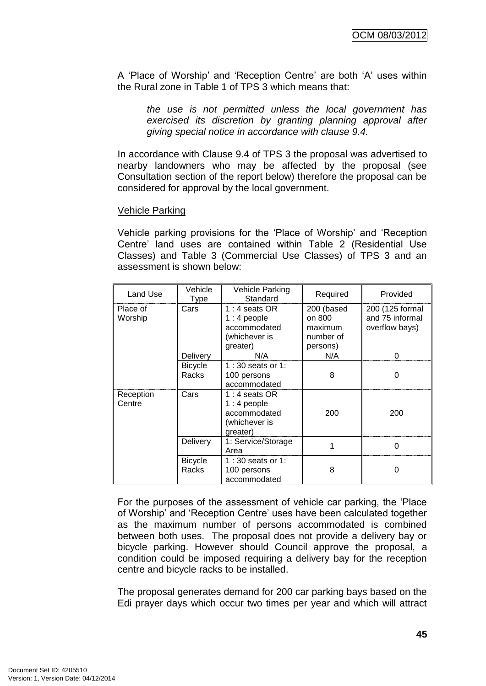A "Place of Worship" and "Reception Centre" are both "A" uses within the Rural zone in Table 1 of TPS 3 which means that:

*the use is not permitted unless the local government has exercised its discretion by granting planning approval after giving special notice in accordance with clause 9.4.*

In accordance with Clause 9.4 of TPS 3 the proposal was advertised to nearby landowners who may be affected by the proposal (see Consultation section of the report below) therefore the proposal can be considered for approval by the local government.

### Vehicle Parking

Vehicle parking provisions for the "Place of Worship" and "Reception Centre" land uses are contained within Table 2 (Residential Use Classes) and Table 3 (Commercial Use Classes) of TPS 3 and an assessment is shown below:

| Land Use            | Vehicle<br><b>Type</b>         | Vehicle Parking<br>Standard                                                 | Required                                                 | Provided                                             |
|---------------------|--------------------------------|-----------------------------------------------------------------------------|----------------------------------------------------------|------------------------------------------------------|
| Place of<br>Worship | Cars                           | 1 : 4 seats OR<br>1 : 4 people<br>accommodated<br>(whichever is<br>greater) | 200 (based<br>on 800<br>maximum<br>number of<br>persons) | 200 (125 formal<br>and 75 informal<br>overflow bays) |
|                     | Delivery                       | N/A                                                                         | N/A                                                      |                                                      |
|                     | <b>Bicycle</b><br><b>Racks</b> | 1:30 seats or 1:<br>100 persons<br>accommodated                             | 8                                                        | 0                                                    |
| Reception<br>Centre | Cars                           | $1:4$ seats OR<br>$1:4$ people<br>accommodated<br>(whichever is<br>greater) | 200                                                      | 200                                                  |
|                     | Delivery                       | 1: Service/Storage<br>Area                                                  |                                                          | 0                                                    |
|                     | <b>Bicycle</b><br>Racks        | 1:30 seats or 1:<br>100 persons<br>accommodated                             | 8                                                        | 0                                                    |

For the purposes of the assessment of vehicle car parking, the "Place of Worship" and "Reception Centre" uses have been calculated together as the maximum number of persons accommodated is combined between both uses. The proposal does not provide a delivery bay or bicycle parking. However should Council approve the proposal, a condition could be imposed requiring a delivery bay for the reception centre and bicycle racks to be installed.

The proposal generates demand for 200 car parking bays based on the Edi prayer days which occur two times per year and which will attract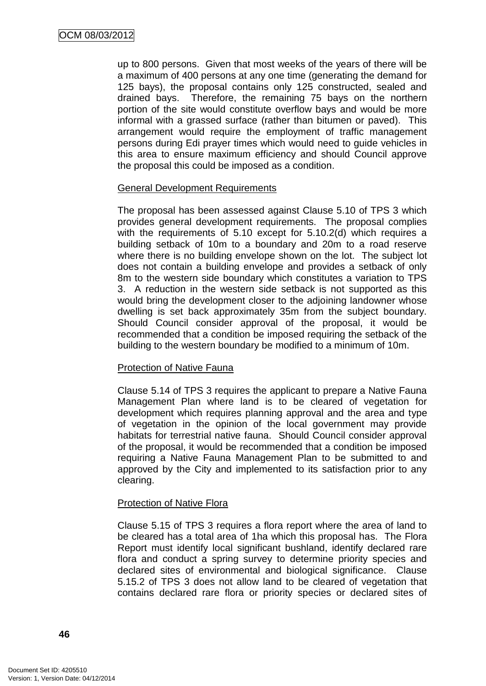up to 800 persons. Given that most weeks of the years of there will be a maximum of 400 persons at any one time (generating the demand for 125 bays), the proposal contains only 125 constructed, sealed and drained bays. Therefore, the remaining 75 bays on the northern portion of the site would constitute overflow bays and would be more informal with a grassed surface (rather than bitumen or paved). This arrangement would require the employment of traffic management persons during Edi prayer times which would need to guide vehicles in this area to ensure maximum efficiency and should Council approve the proposal this could be imposed as a condition.

# General Development Requirements

The proposal has been assessed against Clause 5.10 of TPS 3 which provides general development requirements. The proposal complies with the requirements of 5.10 except for 5.10.2(d) which requires a building setback of 10m to a boundary and 20m to a road reserve where there is no building envelope shown on the lot. The subject lot does not contain a building envelope and provides a setback of only 8m to the western side boundary which constitutes a variation to TPS 3. A reduction in the western side setback is not supported as this would bring the development closer to the adjoining landowner whose dwelling is set back approximately 35m from the subject boundary. Should Council consider approval of the proposal, it would be recommended that a condition be imposed requiring the setback of the building to the western boundary be modified to a minimum of 10m.

# Protection of Native Fauna

Clause 5.14 of TPS 3 requires the applicant to prepare a Native Fauna Management Plan where land is to be cleared of vegetation for development which requires planning approval and the area and type of vegetation in the opinion of the local government may provide habitats for terrestrial native fauna. Should Council consider approval of the proposal, it would be recommended that a condition be imposed requiring a Native Fauna Management Plan to be submitted to and approved by the City and implemented to its satisfaction prior to any clearing.

# Protection of Native Flora

Clause 5.15 of TPS 3 requires a flora report where the area of land to be cleared has a total area of 1ha which this proposal has. The Flora Report must identify local significant bushland, identify declared rare flora and conduct a spring survey to determine priority species and declared sites of environmental and biological significance. Clause 5.15.2 of TPS 3 does not allow land to be cleared of vegetation that contains declared rare flora or priority species or declared sites of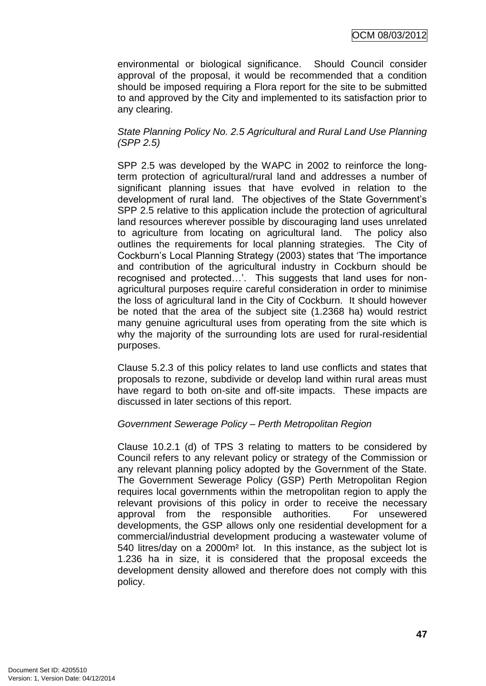environmental or biological significance. Should Council consider approval of the proposal, it would be recommended that a condition should be imposed requiring a Flora report for the site to be submitted to and approved by the City and implemented to its satisfaction prior to any clearing.

# *State Planning Policy No. 2.5 Agricultural and Rural Land Use Planning (SPP 2.5)*

SPP 2.5 was developed by the WAPC in 2002 to reinforce the longterm protection of agricultural/rural land and addresses a number of significant planning issues that have evolved in relation to the development of rural land. The objectives of the State Government"s SPP 2.5 relative to this application include the protection of agricultural land resources wherever possible by discouraging land uses unrelated to agriculture from locating on agricultural land. The policy also outlines the requirements for local planning strategies. The City of Cockburn"s Local Planning Strategy (2003) states that "The importance and contribution of the agricultural industry in Cockburn should be recognised and protected...'. This suggests that land uses for nonagricultural purposes require careful consideration in order to minimise the loss of agricultural land in the City of Cockburn. It should however be noted that the area of the subject site (1.2368 ha) would restrict many genuine agricultural uses from operating from the site which is why the majority of the surrounding lots are used for rural-residential purposes.

Clause 5.2.3 of this policy relates to land use conflicts and states that proposals to rezone, subdivide or develop land within rural areas must have regard to both on-site and off-site impacts. These impacts are discussed in later sections of this report.

# *Government Sewerage Policy – Perth Metropolitan Region*

Clause 10.2.1 (d) of TPS 3 relating to matters to be considered by Council refers to any relevant policy or strategy of the Commission or any relevant planning policy adopted by the Government of the State. The Government Sewerage Policy (GSP) Perth Metropolitan Region requires local governments within the metropolitan region to apply the relevant provisions of this policy in order to receive the necessary approval from the responsible authorities. For unsewered developments, the GSP allows only one residential development for a commercial/industrial development producing a wastewater volume of 540 litres/day on a 2000m² lot. In this instance, as the subject lot is 1.236 ha in size, it is considered that the proposal exceeds the development density allowed and therefore does not comply with this policy.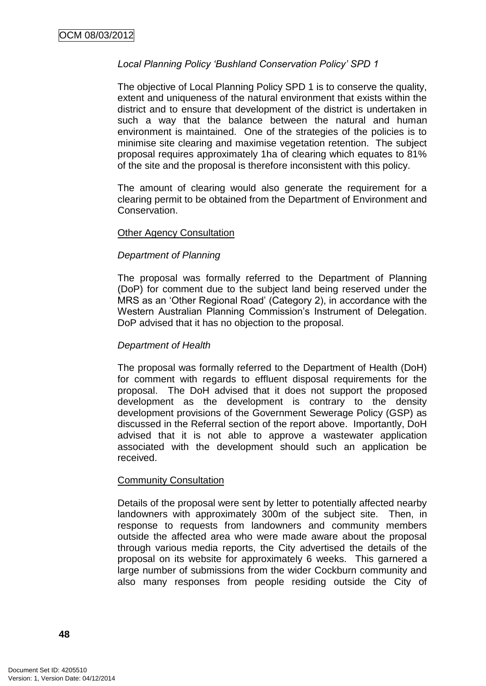# *Local Planning Policy 'Bushland Conservation Policy' SPD 1*

The objective of Local Planning Policy SPD 1 is to conserve the quality, extent and uniqueness of the natural environment that exists within the district and to ensure that development of the district is undertaken in such a way that the balance between the natural and human environment is maintained. One of the strategies of the policies is to minimise site clearing and maximise vegetation retention. The subject proposal requires approximately 1ha of clearing which equates to 81% of the site and the proposal is therefore inconsistent with this policy.

The amount of clearing would also generate the requirement for a clearing permit to be obtained from the Department of Environment and Conservation.

# Other Agency Consultation

# *Department of Planning*

The proposal was formally referred to the Department of Planning (DoP) for comment due to the subject land being reserved under the MRS as an "Other Regional Road" (Category 2), in accordance with the Western Australian Planning Commission"s Instrument of Delegation. DoP advised that it has no objection to the proposal.

## *Department of Health*

The proposal was formally referred to the Department of Health (DoH) for comment with regards to effluent disposal requirements for the proposal. The DoH advised that it does not support the proposed development as the development is contrary to the density development provisions of the Government Sewerage Policy (GSP) as discussed in the Referral section of the report above. Importantly, DoH advised that it is not able to approve a wastewater application associated with the development should such an application be received.

#### Community Consultation

Details of the proposal were sent by letter to potentially affected nearby landowners with approximately 300m of the subject site. Then, in response to requests from landowners and community members outside the affected area who were made aware about the proposal through various media reports, the City advertised the details of the proposal on its website for approximately 6 weeks. This garnered a large number of submissions from the wider Cockburn community and also many responses from people residing outside the City of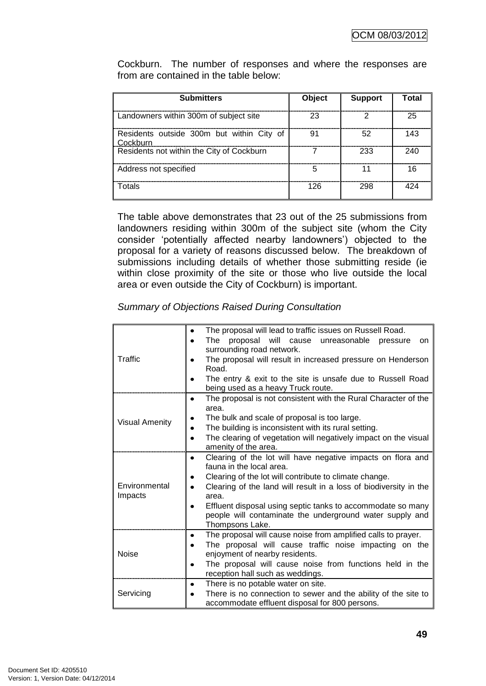Cockburn. The number of responses and where the responses are from are contained in the table below:

| <b>Submitters</b>                                     | Object | <b>Support</b> | Total |
|-------------------------------------------------------|--------|----------------|-------|
| Landowners within 300m of subject site                | つつ     |                | 25    |
| Residents outside 300m but within City of<br>Cockburn |        | 52             | 143   |
| Residents not within the City of Cockburn             |        | 233            | 240   |
| Address not specified                                 |        |                |       |
| Totals                                                | 126    | 298            |       |

The table above demonstrates that 23 out of the 25 submissions from landowners residing within 300m of the subject site (whom the City consider 'potentially affected nearby landowners') objected to the proposal for a variety of reasons discussed below. The breakdown of submissions including details of whether those submitting reside (ie within close proximity of the site or those who live outside the local area or even outside the City of Cockburn) is important.

|                          | The proposal will lead to traffic issues on Russell Road.<br>٠                                                                             |  |  |  |  |
|--------------------------|--------------------------------------------------------------------------------------------------------------------------------------------|--|--|--|--|
|                          | The<br>proposal will cause<br>unreasonable<br>pressure<br>on<br>٠<br>surrounding road network.                                             |  |  |  |  |
| Traffic                  | The proposal will result in increased pressure on Henderson<br>Road.                                                                       |  |  |  |  |
|                          | The entry & exit to the site is unsafe due to Russell Road<br>being used as a heavy Truck route.                                           |  |  |  |  |
|                          | The proposal is not consistent with the Rural Character of the<br>$\bullet$<br>area.                                                       |  |  |  |  |
| <b>Visual Amenity</b>    | The bulk and scale of proposal is too large.                                                                                               |  |  |  |  |
|                          | The building is inconsistent with its rural setting.                                                                                       |  |  |  |  |
|                          | The clearing of vegetation will negatively impact on the visual<br>amenity of the area.                                                    |  |  |  |  |
| Environmental<br>Impacts | Clearing of the lot will have negative impacts on flora and<br>fauna in the local area.                                                    |  |  |  |  |
|                          | Clearing of the lot will contribute to climate change.                                                                                     |  |  |  |  |
|                          | Clearing of the land will result in a loss of biodiversity in the<br>area.                                                                 |  |  |  |  |
|                          | Effluent disposal using septic tanks to accommodate so many<br>people will contaminate the underground water supply and<br>Thompsons Lake. |  |  |  |  |
|                          | The proposal will cause noise from amplified calls to prayer.<br>٠                                                                         |  |  |  |  |
| <b>Noise</b>             | The proposal will cause traffic noise impacting on the                                                                                     |  |  |  |  |
|                          | enjoyment of nearby residents.                                                                                                             |  |  |  |  |
|                          | The proposal will cause noise from functions held in the<br>reception hall such as weddings.                                               |  |  |  |  |
|                          | There is no potable water on site.<br>٠                                                                                                    |  |  |  |  |
| Servicing                | There is no connection to sewer and the ability of the site to<br>accommodate effluent disposal for 800 persons.                           |  |  |  |  |

*Summary of Objections Raised During Consultation*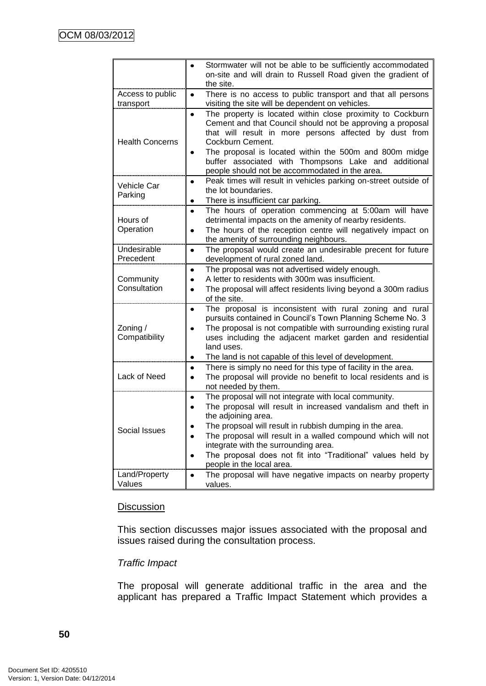|                               | Stormwater will not be able to be sufficiently accommodated<br>$\bullet$<br>on-site and will drain to Russell Road given the gradient of<br>the site.                                                                                                                                                                                                                                                                               |
|-------------------------------|-------------------------------------------------------------------------------------------------------------------------------------------------------------------------------------------------------------------------------------------------------------------------------------------------------------------------------------------------------------------------------------------------------------------------------------|
| Access to public<br>transport | There is no access to public transport and that all persons<br>$\bullet$<br>visiting the site will be dependent on vehicles.                                                                                                                                                                                                                                                                                                        |
| <b>Health Concerns</b>        | The property is located within close proximity to Cockburn<br>$\bullet$<br>Cement and that Council should not be approving a proposal<br>that will result in more persons affected by dust from<br>Cockburn Cement.<br>The proposal is located within the 500m and 800m midge<br>$\bullet$<br>buffer associated with Thompsons Lake and additional<br>people should not be accommodated in the area.                                |
| <b>Vehicle Car</b><br>Parking | Peak times will result in vehicles parking on-street outside of<br>$\bullet$<br>the lot boundaries.<br>There is insufficient car parking.<br>٠                                                                                                                                                                                                                                                                                      |
| Hours of<br>Operation         | The hours of operation commencing at 5:00am will have<br>٠<br>detrimental impacts on the amenity of nearby residents.<br>The hours of the reception centre will negatively impact on<br>٠<br>the amenity of surrounding neighbours.                                                                                                                                                                                                 |
| Undesirable<br>Precedent      | The proposal would create an undesirable precent for future<br>$\bullet$<br>development of rural zoned land.                                                                                                                                                                                                                                                                                                                        |
| Community<br>Consultation     | The proposal was not advertised widely enough.<br>٠<br>A letter to residents with 300m was insufficient.<br>$\bullet$<br>The proposal will affect residents living beyond a 300m radius<br>٠<br>of the site.                                                                                                                                                                                                                        |
| Zoning $/$<br>Compatibility   | The proposal is inconsistent with rural zoning and rural<br>$\bullet$<br>pursuits contained in Council's Town Planning Scheme No. 3<br>The proposal is not compatible with surrounding existing rural<br>$\bullet$<br>uses including the adjacent market garden and residential<br>land uses.<br>The land is not capable of this level of development.<br>٠                                                                         |
| Lack of Need                  | There is simply no need for this type of facility in the area.<br>٠<br>The proposal will provide no benefit to local residents and is<br>$\bullet$<br>not needed by them.                                                                                                                                                                                                                                                           |
| Social Issues                 | The proposal will not integrate with local community.<br>٠<br>The proposal will result in increased vandalism and theft in<br>$\bullet$<br>the adjoining area.<br>The propsoal will result in rubbish dumping in the area.<br>The proposal will result in a walled compound which will not<br>integrate with the surrounding area.<br>The proposal does not fit into "Traditional" values held by<br>٠<br>people in the local area. |
| Land/Property<br>Values       | The proposal will have negative impacts on nearby property<br>$\bullet$<br>values.                                                                                                                                                                                                                                                                                                                                                  |

# **Discussion**

This section discusses major issues associated with the proposal and issues raised during the consultation process.

# *Traffic Impact*

The proposal will generate additional traffic in the area and the applicant has prepared a Traffic Impact Statement which provides a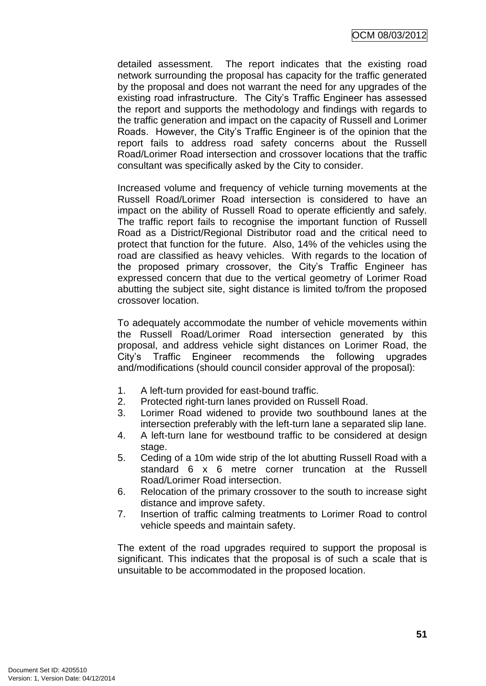detailed assessment. The report indicates that the existing road network surrounding the proposal has capacity for the traffic generated by the proposal and does not warrant the need for any upgrades of the existing road infrastructure. The City"s Traffic Engineer has assessed the report and supports the methodology and findings with regards to the traffic generation and impact on the capacity of Russell and Lorimer Roads. However, the City"s Traffic Engineer is of the opinion that the report fails to address road safety concerns about the Russell Road/Lorimer Road intersection and crossover locations that the traffic consultant was specifically asked by the City to consider.

Increased volume and frequency of vehicle turning movements at the Russell Road/Lorimer Road intersection is considered to have an impact on the ability of Russell Road to operate efficiently and safely. The traffic report fails to recognise the important function of Russell Road as a District/Regional Distributor road and the critical need to protect that function for the future. Also, 14% of the vehicles using the road are classified as heavy vehicles. With regards to the location of the proposed primary crossover, the City's Traffic Engineer has expressed concern that due to the vertical geometry of Lorimer Road abutting the subject site, sight distance is limited to/from the proposed crossover location.

To adequately accommodate the number of vehicle movements within the Russell Road/Lorimer Road intersection generated by this proposal, and address vehicle sight distances on Lorimer Road, the City"s Traffic Engineer recommends the following upgrades and/modifications (should council consider approval of the proposal):

- 1. A left-turn provided for east-bound traffic.
- 2. Protected right-turn lanes provided on Russell Road.
- 3. Lorimer Road widened to provide two southbound lanes at the intersection preferably with the left-turn lane a separated slip lane.
- 4. A left-turn lane for westbound traffic to be considered at design stage.
- 5. Ceding of a 10m wide strip of the lot abutting Russell Road with a standard 6 x 6 metre corner truncation at the Russell Road/Lorimer Road intersection.
- 6. Relocation of the primary crossover to the south to increase sight distance and improve safety.
- 7. Insertion of traffic calming treatments to Lorimer Road to control vehicle speeds and maintain safety.

The extent of the road upgrades required to support the proposal is significant. This indicates that the proposal is of such a scale that is unsuitable to be accommodated in the proposed location.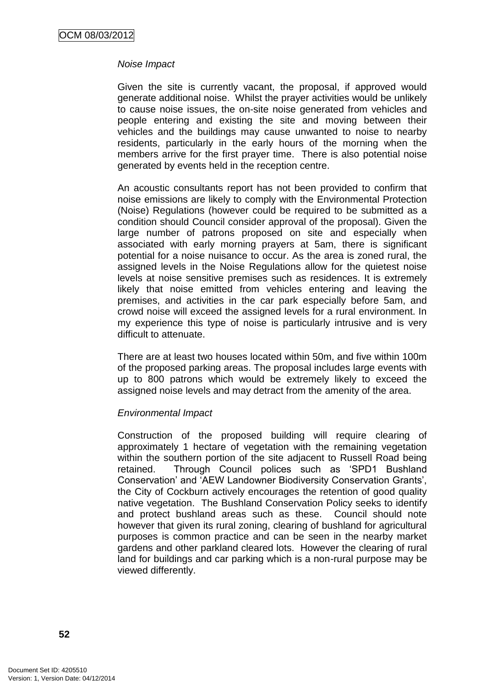# *Noise Impact*

Given the site is currently vacant, the proposal, if approved would generate additional noise. Whilst the prayer activities would be unlikely to cause noise issues, the on-site noise generated from vehicles and people entering and existing the site and moving between their vehicles and the buildings may cause unwanted to noise to nearby residents, particularly in the early hours of the morning when the members arrive for the first prayer time. There is also potential noise generated by events held in the reception centre.

An acoustic consultants report has not been provided to confirm that noise emissions are likely to comply with the Environmental Protection (Noise) Regulations (however could be required to be submitted as a condition should Council consider approval of the proposal). Given the large number of patrons proposed on site and especially when associated with early morning prayers at 5am, there is significant potential for a noise nuisance to occur. As the area is zoned rural, the assigned levels in the Noise Regulations allow for the quietest noise levels at noise sensitive premises such as residences. It is extremely likely that noise emitted from vehicles entering and leaving the premises, and activities in the car park especially before 5am, and crowd noise will exceed the assigned levels for a rural environment. In my experience this type of noise is particularly intrusive and is very difficult to attenuate.

There are at least two houses located within 50m, and five within 100m of the proposed parking areas. The proposal includes large events with up to 800 patrons which would be extremely likely to exceed the assigned noise levels and may detract from the amenity of the area.

# *Environmental Impact*

Construction of the proposed building will require clearing of approximately 1 hectare of vegetation with the remaining vegetation within the southern portion of the site adjacent to Russell Road being retained. Through Council polices such as "SPD1 Bushland Conservation" and "AEW Landowner Biodiversity Conservation Grants", the City of Cockburn actively encourages the retention of good quality native vegetation. The Bushland Conservation Policy seeks to identify and protect bushland areas such as these. Council should note however that given its rural zoning, clearing of bushland for agricultural purposes is common practice and can be seen in the nearby market gardens and other parkland cleared lots. However the clearing of rural land for buildings and car parking which is a non-rural purpose may be viewed differently.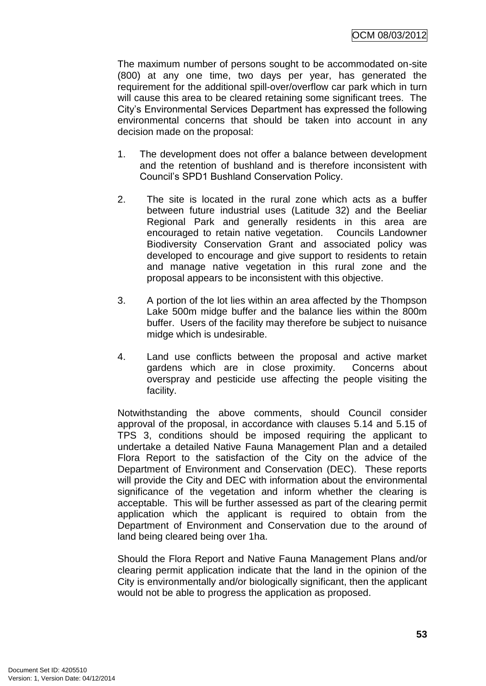The maximum number of persons sought to be accommodated on-site (800) at any one time, two days per year, has generated the requirement for the additional spill-over/overflow car park which in turn will cause this area to be cleared retaining some significant trees. The City"s Environmental Services Department has expressed the following environmental concerns that should be taken into account in any decision made on the proposal:

- 1. The development does not offer a balance between development and the retention of bushland and is therefore inconsistent with Council"s SPD1 Bushland Conservation Policy.
- 2. The site is located in the rural zone which acts as a buffer between future industrial uses (Latitude 32) and the Beeliar Regional Park and generally residents in this area are encouraged to retain native vegetation. Councils Landowner Biodiversity Conservation Grant and associated policy was developed to encourage and give support to residents to retain and manage native vegetation in this rural zone and the proposal appears to be inconsistent with this objective.
- 3. A portion of the lot lies within an area affected by the Thompson Lake 500m midge buffer and the balance lies within the 800m buffer. Users of the facility may therefore be subject to nuisance midge which is undesirable.
- 4. Land use conflicts between the proposal and active market gardens which are in close proximity. Concerns about overspray and pesticide use affecting the people visiting the facility.

Notwithstanding the above comments, should Council consider approval of the proposal, in accordance with clauses 5.14 and 5.15 of TPS 3, conditions should be imposed requiring the applicant to undertake a detailed Native Fauna Management Plan and a detailed Flora Report to the satisfaction of the City on the advice of the Department of Environment and Conservation (DEC). These reports will provide the City and DEC with information about the environmental significance of the vegetation and inform whether the clearing is acceptable. This will be further assessed as part of the clearing permit application which the applicant is required to obtain from the Department of Environment and Conservation due to the around of land being cleared being over 1ha.

Should the Flora Report and Native Fauna Management Plans and/or clearing permit application indicate that the land in the opinion of the City is environmentally and/or biologically significant, then the applicant would not be able to progress the application as proposed.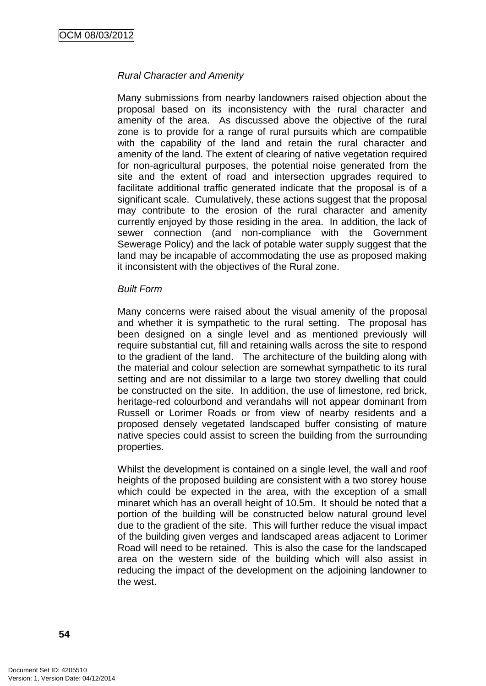# *Rural Character and Amenity*

Many submissions from nearby landowners raised objection about the proposal based on its inconsistency with the rural character and amenity of the area. As discussed above the objective of the rural zone is to provide for a range of rural pursuits which are compatible with the capability of the land and retain the rural character and amenity of the land. The extent of clearing of native vegetation required for non-agricultural purposes, the potential noise generated from the site and the extent of road and intersection upgrades required to facilitate additional traffic generated indicate that the proposal is of a significant scale. Cumulatively, these actions suggest that the proposal may contribute to the erosion of the rural character and amenity currently enjoyed by those residing in the area. In addition, the lack of sewer connection (and non-compliance with the Government Sewerage Policy) and the lack of potable water supply suggest that the land may be incapable of accommodating the use as proposed making it inconsistent with the objectives of the Rural zone.

#### *Built Form*

Many concerns were raised about the visual amenity of the proposal and whether it is sympathetic to the rural setting. The proposal has been designed on a single level and as mentioned previously will require substantial cut, fill and retaining walls across the site to respond to the gradient of the land. The architecture of the building along with the material and colour selection are somewhat sympathetic to its rural setting and are not dissimilar to a large two storey dwelling that could be constructed on the site. In addition, the use of limestone, red brick, heritage-red colourbond and verandahs will not appear dominant from Russell or Lorimer Roads or from view of nearby residents and a proposed densely vegetated landscaped buffer consisting of mature native species could assist to screen the building from the surrounding properties.

Whilst the development is contained on a single level, the wall and roof heights of the proposed building are consistent with a two storey house which could be expected in the area, with the exception of a small minaret which has an overall height of 10.5m. It should be noted that a portion of the building will be constructed below natural ground level due to the gradient of the site. This will further reduce the visual impact of the building given verges and landscaped areas adjacent to Lorimer Road will need to be retained. This is also the case for the landscaped area on the western side of the building which will also assist in reducing the impact of the development on the adjoining landowner to the west.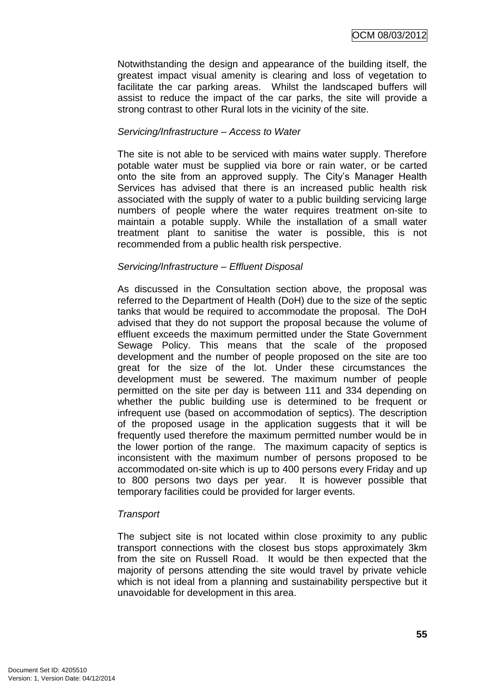Notwithstanding the design and appearance of the building itself, the greatest impact visual amenity is clearing and loss of vegetation to facilitate the car parking areas. Whilst the landscaped buffers will assist to reduce the impact of the car parks, the site will provide a strong contrast to other Rural lots in the vicinity of the site.

# *Servicing/Infrastructure – Access to Water*

The site is not able to be serviced with mains water supply. Therefore potable water must be supplied via bore or rain water, or be carted onto the site from an approved supply. The City"s Manager Health Services has advised that there is an increased public health risk associated with the supply of water to a public building servicing large numbers of people where the water requires treatment on-site to maintain a potable supply. While the installation of a small water treatment plant to sanitise the water is possible, this is not recommended from a public health risk perspective.

# *Servicing/Infrastructure – Effluent Disposal*

As discussed in the Consultation section above, the proposal was referred to the Department of Health (DoH) due to the size of the septic tanks that would be required to accommodate the proposal. The DoH advised that they do not support the proposal because the volume of effluent exceeds the maximum permitted under the State Government Sewage Policy. This means that the scale of the proposed development and the number of people proposed on the site are too great for the size of the lot. Under these circumstances the development must be sewered. The maximum number of people permitted on the site per day is between 111 and 334 depending on whether the public building use is determined to be frequent or infrequent use (based on accommodation of septics). The description of the proposed usage in the application suggests that it will be frequently used therefore the maximum permitted number would be in the lower portion of the range. The maximum capacity of septics is inconsistent with the maximum number of persons proposed to be accommodated on-site which is up to 400 persons every Friday and up to 800 persons two days per year. It is however possible that temporary facilities could be provided for larger events.

# *Transport*

The subject site is not located within close proximity to any public transport connections with the closest bus stops approximately 3km from the site on Russell Road. It would be then expected that the majority of persons attending the site would travel by private vehicle which is not ideal from a planning and sustainability perspective but it unavoidable for development in this area.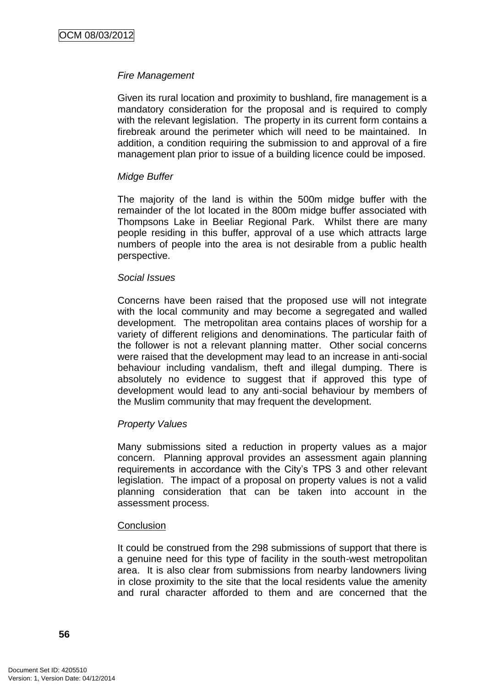# *Fire Management*

Given its rural location and proximity to bushland, fire management is a mandatory consideration for the proposal and is required to comply with the relevant legislation. The property in its current form contains a firebreak around the perimeter which will need to be maintained. In addition, a condition requiring the submission to and approval of a fire management plan prior to issue of a building licence could be imposed.

### *Midge Buffer*

The majority of the land is within the 500m midge buffer with the remainder of the lot located in the 800m midge buffer associated with Thompsons Lake in Beeliar Regional Park. Whilst there are many people residing in this buffer, approval of a use which attracts large numbers of people into the area is not desirable from a public health perspective.

#### *Social Issues*

Concerns have been raised that the proposed use will not integrate with the local community and may become a segregated and walled development. The metropolitan area contains places of worship for a variety of different religions and denominations. The particular faith of the follower is not a relevant planning matter. Other social concerns were raised that the development may lead to an increase in anti-social behaviour including vandalism, theft and illegal dumping. There is absolutely no evidence to suggest that if approved this type of development would lead to any anti-social behaviour by members of the Muslim community that may frequent the development.

# *Property Values*

Many submissions sited a reduction in property values as a major concern. Planning approval provides an assessment again planning requirements in accordance with the City"s TPS 3 and other relevant legislation. The impact of a proposal on property values is not a valid planning consideration that can be taken into account in the assessment process.

#### **Conclusion**

It could be construed from the 298 submissions of support that there is a genuine need for this type of facility in the south-west metropolitan area. It is also clear from submissions from nearby landowners living in close proximity to the site that the local residents value the amenity and rural character afforded to them and are concerned that the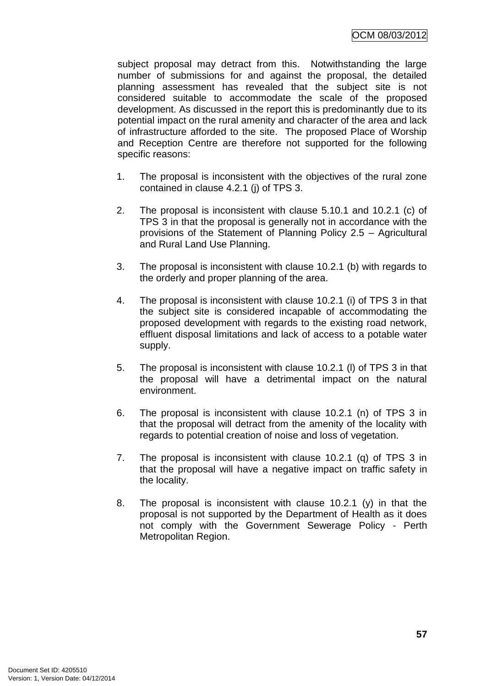subject proposal may detract from this. Notwithstanding the large number of submissions for and against the proposal, the detailed planning assessment has revealed that the subject site is not considered suitable to accommodate the scale of the proposed development. As discussed in the report this is predominantly due to its potential impact on the rural amenity and character of the area and lack of infrastructure afforded to the site. The proposed Place of Worship and Reception Centre are therefore not supported for the following specific reasons:

- 1. The proposal is inconsistent with the objectives of the rural zone contained in clause 4.2.1 (j) of TPS 3.
- 2. The proposal is inconsistent with clause 5.10.1 and 10.2.1 (c) of TPS 3 in that the proposal is generally not in accordance with the provisions of the Statement of Planning Policy 2.5 – Agricultural and Rural Land Use Planning.
- 3. The proposal is inconsistent with clause 10.2.1 (b) with regards to the orderly and proper planning of the area.
- 4. The proposal is inconsistent with clause 10.2.1 (i) of TPS 3 in that the subject site is considered incapable of accommodating the proposed development with regards to the existing road network, effluent disposal limitations and lack of access to a potable water supply.
- 5. The proposal is inconsistent with clause 10.2.1 (l) of TPS 3 in that the proposal will have a detrimental impact on the natural environment.
- 6. The proposal is inconsistent with clause 10.2.1 (n) of TPS 3 in that the proposal will detract from the amenity of the locality with regards to potential creation of noise and loss of vegetation.
- 7. The proposal is inconsistent with clause 10.2.1 (q) of TPS 3 in that the proposal will have a negative impact on traffic safety in the locality.
- 8. The proposal is inconsistent with clause 10.2.1 (y) in that the proposal is not supported by the Department of Health as it does not comply with the Government Sewerage Policy - Perth Metropolitan Region.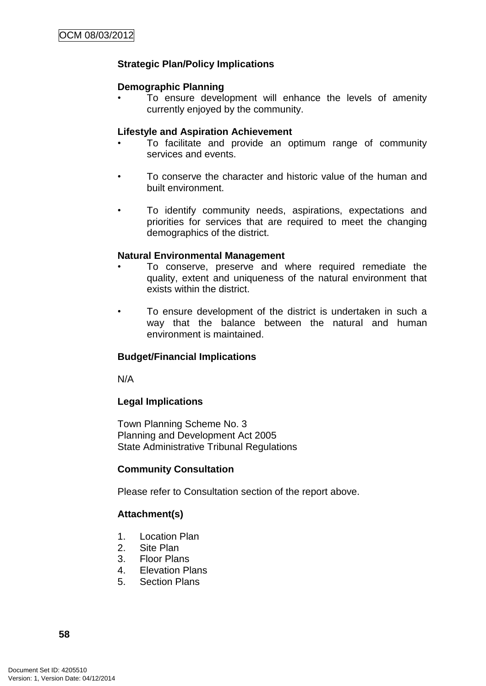# **Strategic Plan/Policy Implications**

## **Demographic Planning**

• To ensure development will enhance the levels of amenity currently enjoyed by the community.

### **Lifestyle and Aspiration Achievement**

- To facilitate and provide an optimum range of community services and events.
- To conserve the character and historic value of the human and built environment.
- To identify community needs, aspirations, expectations and priorities for services that are required to meet the changing demographics of the district.

# **Natural Environmental Management**

- To conserve, preserve and where required remediate the quality, extent and uniqueness of the natural environment that exists within the district.
- To ensure development of the district is undertaken in such a way that the balance between the natural and human environment is maintained.

# **Budget/Financial Implications**

N/A

# **Legal Implications**

Town Planning Scheme No. 3 Planning and Development Act 2005 State Administrative Tribunal Regulations

# **Community Consultation**

Please refer to Consultation section of the report above.

# **Attachment(s)**

- 1. Location Plan
- 2. Site Plan
- 3. Floor Plans
- 4. Elevation Plans
- 5. Section Plans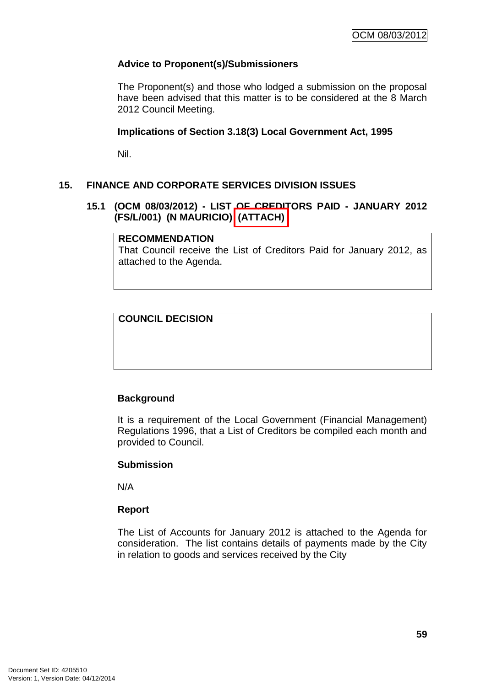# **Advice to Proponent(s)/Submissioners**

The Proponent(s) and those who lodged a submission on the proposal have been advised that this matter is to be considered at the 8 March 2012 Council Meeting.

# **Implications of Section 3.18(3) Local Government Act, 1995**

Nil.

# **15. FINANCE AND CORPORATE SERVICES DIVISION ISSUES**

# **15.1 (OCM 08/03/2012) - LIST OF CREDITORS PAID - JANUARY 2012 (FS/L/001) (N MAURICIO) (ATTACH)**

# **RECOMMENDATION**

That Council receive the List of Creditors Paid for January 2012, as attached to the Agenda.

# **COUNCIL DECISION**

# **Background**

It is a requirement of the Local Government (Financial Management) Regulations 1996, that a List of Creditors be compiled each month and provided to Council.

# **Submission**

N/A

# **Report**

The List of Accounts for January 2012 is attached to the Agenda for consideration. The list contains details of payments made by the City in relation to goods and services received by the City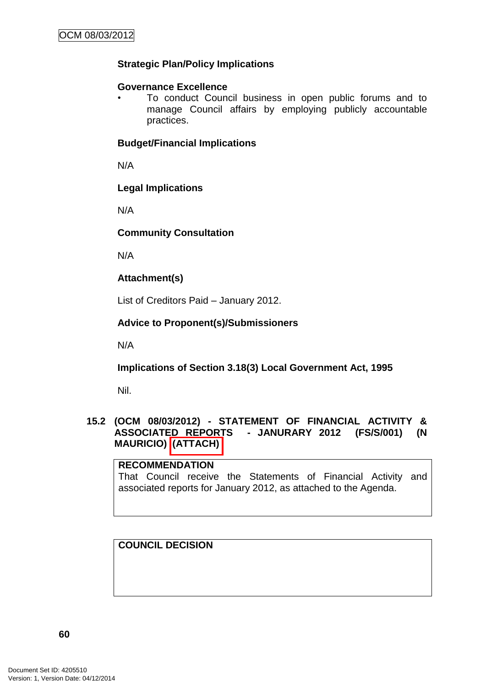# **Strategic Plan/Policy Implications**

## **Governance Excellence**

• To conduct Council business in open public forums and to manage Council affairs by employing publicly accountable practices.

# **Budget/Financial Implications**

N/A

# **Legal Implications**

N/A

# **Community Consultation**

N/A

# **Attachment(s)**

List of Creditors Paid – January 2012.

# **Advice to Proponent(s)/Submissioners**

N/A

# **Implications of Section 3.18(3) Local Government Act, 1995**

Nil.

# **15.2 (OCM 08/03/2012) - STATEMENT OF FINANCIAL ACTIVITY & ASSOCIATED REPORTS - JANURARY 2012 (FS/S/001) (N MAURICIO) (ATTACH)**

# **RECOMMENDATION**

That Council receive the Statements of Financial Activity and associated reports for January 2012, as attached to the Agenda.

# **COUNCIL DECISION**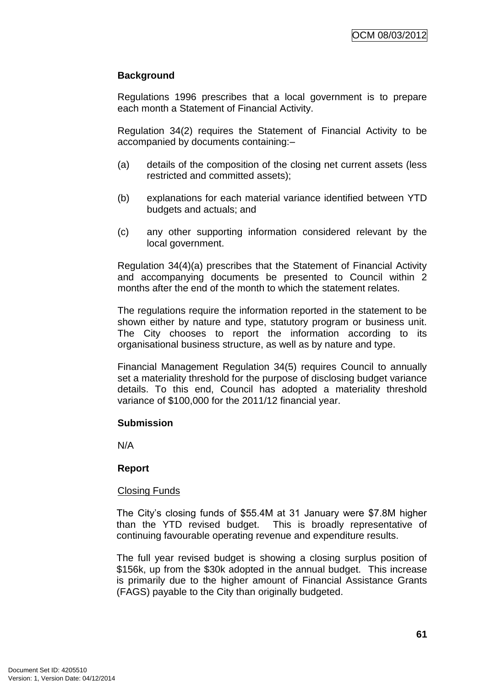# **Background**

Regulations 1996 prescribes that a local government is to prepare each month a Statement of Financial Activity.

Regulation 34(2) requires the Statement of Financial Activity to be accompanied by documents containing:–

- (a) details of the composition of the closing net current assets (less restricted and committed assets);
- (b) explanations for each material variance identified between YTD budgets and actuals; and
- (c) any other supporting information considered relevant by the local government.

Regulation 34(4)(a) prescribes that the Statement of Financial Activity and accompanying documents be presented to Council within 2 months after the end of the month to which the statement relates.

The regulations require the information reported in the statement to be shown either by nature and type, statutory program or business unit. The City chooses to report the information according to its organisational business structure, as well as by nature and type.

Financial Management Regulation 34(5) requires Council to annually set a materiality threshold for the purpose of disclosing budget variance details. To this end, Council has adopted a materiality threshold variance of \$100,000 for the 2011/12 financial year.

# **Submission**

N/A

# **Report**

# Closing Funds

The City"s closing funds of \$55.4M at 31 January were \$7.8M higher than the YTD revised budget. This is broadly representative of continuing favourable operating revenue and expenditure results.

The full year revised budget is showing a closing surplus position of \$156k, up from the \$30k adopted in the annual budget. This increase is primarily due to the higher amount of Financial Assistance Grants (FAGS) payable to the City than originally budgeted.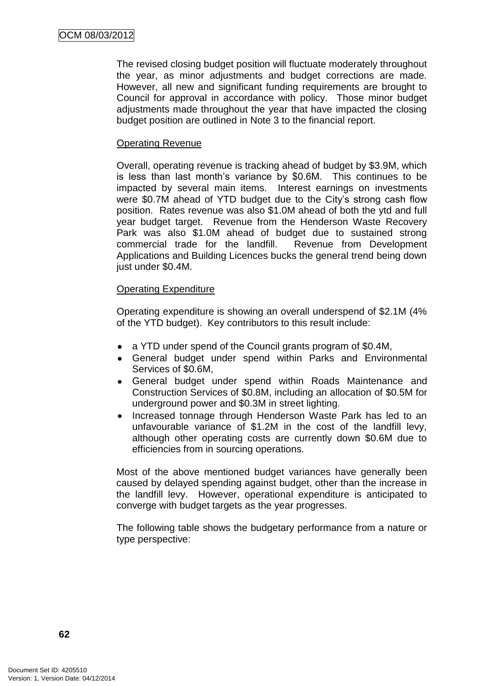The revised closing budget position will fluctuate moderately throughout the year, as minor adjustments and budget corrections are made. However, all new and significant funding requirements are brought to Council for approval in accordance with policy. Those minor budget adjustments made throughout the year that have impacted the closing budget position are outlined in Note 3 to the financial report.

## Operating Revenue

Overall, operating revenue is tracking ahead of budget by \$3.9M, which is less than last month"s variance by \$0.6M. This continues to be impacted by several main items. Interest earnings on investments were \$0.7M ahead of YTD budget due to the City"s strong cash flow position. Rates revenue was also \$1.0M ahead of both the ytd and full year budget target. Revenue from the Henderson Waste Recovery Park was also \$1.0M ahead of budget due to sustained strong commercial trade for the landfill. Revenue from Development Applications and Building Licences bucks the general trend being down just under \$0.4M.

### Operating Expenditure

Operating expenditure is showing an overall underspend of \$2.1M (4% of the YTD budget). Key contributors to this result include:

- a YTD under spend of the Council grants program of \$0.4M,
- General budget under spend within Parks and Environmental Services of \$0.6M,
- General budget under spend within Roads Maintenance and Construction Services of \$0.8M, including an allocation of \$0.5M for underground power and \$0.3M in street lighting.
- Increased tonnage through Henderson Waste Park has led to an unfavourable variance of \$1.2M in the cost of the landfill levy, although other operating costs are currently down \$0.6M due to efficiencies from in sourcing operations.

Most of the above mentioned budget variances have generally been caused by delayed spending against budget, other than the increase in the landfill levy. However, operational expenditure is anticipated to converge with budget targets as the year progresses.

The following table shows the budgetary performance from a nature or type perspective: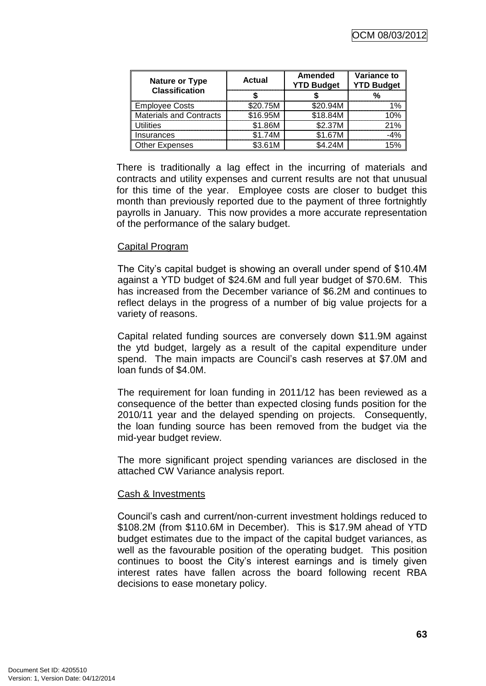| Nature or Type<br><b>Classification</b> | Actual   | <b>Amended</b><br><b>YTD Budget</b> | <b>Variance to</b><br><b>YTD Budget</b> |
|-----------------------------------------|----------|-------------------------------------|-----------------------------------------|
|                                         |          |                                     |                                         |
| <b>Employee Costs</b>                   | \$20.75M | \$20.94M                            | $\mathcal{O}_\mathcal{L}$               |
| <b>Materials and Contracts</b>          | \$16.95M | \$18.84M                            | በ‰                                      |
| Utilities                               | \$1.86M  | \$2.37M                             | 21%                                     |
| Insurances                              | \$1.74M  | \$1.67M                             |                                         |
| <b>Other Expenses</b>                   | \$3.61M  | \$4.24M                             |                                         |

There is traditionally a lag effect in the incurring of materials and contracts and utility expenses and current results are not that unusual for this time of the year. Employee costs are closer to budget this month than previously reported due to the payment of three fortnightly payrolls in January. This now provides a more accurate representation of the performance of the salary budget.

# Capital Program

The City"s capital budget is showing an overall under spend of \$10.4M against a YTD budget of \$24.6M and full year budget of \$70.6M. This has increased from the December variance of \$6.2M and continues to reflect delays in the progress of a number of big value projects for a variety of reasons.

Capital related funding sources are conversely down \$11.9M against the ytd budget, largely as a result of the capital expenditure under spend. The main impacts are Council"s cash reserves at \$7.0M and loan funds of \$4.0M.

The requirement for loan funding in 2011/12 has been reviewed as a consequence of the better than expected closing funds position for the 2010/11 year and the delayed spending on projects. Consequently, the loan funding source has been removed from the budget via the mid-year budget review.

The more significant project spending variances are disclosed in the attached CW Variance analysis report.

#### Cash & Investments

Council"s cash and current/non-current investment holdings reduced to \$108.2M (from \$110.6M in December). This is \$17.9M ahead of YTD budget estimates due to the impact of the capital budget variances, as well as the favourable position of the operating budget. This position continues to boost the City"s interest earnings and is timely given interest rates have fallen across the board following recent RBA decisions to ease monetary policy.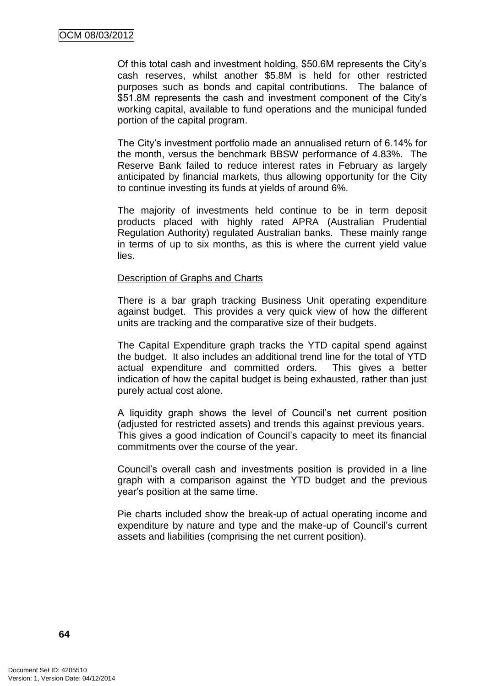Of this total cash and investment holding, \$50.6M represents the City"s cash reserves, whilst another \$5.8M is held for other restricted purposes such as bonds and capital contributions. The balance of \$51.8M represents the cash and investment component of the City"s working capital, available to fund operations and the municipal funded portion of the capital program.

The City"s investment portfolio made an annualised return of 6.14% for the month, versus the benchmark BBSW performance of 4.83%. The Reserve Bank failed to reduce interest rates in February as largely anticipated by financial markets, thus allowing opportunity for the City to continue investing its funds at yields of around 6%.

The majority of investments held continue to be in term deposit products placed with highly rated APRA (Australian Prudential Regulation Authority) regulated Australian banks. These mainly range in terms of up to six months, as this is where the current yield value lies.

#### Description of Graphs and Charts

There is a bar graph tracking Business Unit operating expenditure against budget. This provides a very quick view of how the different units are tracking and the comparative size of their budgets.

The Capital Expenditure graph tracks the YTD capital spend against the budget. It also includes an additional trend line for the total of YTD actual expenditure and committed orders. This gives a better indication of how the capital budget is being exhausted, rather than just purely actual cost alone.

A liquidity graph shows the level of Council"s net current position (adjusted for restricted assets) and trends this against previous years. This gives a good indication of Council"s capacity to meet its financial commitments over the course of the year.

Council"s overall cash and investments position is provided in a line graph with a comparison against the YTD budget and the previous year"s position at the same time.

Pie charts included show the break-up of actual operating income and expenditure by nature and type and the make-up of Council"s current assets and liabilities (comprising the net current position).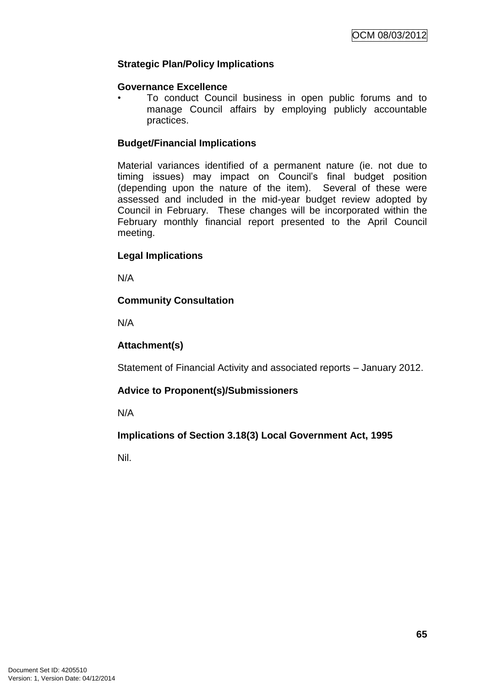# **Strategic Plan/Policy Implications**

### **Governance Excellence**

• To conduct Council business in open public forums and to manage Council affairs by employing publicly accountable practices.

# **Budget/Financial Implications**

Material variances identified of a permanent nature (ie. not due to timing issues) may impact on Council"s final budget position (depending upon the nature of the item). Several of these were assessed and included in the mid-year budget review adopted by Council in February. These changes will be incorporated within the February monthly financial report presented to the April Council meeting.

# **Legal Implications**

N/A

# **Community Consultation**

N/A

# **Attachment(s)**

Statement of Financial Activity and associated reports – January 2012.

# **Advice to Proponent(s)/Submissioners**

N/A

# **Implications of Section 3.18(3) Local Government Act, 1995**

Nil.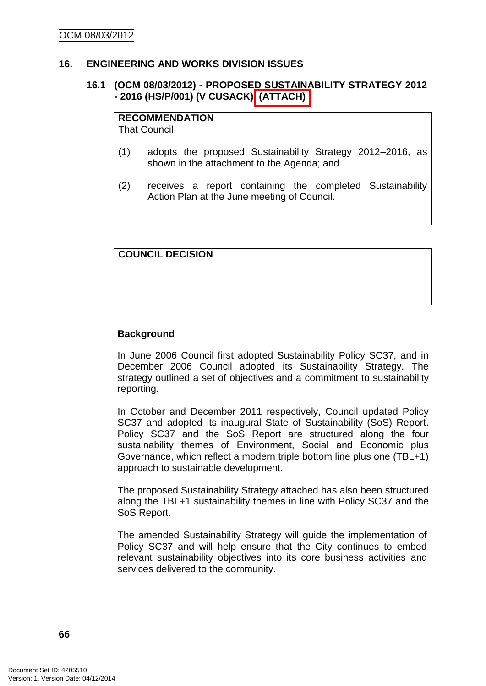#### **16. ENGINEERING AND WORKS DIVISION ISSUES**

# **16.1 (OCM 08/03/2012) - PROPOSED SUSTAINABILITY STRATEGY 2012 - 2016 (HS/P/001) (V CUSACK) (ATTACH)**

## **RECOMMENDATION**

That Council

- (1) adopts the proposed Sustainability Strategy 2012–2016, as shown in the attachment to the Agenda; and
- (2) receives a report containing the completed Sustainability Action Plan at the June meeting of Council.

# **COUNCIL DECISION**

### **Background**

In June 2006 Council first adopted Sustainability Policy SC37, and in December 2006 Council adopted its Sustainability Strategy. The strategy outlined a set of objectives and a commitment to sustainability reporting.

In October and December 2011 respectively, Council updated Policy SC37 and adopted its inaugural State of Sustainability (SoS) Report. Policy SC37 and the SoS Report are structured along the four sustainability themes of Environment, Social and Economic plus Governance, which reflect a modern triple bottom line plus one (TBL+1) approach to sustainable development.

The proposed Sustainability Strategy attached has also been structured along the TBL+1 sustainability themes in line with Policy SC37 and the SoS Report.

The amended Sustainability Strategy will guide the implementation of Policy SC37 and will help ensure that the City continues to embed relevant sustainability objectives into its core business activities and services delivered to the community.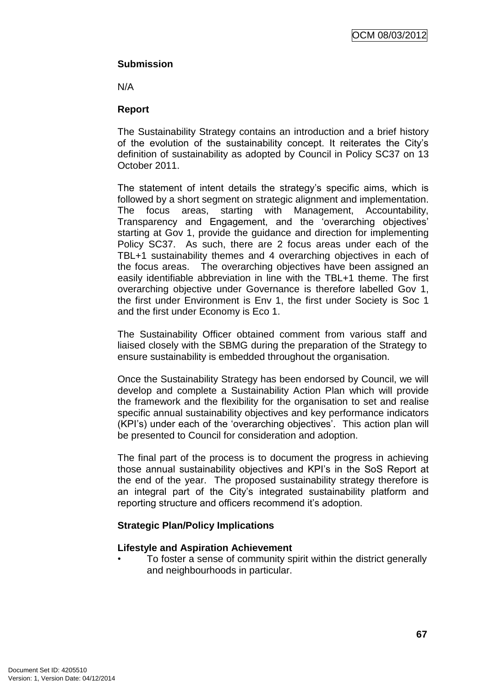# **Submission**

N/A

# **Report**

The Sustainability Strategy contains an introduction and a brief history of the evolution of the sustainability concept. It reiterates the City"s definition of sustainability as adopted by Council in Policy SC37 on 13 October 2011.

The statement of intent details the strategy's specific aims, which is followed by a short segment on strategic alignment and implementation. The focus areas, starting with Management, Accountability, Transparency and Engagement, and the "overarching objectives" starting at Gov 1, provide the guidance and direction for implementing Policy SC37. As such, there are 2 focus areas under each of the TBL+1 sustainability themes and 4 overarching objectives in each of the focus areas. The overarching objectives have been assigned an easily identifiable abbreviation in line with the TBL+1 theme. The first overarching objective under Governance is therefore labelled Gov 1, the first under Environment is Env 1, the first under Society is Soc 1 and the first under Economy is Eco 1.

The Sustainability Officer obtained comment from various staff and liaised closely with the SBMG during the preparation of the Strategy to ensure sustainability is embedded throughout the organisation.

Once the Sustainability Strategy has been endorsed by Council, we will develop and complete a Sustainability Action Plan which will provide the framework and the flexibility for the organisation to set and realise specific annual sustainability objectives and key performance indicators (KPI's) under each of the 'overarching objectives'. This action plan will be presented to Council for consideration and adoption.

The final part of the process is to document the progress in achieving those annual sustainability objectives and KPI"s in the SoS Report at the end of the year. The proposed sustainability strategy therefore is an integral part of the City"s integrated sustainability platform and reporting structure and officers recommend it's adoption.

# **Strategic Plan/Policy Implications**

# **Lifestyle and Aspiration Achievement**

• To foster a sense of community spirit within the district generally and neighbourhoods in particular.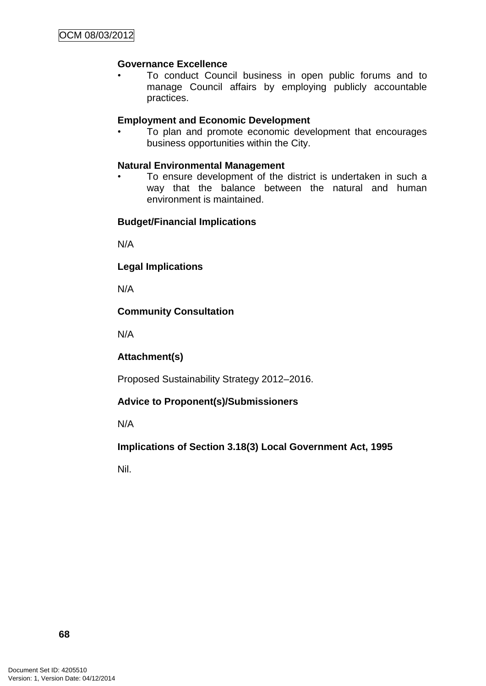# **Governance Excellence**

• To conduct Council business in open public forums and to manage Council affairs by employing publicly accountable practices.

# **Employment and Economic Development**

• To plan and promote economic development that encourages business opportunities within the City.

# **Natural Environmental Management**

To ensure development of the district is undertaken in such a way that the balance between the natural and human environment is maintained.

# **Budget/Financial Implications**

N/A

# **Legal Implications**

N/A

# **Community Consultation**

N/A

**Attachment(s)**

Proposed Sustainability Strategy 2012–2016.

# **Advice to Proponent(s)/Submissioners**

N/A

# **Implications of Section 3.18(3) Local Government Act, 1995**

Nil.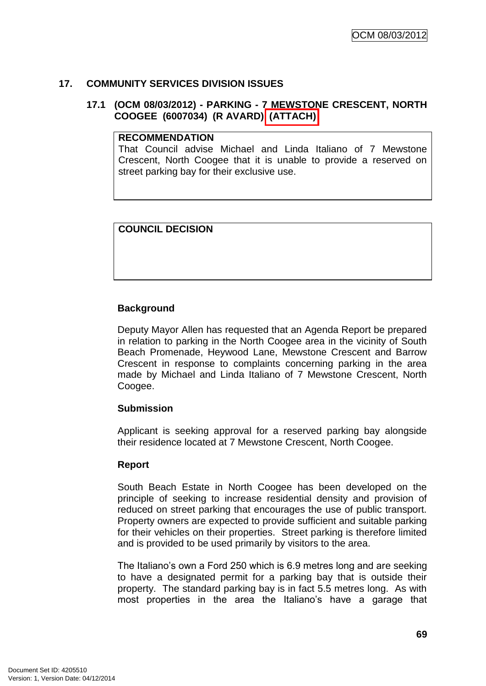### **17. COMMUNITY SERVICES DIVISION ISSUES**

### **17.1 (OCM 08/03/2012) - PARKING - 7 MEWSTONE CRESCENT, NORTH COOGEE (6007034) (R AVARD) (ATTACH)**

#### **RECOMMENDATION**

That Council advise Michael and Linda Italiano of 7 Mewstone Crescent, North Coogee that it is unable to provide a reserved on street parking bay for their exclusive use.

## **COUNCIL DECISION**

## **Background**

Deputy Mayor Allen has requested that an Agenda Report be prepared in relation to parking in the North Coogee area in the vicinity of South Beach Promenade, Heywood Lane, Mewstone Crescent and Barrow Crescent in response to complaints concerning parking in the area made by Michael and Linda Italiano of 7 Mewstone Crescent, North Coogee.

## **Submission**

Applicant is seeking approval for a reserved parking bay alongside their residence located at 7 Mewstone Crescent, North Coogee.

### **Report**

South Beach Estate in North Coogee has been developed on the principle of seeking to increase residential density and provision of reduced on street parking that encourages the use of public transport. Property owners are expected to provide sufficient and suitable parking for their vehicles on their properties. Street parking is therefore limited and is provided to be used primarily by visitors to the area.

The Italiano"s own a Ford 250 which is 6.9 metres long and are seeking to have a designated permit for a parking bay that is outside their property. The standard parking bay is in fact 5.5 metres long. As with most properties in the area the Italiano"s have a garage that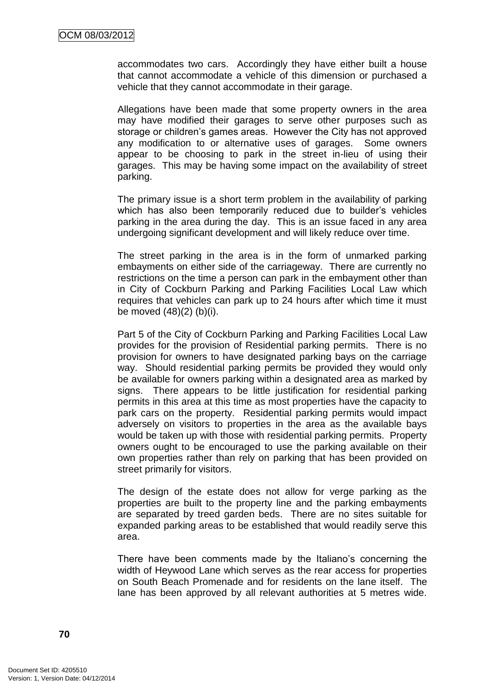accommodates two cars. Accordingly they have either built a house that cannot accommodate a vehicle of this dimension or purchased a vehicle that they cannot accommodate in their garage.

Allegations have been made that some property owners in the area may have modified their garages to serve other purposes such as storage or children"s games areas. However the City has not approved any modification to or alternative uses of garages. Some owners appear to be choosing to park in the street in-lieu of using their garages. This may be having some impact on the availability of street parking.

The primary issue is a short term problem in the availability of parking which has also been temporarily reduced due to builder"s vehicles parking in the area during the day. This is an issue faced in any area undergoing significant development and will likely reduce over time.

The street parking in the area is in the form of unmarked parking embayments on either side of the carriageway. There are currently no restrictions on the time a person can park in the embayment other than in City of Cockburn Parking and Parking Facilities Local Law which requires that vehicles can park up to 24 hours after which time it must be moved (48)(2) (b)(i).

Part 5 of the City of Cockburn Parking and Parking Facilities Local Law provides for the provision of Residential parking permits. There is no provision for owners to have designated parking bays on the carriage way. Should residential parking permits be provided they would only be available for owners parking within a designated area as marked by signs. There appears to be little justification for residential parking permits in this area at this time as most properties have the capacity to park cars on the property. Residential parking permits would impact adversely on visitors to properties in the area as the available bays would be taken up with those with residential parking permits. Property owners ought to be encouraged to use the parking available on their own properties rather than rely on parking that has been provided on street primarily for visitors.

The design of the estate does not allow for verge parking as the properties are built to the property line and the parking embayments are separated by treed garden beds. There are no sites suitable for expanded parking areas to be established that would readily serve this area.

There have been comments made by the Italiano's concerning the width of Heywood Lane which serves as the rear access for properties on South Beach Promenade and for residents on the lane itself. The lane has been approved by all relevant authorities at 5 metres wide.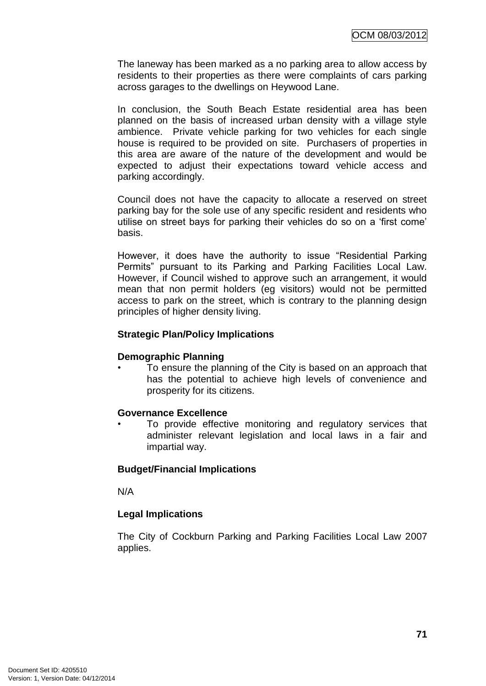The laneway has been marked as a no parking area to allow access by residents to their properties as there were complaints of cars parking across garages to the dwellings on Heywood Lane.

In conclusion, the South Beach Estate residential area has been planned on the basis of increased urban density with a village style ambience. Private vehicle parking for two vehicles for each single house is required to be provided on site. Purchasers of properties in this area are aware of the nature of the development and would be expected to adjust their expectations toward vehicle access and parking accordingly.

Council does not have the capacity to allocate a reserved on street parking bay for the sole use of any specific resident and residents who utilise on street bays for parking their vehicles do so on a "first come" basis.

However, it does have the authority to issue "Residential Parking Permits" pursuant to its Parking and Parking Facilities Local Law. However, if Council wished to approve such an arrangement, it would mean that non permit holders (eg visitors) would not be permitted access to park on the street, which is contrary to the planning design principles of higher density living.

### **Strategic Plan/Policy Implications**

### **Demographic Planning**

• To ensure the planning of the City is based on an approach that has the potential to achieve high levels of convenience and prosperity for its citizens.

### **Governance Excellence**

To provide effective monitoring and regulatory services that administer relevant legislation and local laws in a fair and impartial way.

### **Budget/Financial Implications**

N/A

### **Legal Implications**

The City of Cockburn Parking and Parking Facilities Local Law 2007 applies.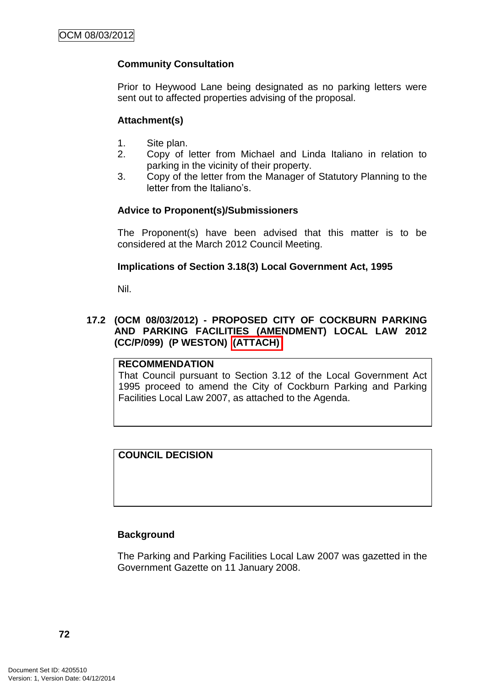## **Community Consultation**

Prior to Heywood Lane being designated as no parking letters were sent out to affected properties advising of the proposal.

### **Attachment(s)**

- 1. Site plan.
- 2. Copy of letter from Michael and Linda Italiano in relation to parking in the vicinity of their property.
- 3. Copy of the letter from the Manager of Statutory Planning to the letter from the Italiano's

### **Advice to Proponent(s)/Submissioners**

The Proponent(s) have been advised that this matter is to be considered at the March 2012 Council Meeting.

### **Implications of Section 3.18(3) Local Government Act, 1995**

Nil.

### **17.2 (OCM 08/03/2012) - PROPOSED CITY OF COCKBURN PARKING AND PARKING FACILITIES (AMENDMENT) LOCAL LAW 2012 (CC/P/099) (P WESTON) (ATTACH)**

### **RECOMMENDATION**

That Council pursuant to Section 3.12 of the Local Government Act 1995 proceed to amend the City of Cockburn Parking and Parking Facilities Local Law 2007, as attached to the Agenda.

## **COUNCIL DECISION**

### **Background**

The Parking and Parking Facilities Local Law 2007 was gazetted in the Government Gazette on 11 January 2008.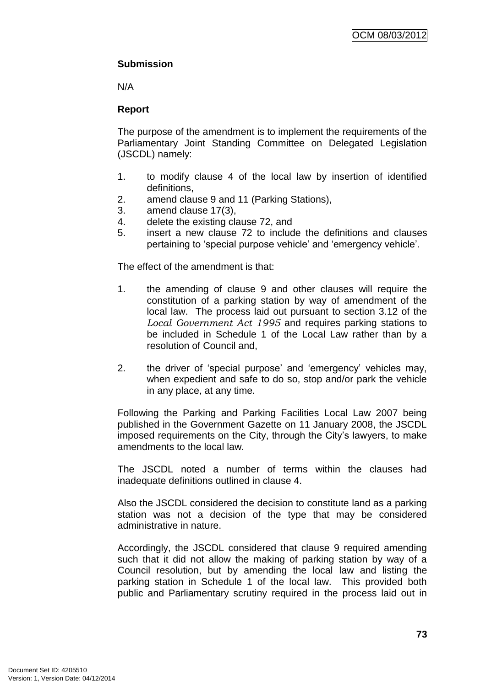# **Submission**

N/A

## **Report**

The purpose of the amendment is to implement the requirements of the Parliamentary Joint Standing Committee on Delegated Legislation (JSCDL) namely:

- 1. to modify clause 4 of the local law by insertion of identified definitions,
- 2. amend clause 9 and 11 (Parking Stations),
- 3. amend clause 17(3),
- 4. delete the existing clause 72, and
- 5. insert a new clause 72 to include the definitions and clauses pertaining to "special purpose vehicle" and "emergency vehicle".

The effect of the amendment is that:

- 1. the amending of clause 9 and other clauses will require the constitution of a parking station by way of amendment of the local law. The process laid out pursuant to section 3.12 of the *Local Government Act 1995* and requires parking stations to be included in Schedule 1 of the Local Law rather than by a resolution of Council and,
- 2. the driver of "special purpose" and "emergency" vehicles may, when expedient and safe to do so, stop and/or park the vehicle in any place, at any time.

Following the Parking and Parking Facilities Local Law 2007 being published in the Government Gazette on 11 January 2008, the JSCDL imposed requirements on the City, through the City"s lawyers, to make amendments to the local law.

The JSCDL noted a number of terms within the clauses had inadequate definitions outlined in clause 4.

Also the JSCDL considered the decision to constitute land as a parking station was not a decision of the type that may be considered administrative in nature.

Accordingly, the JSCDL considered that clause 9 required amending such that it did not allow the making of parking station by way of a Council resolution, but by amending the local law and listing the parking station in Schedule 1 of the local law. This provided both public and Parliamentary scrutiny required in the process laid out in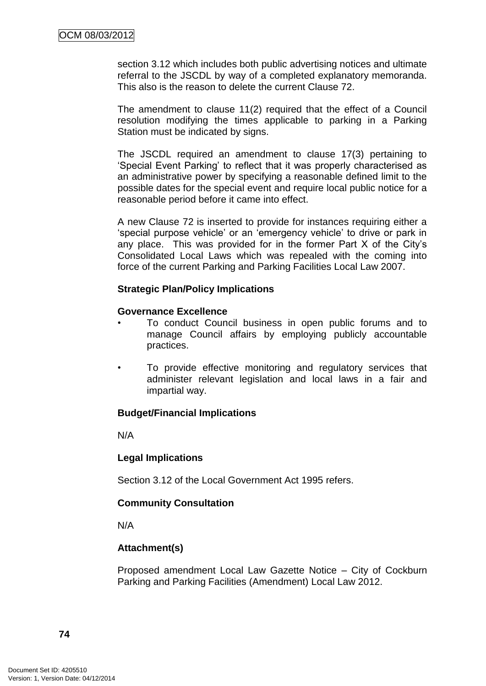section 3.12 which includes both public advertising notices and ultimate referral to the JSCDL by way of a completed explanatory memoranda. This also is the reason to delete the current Clause 72.

The amendment to clause 11(2) required that the effect of a Council resolution modifying the times applicable to parking in a Parking Station must be indicated by signs.

The JSCDL required an amendment to clause 17(3) pertaining to "Special Event Parking" to reflect that it was properly characterised as an administrative power by specifying a reasonable defined limit to the possible dates for the special event and require local public notice for a reasonable period before it came into effect.

A new Clause 72 is inserted to provide for instances requiring either a 'special purpose vehicle' or an 'emergency vehicle' to drive or park in any place. This was provided for in the former Part X of the City"s Consolidated Local Laws which was repealed with the coming into force of the current Parking and Parking Facilities Local Law 2007.

### **Strategic Plan/Policy Implications**

### **Governance Excellence**

- To conduct Council business in open public forums and to manage Council affairs by employing publicly accountable practices.
- To provide effective monitoring and regulatory services that administer relevant legislation and local laws in a fair and impartial way.

### **Budget/Financial Implications**

N/A

### **Legal Implications**

Section 3.12 of the Local Government Act 1995 refers.

### **Community Consultation**

N/A

## **Attachment(s)**

Proposed amendment Local Law Gazette Notice – City of Cockburn Parking and Parking Facilities (Amendment) Local Law 2012.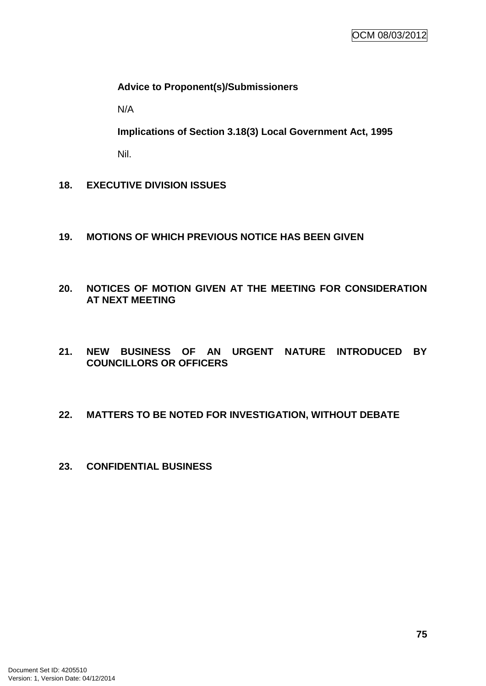### **Advice to Proponent(s)/Submissioners**

N/A

**Implications of Section 3.18(3) Local Government Act, 1995**

Nil.

- **18. EXECUTIVE DIVISION ISSUES**
- **19. MOTIONS OF WHICH PREVIOUS NOTICE HAS BEEN GIVEN**
- **20. NOTICES OF MOTION GIVEN AT THE MEETING FOR CONSIDERATION AT NEXT MEETING**
- **21. NEW BUSINESS OF AN URGENT NATURE INTRODUCED BY COUNCILLORS OR OFFICERS**

## **22. MATTERS TO BE NOTED FOR INVESTIGATION, WITHOUT DEBATE**

**23. CONFIDENTIAL BUSINESS**